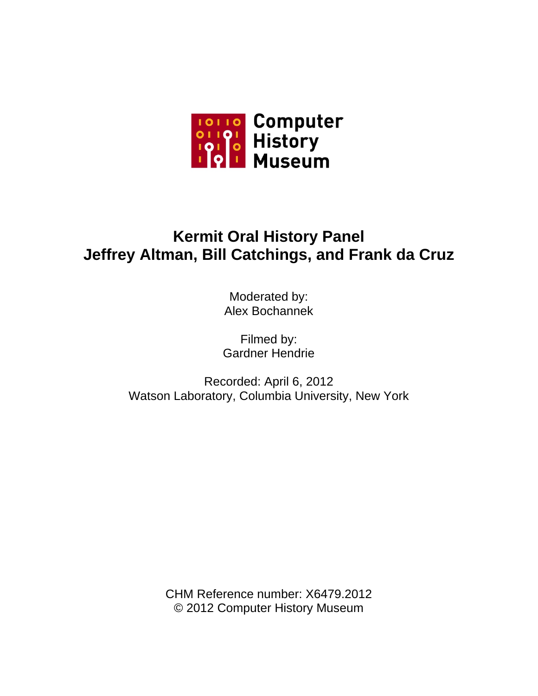

# **Kermit Oral History Panel Jeffrey Altman, Bill Catchings, and Frank da Cruz**

Moderated by: Alex Bochannek

Filmed by: Gardner Hendrie

Recorded: April 6, 2012 Watson Laboratory, Columbia University, New York

> CHM Reference number: X6479.2012 © 2012 Computer History Museum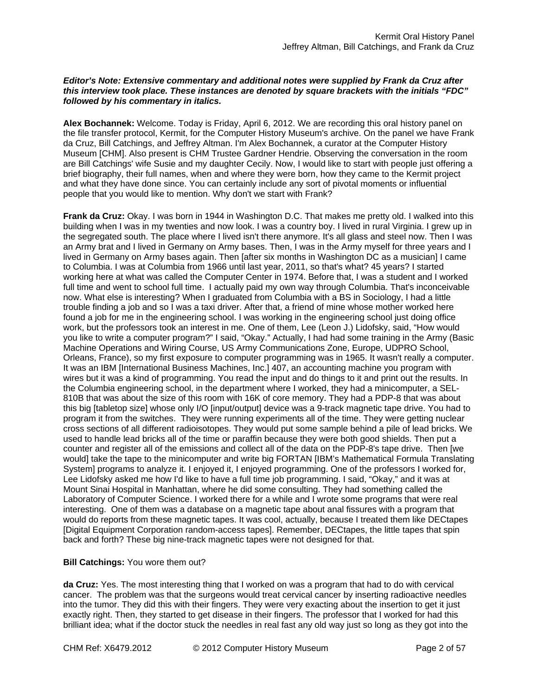# *Editor's Note: Extensive commentary and additional notes were supplied by Frank da Cruz after this interview took place. These instances are denoted by square brackets with the initials "FDC" followed by his commentary in italics.*

**Alex Bochannek:** Welcome. Today is Friday, April 6, 2012. We are recording this oral history panel on the file transfer protocol, Kermit, for the Computer History Museum's archive. On the panel we have Frank da Cruz, Bill Catchings, and Jeffrey Altman. I'm Alex Bochannek, a curator at the Computer History Museum [CHM]. Also present is CHM Trustee Gardner Hendrie. Observing the conversation in the room are Bill Catchings' wife Susie and my daughter Cecily. Now, I would like to start with people just offering a brief biography, their full names, when and where they were born, how they came to the Kermit project and what they have done since. You can certainly include any sort of pivotal moments or influential people that you would like to mention. Why don't we start with Frank?

**Frank da Cruz:** Okay. I was born in 1944 in Washington D.C. That makes me pretty old. I walked into this building when I was in my twenties and now look. I was a country boy. I lived in rural Virginia. I grew up in the segregated south. The place where I lived isn't there anymore. It's all glass and steel now. Then I was an Army brat and I lived in Germany on Army bases. Then, I was in the Army myself for three years and I lived in Germany on Army bases again. Then [after six months in Washington DC as a musician] I came to Columbia. I was at Columbia from 1966 until last year, 2011, so that's what? 45 years? I started working here at what was called the Computer Center in 1974. Before that, I was a student and I worked full time and went to school full time. I actually paid my own way through Columbia. That's inconceivable now. What else is interesting? When I graduated from Columbia with a BS in Sociology, I had a little trouble finding a job and so I was a taxi driver. After that, a friend of mine whose mother worked here found a job for me in the engineering school. I was working in the engineering school just doing office work, but the professors took an interest in me. One of them, Lee (Leon J.) Lidofsky, said, "How would you like to write a computer program?" I said, "Okay." Actually, I had had some training in the Army (Basic Machine Operations and Wiring Course, US Army Communications Zone, Europe, UDPRO School, Orleans, France), so my first exposure to computer programming was in 1965. It wasn't really a computer. It was an IBM [International Business Machines, Inc.] 407, an accounting machine you program with wires but it was a kind of programming. You read the input and do things to it and print out the results. In the Columbia engineering school, in the department where I worked, they had a minicomputer, a SEL-810B that was about the size of this room with 16K of core memory. They had a PDP-8 that was about this big [tabletop size] whose only I/O [input/output] device was a 9-track magnetic tape drive. You had to program it from the switches. They were running experiments all of the time. They were getting nuclear cross sections of all different radioisotopes. They would put some sample behind a pile of lead bricks. We used to handle lead bricks all of the time or paraffin because they were both good shields. Then put a counter and register all of the emissions and collect all of the data on the PDP-8's tape drive. Then [we would] take the tape to the minicomputer and write big FORTAN [IBM's Mathematical Formula Translating System] programs to analyze it. I enjoyed it, I enjoyed programming. One of the professors I worked for, Lee Lidofsky asked me how I'd like to have a full time job programming. I said, "Okay," and it was at Mount Sinai Hospital in Manhattan, where he did some consulting. They had something called the Laboratory of Computer Science. I worked there for a while and I wrote some programs that were real interesting. One of them was a database on a magnetic tape about anal fissures with a program that would do reports from these magnetic tapes. It was cool, actually, because I treated them like DECtapes [Digital Equipment Corporation random-access tapes]. Remember, DECtapes, the little tapes that spin back and forth? These big nine-track magnetic tapes were not designed for that.

## **Bill Catchings:** You wore them out?

**da Cruz:** Yes. The most interesting thing that I worked on was a program that had to do with cervical cancer. The problem was that the surgeons would treat cervical cancer by inserting radioactive needles into the tumor. They did this with their fingers. They were very exacting about the insertion to get it just exactly right. Then, they started to get disease in their fingers. The professor that I worked for had this brilliant idea; what if the doctor stuck the needles in real fast any old way just so long as they got into the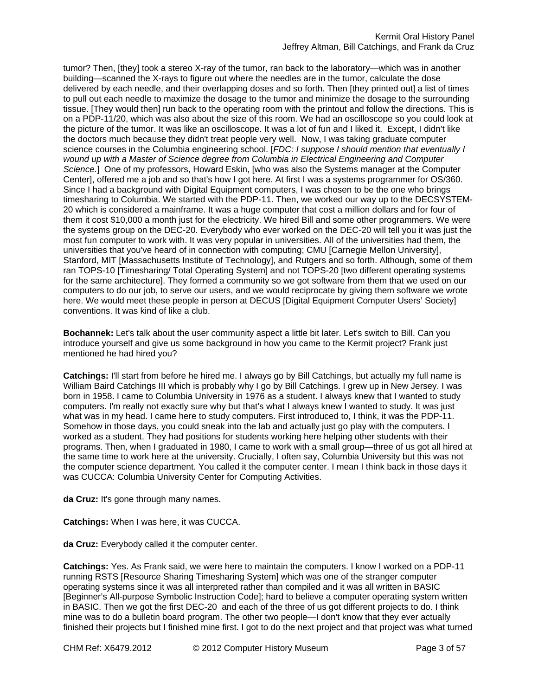tumor? Then, [they] took a stereo X-ray of the tumor, ran back to the laboratory—which was in another building—scanned the X-rays to figure out where the needles are in the tumor, calculate the dose delivered by each needle, and their overlapping doses and so forth. Then [they printed out] a list of times to pull out each needle to maximize the dosage to the tumor and minimize the dosage to the surrounding tissue. [They would then] run back to the operating room with the printout and follow the directions. This is on a PDP-11/20, which was also about the size of this room. We had an oscilloscope so you could look at the picture of the tumor. It was like an oscilloscope. It was a lot of fun and I liked it. Except, I didn't like the doctors much because they didn't treat people very well. Now, I was taking graduate computer science courses in the Columbia engineering school. [*FDC: I suppose I should mention that eventually I wound up with a Master of Science degree from Columbia in Electrical Engineering and Computer Science.*] One of my professors, Howard Eskin, [who was also the Systems manager at the Computer Center], offered me a job and so that's how I got here. At first I was a systems programmer for OS/360. Since I had a background with Digital Equipment computers, I was chosen to be the one who brings timesharing to Columbia. We started with the PDP-11. Then, we worked our way up to the DECSYSTEM-20 which is considered a mainframe. It was a huge computer that cost a million dollars and for four of them it cost \$10,000 a month just for the electricity. We hired Bill and some other programmers. We were the systems group on the DEC-20. Everybody who ever worked on the DEC-20 will tell you it was just the most fun computer to work with. It was very popular in universities. All of the universities had them, the universities that you've heard of in connection with computing; CMU [Carnegie Mellon University], Stanford, MIT [Massachusetts Institute of Technology], and Rutgers and so forth. Although, some of them ran TOPS-10 [Timesharing/ Total Operating System] and not TOPS-20 [two different operating systems for the same architecture]. They formed a community so we got software from them that we used on our computers to do our job, to serve our users, and we would reciprocate by giving them software we wrote here. We would meet these people in person at DECUS [Digital Equipment Computer Users' Society] conventions. It was kind of like a club.

**Bochannek:** Let's talk about the user community aspect a little bit later. Let's switch to Bill. Can you introduce yourself and give us some background in how you came to the Kermit project? Frank just mentioned he had hired you?

**Catchings:** I'll start from before he hired me. I always go by Bill Catchings, but actually my full name is William Baird Catchings III which is probably why I go by Bill Catchings. I grew up in New Jersey. I was born in 1958. I came to Columbia University in 1976 as a student. I always knew that I wanted to study computers. I'm really not exactly sure why but that's what I always knew I wanted to study. It was just what was in my head. I came here to study computers. First introduced to, I think, it was the PDP-11. Somehow in those days, you could sneak into the lab and actually just go play with the computers. I worked as a student. They had positions for students working here helping other students with their programs. Then, when I graduated in 1980, I came to work with a small group—three of us got all hired at the same time to work here at the university. Crucially, I often say, Columbia University but this was not the computer science department. You called it the computer center. I mean I think back in those days it was CUCCA: Columbia University Center for Computing Activities.

**da Cruz:** It's gone through many names.

**Catchings:** When I was here, it was CUCCA.

**da Cruz:** Everybody called it the computer center.

**Catchings:** Yes. As Frank said, we were here to maintain the computers. I know I worked on a PDP-11 running RSTS [Resource Sharing Timesharing System] which was one of the stranger computer operating systems since it was all interpreted rather than compiled and it was all written in BASIC [Beginner's All-purpose Symbolic Instruction Code]; hard to believe a computer operating system written in BASIC. Then we got the first DEC-20 and each of the three of us got different projects to do. I think mine was to do a bulletin board program. The other two people—I don't know that they ever actually finished their projects but I finished mine first. I got to do the next project and that project was what turned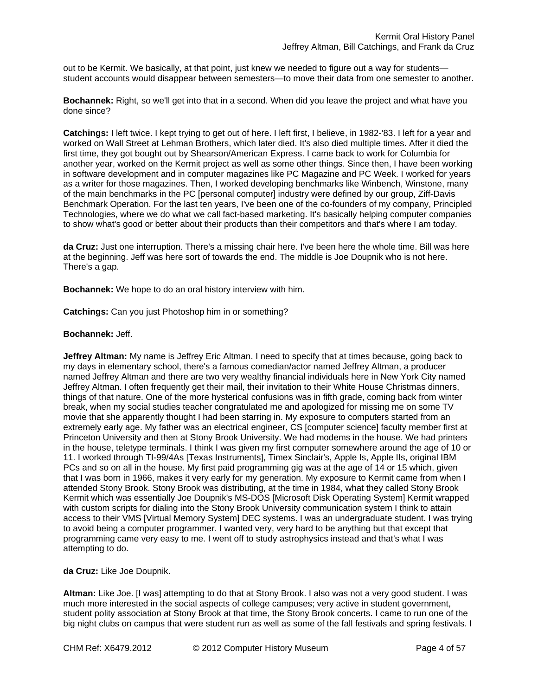out to be Kermit. We basically, at that point, just knew we needed to figure out a way for studentsstudent accounts would disappear between semesters—to move their data from one semester to another.

**Bochannek:** Right, so we'll get into that in a second. When did you leave the project and what have you done since?

**Catchings:** I left twice. I kept trying to get out of here. I left first, I believe, in 1982-'83. I left for a year and worked on Wall Street at Lehman Brothers, which later died. It's also died multiple times. After it died the first time, they got bought out by Shearson/American Express. I came back to work for Columbia for another year, worked on the Kermit project as well as some other things. Since then, I have been working in software development and in computer magazines like PC Magazine and PC Week. I worked for years as a writer for those magazines. Then, I worked developing benchmarks like Winbench, Winstone, many of the main benchmarks in the PC [personal computer] industry were defined by our group, Ziff-Davis Benchmark Operation. For the last ten years, I've been one of the co-founders of my company, Principled Technologies, where we do what we call fact-based marketing. It's basically helping computer companies to show what's good or better about their products than their competitors and that's where I am today.

**da Cruz:** Just one interruption. There's a missing chair here. I've been here the whole time. Bill was here at the beginning. Jeff was here sort of towards the end. The middle is Joe Doupnik who is not here. There's a gap.

**Bochannek:** We hope to do an oral history interview with him.

**Catchings:** Can you just Photoshop him in or something?

#### **Bochannek:** Jeff.

**Jeffrey Altman:** My name is Jeffrey Eric Altman. I need to specify that at times because, going back to my days in elementary school, there's a famous comedian/actor named Jeffrey Altman, a producer named Jeffrey Altman and there are two very wealthy financial individuals here in New York City named Jeffrey Altman. I often frequently get their mail, their invitation to their White House Christmas dinners, things of that nature. One of the more hysterical confusions was in fifth grade, coming back from winter break, when my social studies teacher congratulated me and apologized for missing me on some TV movie that she apparently thought I had been starring in. My exposure to computers started from an extremely early age. My father was an electrical engineer, CS [computer science] faculty member first at Princeton University and then at Stony Brook University. We had modems in the house. We had printers in the house, teletype terminals. I think I was given my first computer somewhere around the age of 10 or 11. I worked through TI-99/4As [Texas Instruments], Timex Sinclair's, Apple Is, Apple IIs, original IBM PCs and so on all in the house. My first paid programming gig was at the age of 14 or 15 which, given that I was born in 1966, makes it very early for my generation. My exposure to Kermit came from when I attended Stony Brook. Stony Brook was distributing, at the time in 1984, what they called Stony Brook Kermit which was essentially Joe Doupnik's MS-DOS [Microsoft Disk Operating System] Kermit wrapped with custom scripts for dialing into the Stony Brook University communication system I think to attain access to their VMS [Virtual Memory System] DEC systems. I was an undergraduate student. I was trying to avoid being a computer programmer. I wanted very, very hard to be anything but that except that programming came very easy to me. I went off to study astrophysics instead and that's what I was attempting to do.

**da Cruz:** Like Joe Doupnik.

**Altman:** Like Joe. [I was] attempting to do that at Stony Brook. I also was not a very good student. I was much more interested in the social aspects of college campuses; very active in student government, student polity association at Stony Brook at that time, the Stony Brook concerts. I came to run one of the big night clubs on campus that were student run as well as some of the fall festivals and spring festivals. I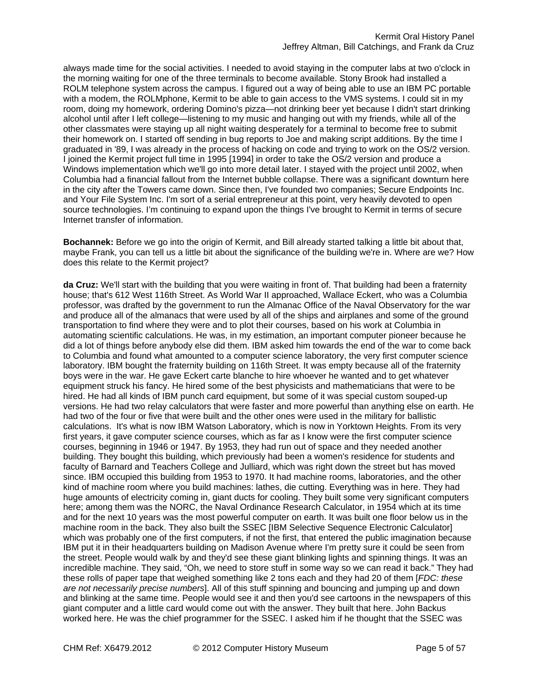always made time for the social activities. I needed to avoid staying in the computer labs at two o'clock in the morning waiting for one of the three terminals to become available. Stony Brook had installed a ROLM telephone system across the campus. I figured out a way of being able to use an IBM PC portable with a modem, the ROLMphone, Kermit to be able to gain access to the VMS systems. I could sit in my room, doing my homework, ordering Domino's pizza—not drinking beer yet because I didn't start drinking alcohol until after I left college—listening to my music and hanging out with my friends, while all of the other classmates were staying up all night waiting desperately for a terminal to become free to submit their homework on. I started off sending in bug reports to Joe and making script additions. By the time I graduated in '89, I was already in the process of hacking on code and trying to work on the OS/2 version. I joined the Kermit project full time in 1995 [1994] in order to take the OS/2 version and produce a Windows implementation which we'll go into more detail later. I stayed with the project until 2002, when Columbia had a financial fallout from the Internet bubble collapse. There was a significant downturn here in the city after the Towers came down. Since then, I've founded two companies; Secure Endpoints Inc. and Your File System Inc. I'm sort of a serial entrepreneur at this point, very heavily devoted to open source technologies. I'm continuing to expand upon the things I've brought to Kermit in terms of secure Internet transfer of information.

**Bochannek:** Before we go into the origin of Kermit, and Bill already started talking a little bit about that, maybe Frank, you can tell us a little bit about the significance of the building we're in. Where are we? How does this relate to the Kermit project?

**da Cruz:** We'll start with the building that you were waiting in front of. That building had been a fraternity house; that's 612 West 116th Street. As World War II approached, Wallace Eckert, who was a Columbia professor, was drafted by the government to run the Almanac Office of the Naval Observatory for the war and produce all of the almanacs that were used by all of the ships and airplanes and some of the ground transportation to find where they were and to plot their courses, based on his work at Columbia in automating scientific calculations. He was, in my estimation, an important computer pioneer because he did a lot of things before anybody else did them. IBM asked him towards the end of the war to come back to Columbia and found what amounted to a computer science laboratory, the very first computer science laboratory. IBM bought the fraternity building on 116th Street. It was empty because all of the fraternity boys were in the war. He gave Eckert carte blanche to hire whoever he wanted and to get whatever equipment struck his fancy. He hired some of the best physicists and mathematicians that were to be hired. He had all kinds of IBM punch card equipment, but some of it was special custom souped-up versions. He had two relay calculators that were faster and more powerful than anything else on earth. He had two of the four or five that were built and the other ones were used in the military for ballistic calculations. It's what is now IBM Watson Laboratory, which is now in Yorktown Heights. From its very first years, it gave computer science courses, which as far as I know were the first computer science courses, beginning in 1946 or 1947. By 1953, they had run out of space and they needed another building. They bought this building, which previously had been a women's residence for students and faculty of Barnard and Teachers College and Julliard, which was right down the street but has moved since. IBM occupied this building from 1953 to 1970. It had machine rooms, laboratories, and the other kind of machine room where you build machines: lathes, die cutting. Everything was in here. They had huge amounts of electricity coming in, giant ducts for cooling. They built some very significant computers here; among them was the NORC, the Naval Ordinance Research Calculator, in 1954 which at its time and for the next 10 years was the most powerful computer on earth. It was built one floor below us in the machine room in the back. They also built the SSEC [IBM Selective Sequence Electronic Calculator] which was probably one of the first computers, if not the first, that entered the public imagination because IBM put it in their headquarters building on Madison Avenue where I'm pretty sure it could be seen from the street. People would walk by and they'd see these giant blinking lights and spinning things. It was an incredible machine. They said, "Oh, we need to store stuff in some way so we can read it back." They had these rolls of paper tape that weighed something like 2 tons each and they had 20 of them [*FDC: these are not necessarily precise numbers*]. All of this stuff spinning and bouncing and jumping up and down and blinking at the same time. People would see it and then you'd see cartoons in the newspapers of this giant computer and a little card would come out with the answer. They built that here. John Backus worked here. He was the chief programmer for the SSEC. I asked him if he thought that the SSEC was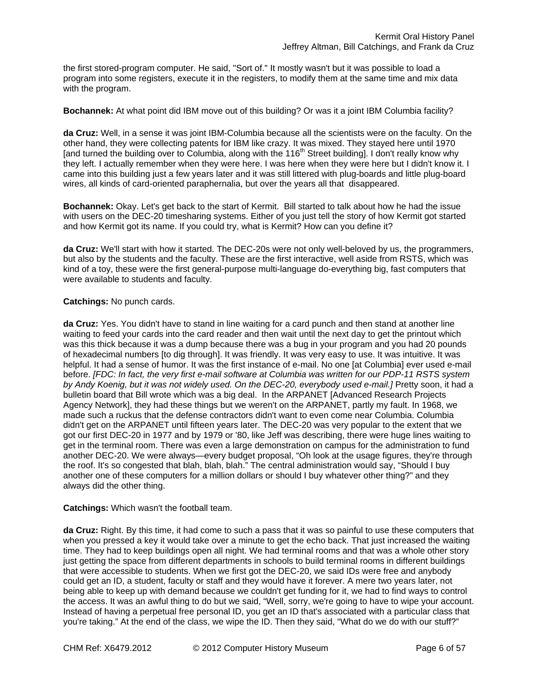the first stored-program computer. He said, "Sort of." It mostly wasn't but it was possible to load a program into some registers, execute it in the registers, to modify them at the same time and mix data with the program.

**Bochannek:** At what point did IBM move out of this building? Or was it a joint IBM Columbia facility?

**da Cruz:** Well, in a sense it was joint IBM-Columbia because all the scientists were on the faculty. On the other hand, they were collecting patents for IBM like crazy. It was mixed. They stayed here until 1970 [and turned the building over to Columbia, along with the 116th Street building]. I don't really know why they left. I actually remember when they were here. I was here when they were here but I didn't know it. I came into this building just a few years later and it was still littered with plug-boards and little plug-board wires, all kinds of card-oriented paraphernalia, but over the years all that disappeared.

**Bochannek:** Okay. Let's get back to the start of Kermit. Bill started to talk about how he had the issue with users on the DEC-20 timesharing systems. Either of you just tell the story of how Kermit got started and how Kermit got its name. If you could try, what is Kermit? How can you define it?

**da Cruz:** We'll start with how it started. The DEC-20s were not only well-beloved by us, the programmers, but also by the students and the faculty. These are the first interactive, well aside from RSTS, which was kind of a toy, these were the first general-purpose multi-language do-everything big, fast computers that were available to students and faculty.

# **Catchings:** No punch cards.

**da Cruz:** Yes. You didn't have to stand in line waiting for a card punch and then stand at another line waiting to feed your cards into the card reader and then wait until the next day to get the printout which was this thick because it was a dump because there was a bug in your program and you had 20 pounds of hexadecimal numbers [to dig through]. It was friendly. It was very easy to use. It was intuitive. It was helpful. It had a sense of humor. It was the first instance of e-mail. No one [at Columbia] ever used e-mail before. *[FDC: In fact, the very first e-mail software at Columbia was written for our PDP-11 RSTS system by Andy Koenig, but it was not widely used. On the DEC-20, everybody used e-mail.]* Pretty soon, it had a bulletin board that Bill wrote which was a big deal. In the ARPANET [Advanced Research Projects Agency Network], they had these things but we weren't on the ARPANET, partly my fault. In 1968, we made such a ruckus that the defense contractors didn't want to even come near Columbia. Columbia didn't get on the ARPANET until fifteen years later. The DEC-20 was very popular to the extent that we got our first DEC-20 in 1977 and by 1979 or '80, like Jeff was describing, there were huge lines waiting to get in the terminal room. There was even a large demonstration on campus for the administration to fund another DEC-20. We were always—every budget proposal, "Oh look at the usage figures, they're through the roof. It's so congested that blah, blah, blah." The central administration would say, "Should I buy another one of these computers for a million dollars or should I buy whatever other thing?" and they always did the other thing.

## **Catchings:** Which wasn't the football team.

**da Cruz:** Right. By this time, it had come to such a pass that it was so painful to use these computers that when you pressed a key it would take over a minute to get the echo back. That just increased the waiting time. They had to keep buildings open all night. We had terminal rooms and that was a whole other story just getting the space from different departments in schools to build terminal rooms in different buildings that were accessible to students. When we first got the DEC-20, we said IDs were free and anybody could get an ID, a student, faculty or staff and they would have it forever. A mere two years later, not being able to keep up with demand because we couldn't get funding for it, we had to find ways to control the access. It was an awful thing to do but we said, "Well, sorry, we're going to have to wipe your account. Instead of having a perpetual free personal ID, you get an ID that's associated with a particular class that you're taking." At the end of the class, we wipe the ID. Then they said, "What do we do with our stuff?"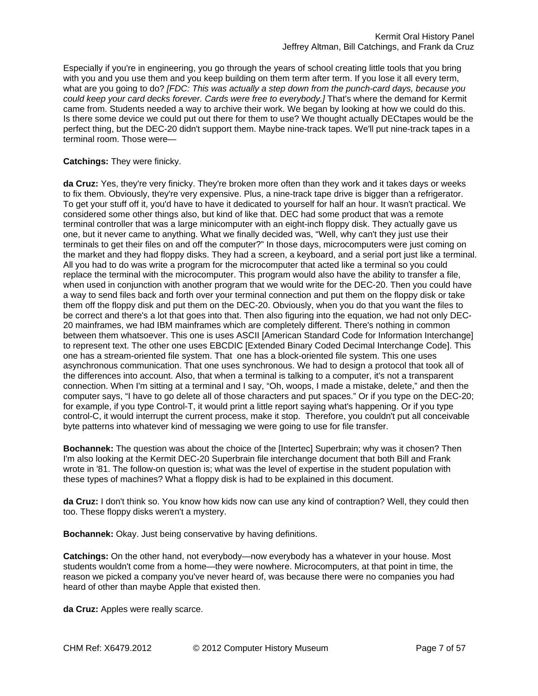Especially if you're in engineering, you go through the years of school creating little tools that you bring with you and you use them and you keep building on them term after term. If you lose it all every term, what are you going to do? *[FDC: This was actually a step down from the punch-card days, because you*  could keep your card decks forever. Cards were free to everybody.*]* That's where the demand for Kermit came from. Students needed a way to archive their work. We began by looking at how we could do this. Is there some device we could put out there for them to use? We thought actually DECtapes would be the perfect thing, but the DEC-20 didn't support them. Maybe nine-track tapes. We'll put nine-track tapes in a terminal room. Those were—

# **Catchings:** They were finicky.

**da Cruz:** Yes, they're very finicky. They're broken more often than they work and it takes days or weeks to fix them. Obviously, they're very expensive. Plus, a nine-track tape drive is bigger than a refrigerator. To get your stuff off it, you'd have to have it dedicated to yourself for half an hour. It wasn't practical. We considered some other things also, but kind of like that. DEC had some product that was a remote terminal controller that was a large minicomputer with an eight-inch floppy disk. They actually gave us one, but it never came to anything. What we finally decided was, "Well, why can't they just use their terminals to get their files on and off the computer?" In those days, microcomputers were just coming on the market and they had floppy disks. They had a screen, a keyboard, and a serial port just like a terminal. All you had to do was write a program for the microcomputer that acted like a terminal so you could replace the terminal with the microcomputer. This program would also have the ability to transfer a file, when used in conjunction with another program that we would write for the DEC-20. Then you could have a way to send files back and forth over your terminal connection and put them on the floppy disk or take them off the floppy disk and put them on the DEC-20. Obviously, when you do that you want the files to be correct and there's a lot that goes into that. Then also figuring into the equation, we had not only DEC-20 mainframes, we had IBM mainframes which are completely different. There's nothing in common between them whatsoever. This one is uses ASCII [American Standard Code for Information Interchange] to represent text. The other one uses EBCDIC [Extended Binary Coded Decimal Interchange Code]. This one has a stream-oriented file system. That one has a block-oriented file system. This one uses asynchronous communication. That one uses synchronous. We had to design a protocol that took all of the differences into account. Also, that when a terminal is talking to a computer, it's not a transparent connection. When I'm sitting at a terminal and I say, "Oh, woops, I made a mistake, delete," and then the computer says, "I have to go delete all of those characters and put spaces." Or if you type on the DEC-20; for example, if you type Control-T, it would print a little report saying what's happening. Or if you type control-C, it would interrupt the current process, make it stop. Therefore, you couldn't put all conceivable byte patterns into whatever kind of messaging we were going to use for file transfer.

**Bochannek:** The question was about the choice of the [Intertec] Superbrain; why was it chosen? Then I'm also looking at the Kermit DEC-20 Superbrain file interchange document that both Bill and Frank wrote in '81. The follow-on question is; what was the level of expertise in the student population with these types of machines? What a floppy disk is had to be explained in this document.

**da Cruz:** I don't think so. You know how kids now can use any kind of contraption? Well, they could then too. These floppy disks weren't a mystery.

**Bochannek:** Okay. Just being conservative by having definitions.

**Catchings:** On the other hand, not everybody—now everybody has a whatever in your house. Most students wouldn't come from a home—they were nowhere. Microcomputers, at that point in time, the reason we picked a company you've never heard of, was because there were no companies you had heard of other than maybe Apple that existed then.

**da Cruz:** Apples were really scarce.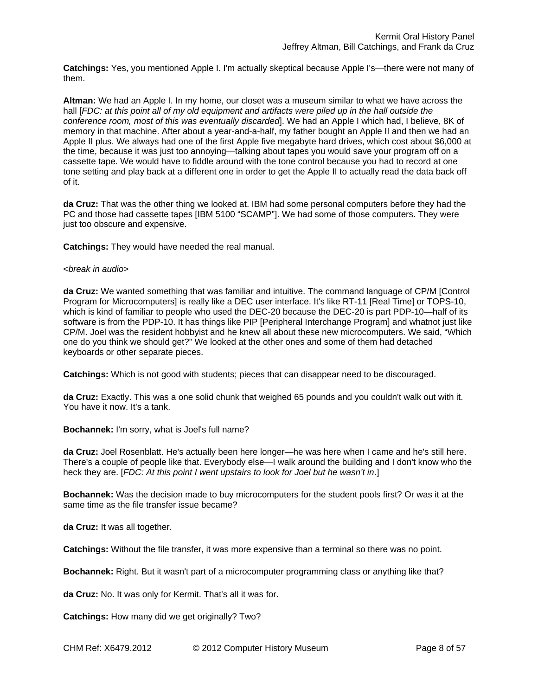**Catchings:** Yes, you mentioned Apple I. I'm actually skeptical because Apple I's—there were not many of them.

**Altman:** We had an Apple I. In my home, our closet was a museum similar to what we have across the hall [*FDC: at this point all of my old equipment and artifacts were piled up in the hall outside the conference room, most of this was eventually discarded*]. We had an Apple I which had, I believe, 8K of memory in that machine. After about a year-and-a-half, my father bought an Apple II and then we had an Apple II plus. We always had one of the first Apple five megabyte hard drives, which cost about \$6,000 at the time, because it was just too annoying—talking about tapes you would save your program off on a cassette tape. We would have to fiddle around with the tone control because you had to record at one tone setting and play back at a different one in order to get the Apple II to actually read the data back off of it.

**da Cruz:** That was the other thing we looked at. IBM had some personal computers before they had the PC and those had cassette tapes [IBM 5100 "SCAMP"]. We had some of those computers. They were just too obscure and expensive.

**Catchings:** They would have needed the real manual.

#### <*break in audio*>

**da Cruz:** We wanted something that was familiar and intuitive. The command language of CP/M [Control Program for Microcomputers] is really like a DEC user interface. It's like RT-11 [Real Time] or TOPS-10, which is kind of familiar to people who used the DEC-20 because the DEC-20 is part PDP-10—half of its software is from the PDP-10. It has things like PIP [Peripheral Interchange Program] and whatnot just like CP/M. Joel was the resident hobbyist and he knew all about these new microcomputers. We said, "Which one do you think we should get?" We looked at the other ones and some of them had detached keyboards or other separate pieces.

**Catchings:** Which is not good with students; pieces that can disappear need to be discouraged.

**da Cruz:** Exactly. This was a one solid chunk that weighed 65 pounds and you couldn't walk out with it. You have it now. It's a tank.

**Bochannek:** I'm sorry, what is Joel's full name?

**da Cruz:** Joel Rosenblatt. He's actually been here longer—he was here when I came and he's still here. There's a couple of people like that. Everybody else—I walk around the building and I don't know who the heck they are. [*FDC: At this point I went upstairs to look for Joel but he wasn't in*.]

**Bochannek:** Was the decision made to buy microcomputers for the student pools first? Or was it at the same time as the file transfer issue became?

**da Cruz:** It was all together.

**Catchings:** Without the file transfer, it was more expensive than a terminal so there was no point.

**Bochannek:** Right. But it wasn't part of a microcomputer programming class or anything like that?

**da Cruz:** No. It was only for Kermit. That's all it was for.

**Catchings:** How many did we get originally? Two?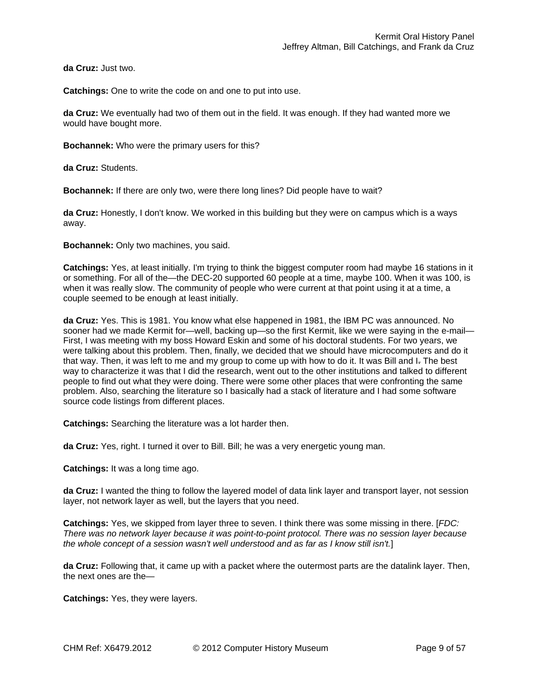**da Cruz:** Just two.

**Catchings:** One to write the code on and one to put into use.

**da Cruz:** We eventually had two of them out in the field. It was enough. If they had wanted more we would have bought more.

**Bochannek:** Who were the primary users for this?

**da Cruz:** Students.

**Bochannek:** If there are only two, were there long lines? Did people have to wait?

**da Cruz:** Honestly, I don't know. We worked in this building but they were on campus which is a ways away.

**Bochannek:** Only two machines, you said.

**Catchings:** Yes, at least initially. I'm trying to think the biggest computer room had maybe 16 stations in it or something. For all of the—the DEC-20 supported 60 people at a time, maybe 100. When it was 100, is when it was really slow. The community of people who were current at that point using it at a time, a couple seemed to be enough at least initially.

**da Cruz:** Yes. This is 1981. You know what else happened in 1981, the IBM PC was announced. No sooner had we made Kermit for—well, backing up—so the first Kermit, like we were saying in the e-mail— First, I was meeting with my boss Howard Eskin and some of his doctoral students. For two years, we were talking about this problem. Then, finally, we decided that we should have microcomputers and do it that way. Then, it was left to me and my group to come up with how to do it. It was Bill and I. The best way to characterize it was that I did the research, went out to the other institutions and talked to different people to find out what they were doing. There were some other places that were confronting the same problem. Also, searching the literature so I basically had a stack of literature and I had some software source code listings from different places.

**Catchings:** Searching the literature was a lot harder then.

**da Cruz:** Yes, right. I turned it over to Bill. Bill; he was a very energetic young man.

**Catchings:** It was a long time ago.

**da Cruz:** I wanted the thing to follow the layered model of data link layer and transport layer, not session layer, not network layer as well, but the layers that you need.

**Catchings:** Yes, we skipped from layer three to seven. I think there was some missing in there. [*FDC: There was no network layer because it was point-to-point protocol. There was no session layer because the whole concept of a session wasn't well understood and as far as I know still isn't.*]

**da Cruz:** Following that, it came up with a packet where the outermost parts are the datalink layer. Then, the next ones are the—

**Catchings:** Yes, they were layers.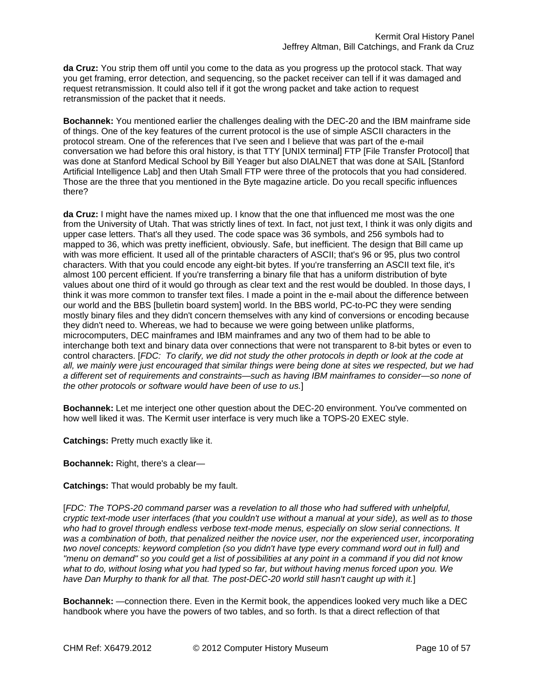**da Cruz:** You strip them off until you come to the data as you progress up the protocol stack. That way you get framing, error detection, and sequencing, so the packet receiver can tell if it was damaged and request retransmission. It could also tell if it got the wrong packet and take action to request retransmission of the packet that it needs.

**Bochannek:** You mentioned earlier the challenges dealing with the DEC-20 and the IBM mainframe side of things. One of the key features of the current protocol is the use of simple ASCII characters in the protocol stream. One of the references that I've seen and I believe that was part of the e-mail conversation we had before this oral history, is that TTY [UNIX terminal] FTP [File Transfer Protocol] that was done at Stanford Medical School by Bill Yeager but also DIALNET that was done at SAIL [Stanford Artificial Intelligence Lab] and then Utah Small FTP were three of the protocols that you had considered. Those are the three that you mentioned in the Byte magazine article. Do you recall specific influences there?

**da Cruz:** I might have the names mixed up. I know that the one that influenced me most was the one from the University of Utah. That was strictly lines of text. In fact, not just text, I think it was only digits and upper case letters. That's all they used. The code space was 36 symbols, and 256 symbols had to mapped to 36, which was pretty inefficient, obviously. Safe, but inefficient. The design that Bill came up with was more efficient. It used all of the printable characters of ASCII; that's 96 or 95, plus two control characters. With that you could encode any eight-bit bytes. If you're transferring an ASCII text file, it's almost 100 percent efficient. If you're transferring a binary file that has a uniform distribution of byte values about one third of it would go through as clear text and the rest would be doubled. In those days, I think it was more common to transfer text files. I made a point in the e-mail about the difference between our world and the BBS [bulletin board system] world. In the BBS world, PC-to-PC they were sending mostly binary files and they didn't concern themselves with any kind of conversions or encoding because they didn't need to. Whereas, we had to because we were going between unlike platforms, microcomputers, DEC mainframes and IBM mainframes and any two of them had to be able to interchange both text and binary data over connections that were not transparent to 8-bit bytes or even to control characters. [*FDC: To clarify, we did not study the other protocols in depth or look at the code at all, we mainly were just encouraged that similar things were being done at sites we respected, but we had a different set of requirements and constraints—such as having IBM mainframes to consider—so none of the other protocols or software would have been of use to us.*]

**Bochannek:** Let me interject one other question about the DEC-20 environment. You've commented on how well liked it was. The Kermit user interface is very much like a TOPS-20 EXEC style.

**Catchings:** Pretty much exactly like it.

**Bochannek:** Right, there's a clear—

**Catchings:** That would probably be my fault.

[*FDC: The TOPS-20 command parser was a revelation to all those who had suffered with unhelpful, cryptic text-mode user interfaces (that you couldn't use without a manual at your side), as well as to those who had to grovel through endless verbose text-mode menus, especially on slow serial connections. It was a combination of both, that penalized neither the novice user, nor the experienced user, incorporating two novel concepts: keyword completion (so you didn't have type every command word out in full) and "menu on demand" so you could get a list of possibilities at any point in a command if you did not know what to do, without losing what you had typed so far, but without having menus forced upon you. We have Dan Murphy to thank for all that. The post-DEC-20 world still hasn't caught up with it.*]

**Bochannek:** —connection there. Even in the Kermit book, the appendices looked very much like a DEC handbook where you have the powers of two tables, and so forth. Is that a direct reflection of that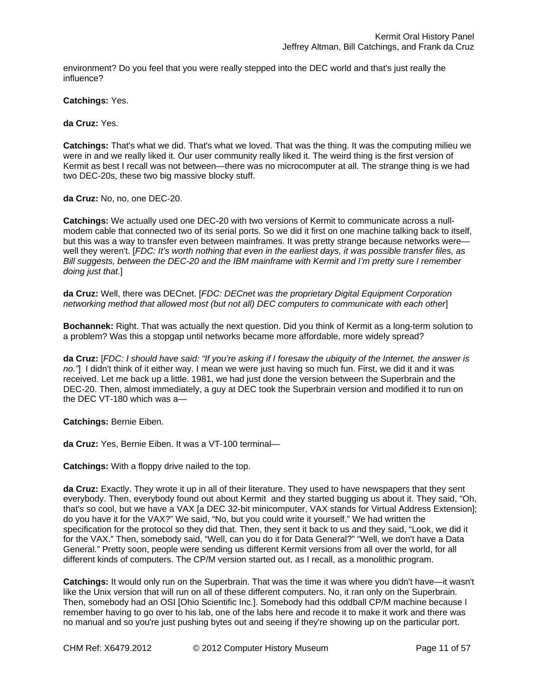environment? Do you feel that you were really stepped into the DEC world and that's just really the influence?

**Catchings:** Yes.

**da Cruz:** Yes.

**Catchings:** That's what we did. That's what we loved. That was the thing. It was the computing milieu we were in and we really liked it. Our user community really liked it. The weird thing is the first version of Kermit as best I recall was not between—there was no microcomputer at all. The strange thing is we had two DEC-20s, these two big massive blocky stuff.

**da Cruz:** No, no, one DEC-20.

**Catchings:** We actually used one DEC-20 with two versions of Kermit to communicate across a nullmodem cable that connected two of its serial ports. So we did it first on one machine talking back to itself, but this was a way to transfer even between mainframes. It was pretty strange because networks were well they weren't. [*FDC: It's worth nothing that even in the earliest days, it was possible transfer files, as Bill suggests, between the DEC-20 and the IBM mainframe with Kermit and I'm pretty sure I remember doing just that.*]

**da Cruz:** Well, there was DECnet. [*FDC: DECnet was the proprietary Digital Equipment Corporation networking method that allowed most (but not all) DEC computers to communicate with each other*]

**Bochannek:** Right. That was actually the next question. Did you think of Kermit as a long-term solution to a problem? Was this a stopgap until networks became more affordable, more widely spread?

**da Cruz:** [*FDC: I should have said: "If you're asking if I foresaw the ubiquity of the Internet, the answer is no."*] I didn't think of it either way. I mean we were just having so much fun. First, we did it and it was received. Let me back up a little. 1981, we had just done the version between the Superbrain and the DEC-20. Then, almost immediately, a guy at DEC took the Superbrain version and modified it to run on the DEC VT-180 which was a—

**Catchings:** Bernie Eiben.

**da Cruz:** Yes, Bernie Eiben. It was a VT-100 terminal—

**Catchings:** With a floppy drive nailed to the top.

**da Cruz:** Exactly. They wrote it up in all of their literature. They used to have newspapers that they sent everybody. Then, everybody found out about Kermit and they started bugging us about it. They said, "Oh, that's so cool, but we have a VAX [a DEC 32-bit minicomputer, VAX stands for Virtual Address Extension]; do you have it for the VAX?" We said, "No, but you could write it yourself." We had written the specification for the protocol so they did that. Then, they sent it back to us and they said, "Look, we did it for the VAX." Then, somebody said, "Well, can you do it for Data General?" "Well, we don't have a Data General." Pretty soon, people were sending us different Kermit versions from all over the world, for all different kinds of computers. The CP/M version started out, as I recall, as a monolithic program.

**Catchings:** It would only run on the Superbrain. That was the time it was where you didn't have—it wasn't like the Unix version that will run on all of these different computers. No, it ran only on the Superbrain. Then, somebody had an OSI [Ohio Scientific Inc.]. Somebody had this oddball CP/M machine because I remember having to go over to his lab, one of the labs here and recode it to make it work and there was no manual and so you're just pushing bytes out and seeing if they're showing up on the particular port.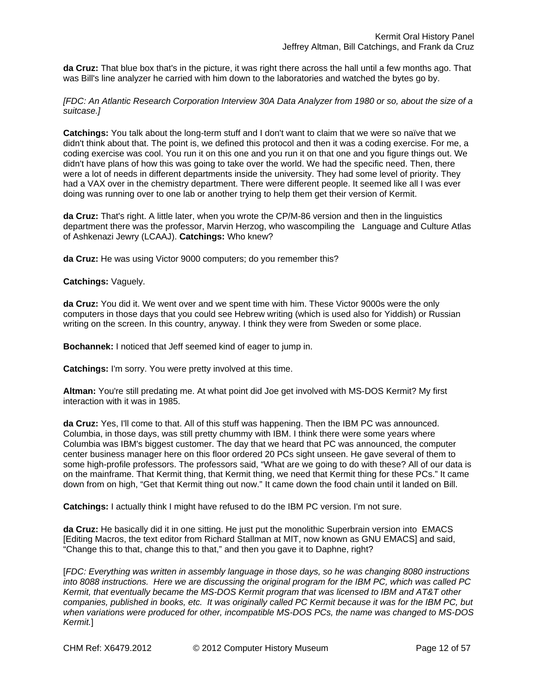**da Cruz:** That blue box that's in the picture, it was right there across the hall until a few months ago. That was Bill's line analyzer he carried with him down to the laboratories and watched the bytes go by.

*[FDC: An Atlantic Research Corporation Interview 30A Data Analyzer from 1980 or so, about the size of a suitcase.]* 

**Catchings:** You talk about the long-term stuff and I don't want to claim that we were so naïve that we didn't think about that. The point is, we defined this protocol and then it was a coding exercise. For me, a coding exercise was cool. You run it on this one and you run it on that one and you figure things out. We didn't have plans of how this was going to take over the world. We had the specific need. Then, there were a lot of needs in different departments inside the university. They had some level of priority. They had a VAX over in the chemistry department. There were different people. It seemed like all I was ever doing was running over to one lab or another trying to help them get their version of Kermit.

**da Cruz:** That's right. A little later, when you wrote the CP/M-86 version and then in the linguistics department there was the professor, Marvin Herzog, who wascompiling the Language and Culture Atlas of Ashkenazi Jewry (LCAAJ). **Catchings:** Who knew?

**da Cruz:** He was using Victor 9000 computers; do you remember this?

#### **Catchings:** Vaguely.

**da Cruz:** You did it. We went over and we spent time with him. These Victor 9000s were the only computers in those days that you could see Hebrew writing (which is used also for Yiddish) or Russian writing on the screen. In this country, anyway. I think they were from Sweden or some place.

**Bochannek:** I noticed that Jeff seemed kind of eager to jump in.

**Catchings:** I'm sorry. You were pretty involved at this time.

**Altman:** You're still predating me. At what point did Joe get involved with MS-DOS Kermit? My first interaction with it was in 1985.

**da Cruz:** Yes, I'll come to that. All of this stuff was happening. Then the IBM PC was announced. Columbia, in those days, was still pretty chummy with IBM. I think there were some years where Columbia was IBM's biggest customer. The day that we heard that PC was announced, the computer center business manager here on this floor ordered 20 PCs sight unseen. He gave several of them to some high-profile professors. The professors said, "What are we going to do with these? All of our data is on the mainframe. That Kermit thing, that Kermit thing, we need that Kermit thing for these PCs." It came down from on high, "Get that Kermit thing out now." It came down the food chain until it landed on Bill.

**Catchings:** I actually think I might have refused to do the IBM PC version. I'm not sure.

**da Cruz:** He basically did it in one sitting. He just put the monolithic Superbrain version into EMACS [Editing Macros, the text editor from Richard Stallman at MIT, now known as GNU EMACS] and said, "Change this to that, change this to that," and then you gave it to Daphne, right?

[*FDC: Everything was written in assembly language in those days, so he was changing 8080 instructions into 8088 instructions. Here we are discussing the original program for the IBM PC, which was called PC Kermit, that eventually became the MS-DOS Kermit program that was licensed to IBM and AT&T other companies, published in books, etc. It was originally called PC Kermit because it was for the IBM PC, but when variations were produced for other, incompatible MS-DOS PCs, the name was changed to MS-DOS Kermit.*]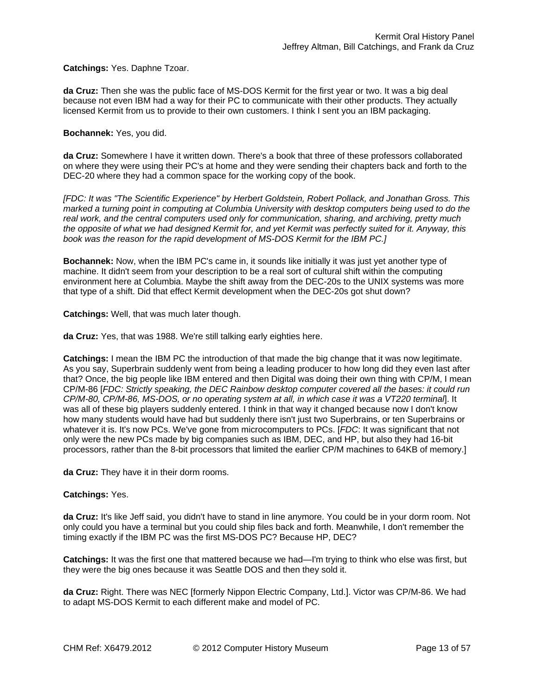**Catchings:** Yes. Daphne Tzoar.

**da Cruz:** Then she was the public face of MS-DOS Kermit for the first year or two. It was a big deal because not even IBM had a way for their PC to communicate with their other products. They actually licensed Kermit from us to provide to their own customers. I think I sent you an IBM packaging.

## **Bochannek:** Yes, you did.

**da Cruz:** Somewhere I have it written down. There's a book that three of these professors collaborated on where they were using their PC's at home and they were sending their chapters back and forth to the DEC-20 where they had a common space for the working copy of the book.

*[FDC: It was "The Scientific Experience" by Herbert Goldstein, Robert Pollack, and Jonathan Gross. This marked a turning point in computing at Columbia University with desktop computers being used to do the real work, and the central computers used only for communication, sharing, and archiving, pretty much the opposite of what we had designed Kermit for, and yet Kermit was perfectly suited for it. Anyway, this book was the reason for the rapid development of MS-DOS Kermit for the IBM PC.]* 

**Bochannek:** Now, when the IBM PC's came in, it sounds like initially it was just yet another type of machine. It didn't seem from your description to be a real sort of cultural shift within the computing environment here at Columbia. Maybe the shift away from the DEC-20s to the UNIX systems was more that type of a shift. Did that effect Kermit development when the DEC-20s got shut down?

**Catchings:** Well, that was much later though.

**da Cruz:** Yes, that was 1988. We're still talking early eighties here.

**Catchings:** I mean the IBM PC the introduction of that made the big change that it was now legitimate. As you say, Superbrain suddenly went from being a leading producer to how long did they even last after that? Once, the big people like IBM entered and then Digital was doing their own thing with CP/M, I mean CP/M-86 [*FDC: Strictly speaking, the DEC Rainbow desktop computer covered all the bases: it could run CP/M-80, CP/M-86, MS-DOS, or no operating system at all, in which case it was a VT220 terminal*]. It was all of these big players suddenly entered. I think in that way it changed because now I don't know how many students would have had but suddenly there isn't just two Superbrains, or ten Superbrains or whatever it is. It's now PCs. We've gone from microcomputers to PCs. [*FDC*: It was significant that not only were the new PCs made by big companies such as IBM, DEC, and HP, but also they had 16-bit processors, rather than the 8-bit processors that limited the earlier CP/M machines to 64KB of memory.]

**da Cruz:** They have it in their dorm rooms.

## **Catchings:** Yes.

**da Cruz:** It's like Jeff said, you didn't have to stand in line anymore. You could be in your dorm room. Not only could you have a terminal but you could ship files back and forth. Meanwhile, I don't remember the timing exactly if the IBM PC was the first MS-DOS PC? Because HP, DEC?

**Catchings:** It was the first one that mattered because we had—I'm trying to think who else was first, but they were the big ones because it was Seattle DOS and then they sold it.

**da Cruz:** Right. There was NEC [formerly Nippon Electric Company, Ltd.]. Victor was CP/M-86. We had to adapt MS-DOS Kermit to each different make and model of PC.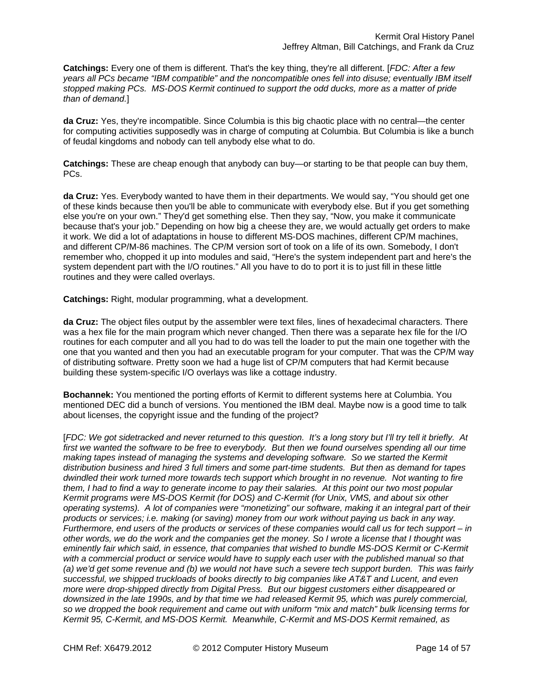**Catchings:** Every one of them is different. That's the key thing, they're all different. [*FDC: After a few years all PCs became "IBM compatible" and the noncompatible ones fell into disuse; eventually IBM itself stopped making PCs. MS-DOS Kermit continued to support the odd ducks, more as a matter of pride than of demand.*]

**da Cruz:** Yes, they're incompatible. Since Columbia is this big chaotic place with no central—the center for computing activities supposedly was in charge of computing at Columbia. But Columbia is like a bunch of feudal kingdoms and nobody can tell anybody else what to do.

**Catchings:** These are cheap enough that anybody can buy—or starting to be that people can buy them, PCs.

**da Cruz:** Yes. Everybody wanted to have them in their departments. We would say, "You should get one of these kinds because then you'll be able to communicate with everybody else. But if you get something else you're on your own." They'd get something else. Then they say, "Now, you make it communicate because that's your job." Depending on how big a cheese they are, we would actually get orders to make it work. We did a lot of adaptations in house to different MS-DOS machines, different CP/M machines, and different CP/M-86 machines. The CP/M version sort of took on a life of its own. Somebody, I don't remember who, chopped it up into modules and said, "Here's the system independent part and here's the system dependent part with the I/O routines." All you have to do to port it is to just fill in these little routines and they were called overlays.

**Catchings:** Right, modular programming, what a development.

**da Cruz:** The object files output by the assembler were text files, lines of hexadecimal characters. There was a hex file for the main program which never changed. Then there was a separate hex file for the I/O routines for each computer and all you had to do was tell the loader to put the main one together with the one that you wanted and then you had an executable program for your computer. That was the CP/M way of distributing software. Pretty soon we had a huge list of CP/M computers that had Kermit because building these system-specific I/O overlays was like a cottage industry.

**Bochannek:** You mentioned the porting efforts of Kermit to different systems here at Columbia. You mentioned DEC did a bunch of versions. You mentioned the IBM deal. Maybe now is a good time to talk about licenses, the copyright issue and the funding of the project?

[*FDC: We got sidetracked and never returned to this question. It's a long story but I'll try tell it briefly. At first we wanted the software to be free to everybody. But then we found ourselves spending all our time making tapes instead of managing the systems and developing software. So we started the Kermit distribution business and hired 3 full timers and some part-time students. But then as demand for tapes dwindled their work turned more towards tech support which brought in no revenue. Not wanting to fire them, I had to find a way to generate income to pay their salaries. At this point our two most popular Kermit programs were MS-DOS Kermit (for DOS) and C-Kermit (for Unix, VMS, and about six other operating systems). A lot of companies were "monetizing" our software, making it an integral part of their products or services; i.e. making (or saving) money from our work without paying us back in any way. Furthermore, end users of the products or services of these companies would call us for tech support – in other words, we do the work and the companies get the money. So I wrote a license that I thought was eminently fair which said, in essence, that companies that wished to bundle MS-DOS Kermit or C-Kermit*  with a commercial product or service would have to supply each user with the published manual so that *(a) we'd get some revenue and (b) we would not have such a severe tech support burden. This was fairly successful, we shipped truckloads of books directly to big companies like AT&T and Lucent, and even more were drop-shipped directly from Digital Press. But our biggest customers either disappeared or downsized in the late 1990s, and by that time we had released Kermit 95, which was purely commercial, so we dropped the book requirement and came out with uniform "mix and match" bulk licensing terms for Kermit 95, C-Kermit, and MS-DOS Kermit. Meanwhile, C-Kermit and MS-DOS Kermit remained, as*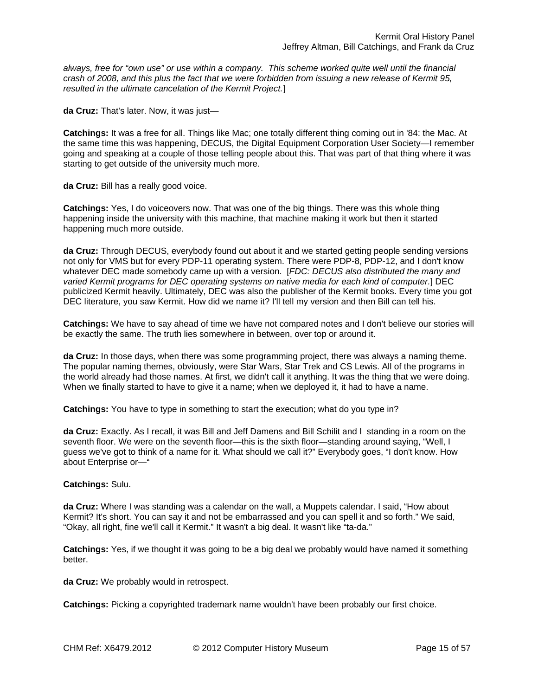*always, free for "own use" or use within a company. This scheme worked quite well until the financial crash of 2008, and this plus the fact that we were forbidden from issuing a new release of Kermit 95, resulted in the ultimate cancelation of the Kermit Project.*]

**da Cruz:** That's later. Now, it was just—

**Catchings:** It was a free for all. Things like Mac; one totally different thing coming out in '84: the Mac. At the same time this was happening, DECUS, the Digital Equipment Corporation User Society—I remember going and speaking at a couple of those telling people about this. That was part of that thing where it was starting to get outside of the university much more.

**da Cruz:** Bill has a really good voice.

**Catchings:** Yes, I do voiceovers now. That was one of the big things. There was this whole thing happening inside the university with this machine, that machine making it work but then it started happening much more outside.

**da Cruz:** Through DECUS, everybody found out about it and we started getting people sending versions not only for VMS but for every PDP-11 operating system. There were PDP-8, PDP-12, and I don't know whatever DEC made somebody came up with a version. [*FDC: DECUS also distributed the many and varied Kermit programs for DEC operating systems on native media for each kind of computer.*] DEC publicized Kermit heavily. Ultimately, DEC was also the publisher of the Kermit books. Every time you got DEC literature, you saw Kermit. How did we name it? I'll tell my version and then Bill can tell his.

**Catchings:** We have to say ahead of time we have not compared notes and I don't believe our stories will be exactly the same. The truth lies somewhere in between, over top or around it.

**da Cruz:** In those days, when there was some programming project, there was always a naming theme. The popular naming themes, obviously, were Star Wars, Star Trek and CS Lewis. All of the programs in the world already had those names. At first, we didn't call it anything. It was the thing that we were doing. When we finally started to have to give it a name; when we deployed it, it had to have a name.

**Catchings:** You have to type in something to start the execution; what do you type in?

**da Cruz:** Exactly. As I recall, it was Bill and Jeff Damens and Bill Schilit and I standing in a room on the seventh floor. We were on the seventh floor—this is the sixth floor—standing around saying, "Well, I guess we've got to think of a name for it. What should we call it?" Everybody goes, "I don't know. How about Enterprise or—"

## **Catchings:** Sulu.

**da Cruz:** Where I was standing was a calendar on the wall, a Muppets calendar. I said, "How about Kermit? It's short. You can say it and not be embarrassed and you can spell it and so forth." We said, "Okay, all right, fine we'll call it Kermit." It wasn't a big deal. It wasn't like "ta-da."

**Catchings:** Yes, if we thought it was going to be a big deal we probably would have named it something better.

**da Cruz:** We probably would in retrospect.

**Catchings:** Picking a copyrighted trademark name wouldn't have been probably our first choice.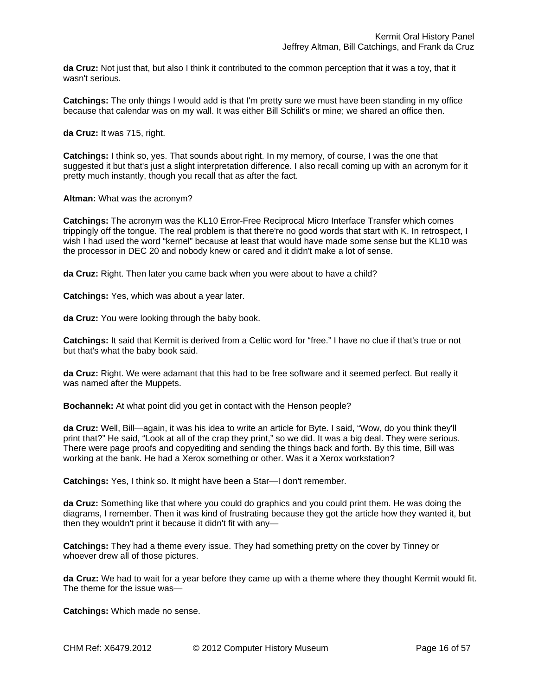**da Cruz:** Not just that, but also I think it contributed to the common perception that it was a toy, that it wasn't serious.

**Catchings:** The only things I would add is that I'm pretty sure we must have been standing in my office because that calendar was on my wall. It was either Bill Schilit's or mine; we shared an office then.

**da Cruz:** It was 715, right.

**Catchings:** I think so, yes. That sounds about right. In my memory, of course, I was the one that suggested it but that's just a slight interpretation difference. I also recall coming up with an acronym for it pretty much instantly, though you recall that as after the fact.

#### **Altman:** What was the acronym?

**Catchings:** The acronym was the KL10 Error-Free Reciprocal Micro Interface Transfer which comes trippingly off the tongue. The real problem is that there're no good words that start with K. In retrospect, I wish I had used the word "kernel" because at least that would have made some sense but the KL10 was the processor in DEC 20 and nobody knew or cared and it didn't make a lot of sense.

**da Cruz:** Right. Then later you came back when you were about to have a child?

**Catchings:** Yes, which was about a year later.

**da Cruz:** You were looking through the baby book.

**Catchings:** It said that Kermit is derived from a Celtic word for "free." I have no clue if that's true or not but that's what the baby book said.

**da Cruz:** Right. We were adamant that this had to be free software and it seemed perfect. But really it was named after the Muppets.

**Bochannek:** At what point did you get in contact with the Henson people?

**da Cruz:** Well, Bill—again, it was his idea to write an article for Byte. I said, "Wow, do you think they'll print that?" He said, "Look at all of the crap they print," so we did. It was a big deal. They were serious. There were page proofs and copyediting and sending the things back and forth. By this time, Bill was working at the bank. He had a Xerox something or other. Was it a Xerox workstation?

**Catchings:** Yes, I think so. It might have been a Star—I don't remember.

**da Cruz:** Something like that where you could do graphics and you could print them. He was doing the diagrams, I remember. Then it was kind of frustrating because they got the article how they wanted it, but then they wouldn't print it because it didn't fit with any—

**Catchings:** They had a theme every issue. They had something pretty on the cover by Tinney or whoever drew all of those pictures.

**da Cruz:** We had to wait for a year before they came up with a theme where they thought Kermit would fit. The theme for the issue was—

**Catchings:** Which made no sense.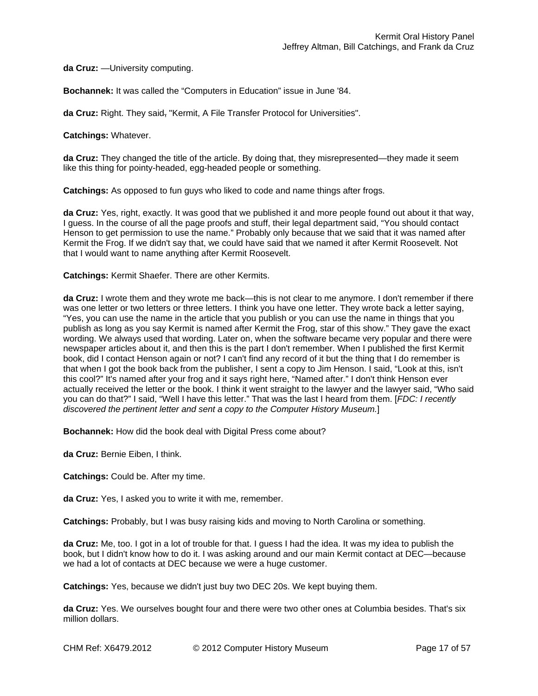**da Cruz:** —University computing.

**Bochannek:** It was called the "Computers in Education" issue in June '84.

**da Cruz:** Right. They said, "Kermit, A File Transfer Protocol for Universities".

**Catchings:** Whatever.

**da Cruz:** They changed the title of the article. By doing that, they misrepresented—they made it seem like this thing for pointy-headed, egg-headed people or something.

**Catchings:** As opposed to fun guys who liked to code and name things after frogs.

**da Cruz:** Yes, right, exactly. It was good that we published it and more people found out about it that way, I guess. In the course of all the page proofs and stuff, their legal department said, "You should contact Henson to get permission to use the name." Probably only because that we said that it was named after Kermit the Frog. If we didn't say that, we could have said that we named it after Kermit Roosevelt. Not that I would want to name anything after Kermit Roosevelt.

**Catchings:** Kermit Shaefer. There are other Kermits.

**da Cruz:** I wrote them and they wrote me back—this is not clear to me anymore. I don't remember if there was one letter or two letters or three letters. I think you have one letter. They wrote back a letter saying, "Yes, you can use the name in the article that you publish or you can use the name in things that you publish as long as you say Kermit is named after Kermit the Frog, star of this show." They gave the exact wording. We always used that wording. Later on, when the software became very popular and there were newspaper articles about it, and then this is the part I don't remember. When I published the first Kermit book, did I contact Henson again or not? I can't find any record of it but the thing that I do remember is that when I got the book back from the publisher, I sent a copy to Jim Henson. I said, "Look at this, isn't this cool?" It's named after your frog and it says right here, "Named after." I don't think Henson ever actually received the letter or the book. I think it went straight to the lawyer and the lawyer said, "Who said you can do that?" I said, "Well I have this letter." That was the last I heard from them. [*FDC: I recently discovered the pertinent letter and sent a copy to the Computer History Museum.*]

**Bochannek:** How did the book deal with Digital Press come about?

**da Cruz:** Bernie Eiben, I think.

**Catchings:** Could be. After my time.

**da Cruz:** Yes, I asked you to write it with me, remember.

**Catchings:** Probably, but I was busy raising kids and moving to North Carolina or something.

**da Cruz:** Me, too. I got in a lot of trouble for that. I guess I had the idea. It was my idea to publish the book, but I didn't know how to do it. I was asking around and our main Kermit contact at DEC—because we had a lot of contacts at DEC because we were a huge customer.

**Catchings:** Yes, because we didn't just buy two DEC 20s. We kept buying them.

**da Cruz:** Yes. We ourselves bought four and there were two other ones at Columbia besides. That's six million dollars.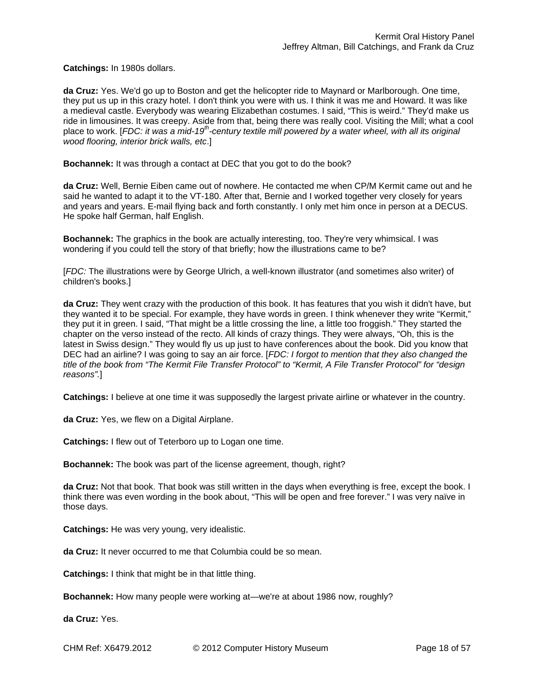**Catchings:** In 1980s dollars.

**da Cruz:** Yes. We'd go up to Boston and get the helicopter ride to Maynard or Marlborough. One time, they put us up in this crazy hotel. I don't think you were with us. I think it was me and Howard. It was like a medieval castle. Everybody was wearing Elizabethan costumes. I said, "This is weird." They'd make us ride in limousines. It was creepy. Aside from that, being there was really cool. Visiting the Mill; what a cool place to work. [*FDC: it was a mid-19th-century textile mill powered by a water wheel, with all its original wood flooring, interior brick walls, etc*.]

**Bochannek:** It was through a contact at DEC that you got to do the book?

**da Cruz:** Well, Bernie Eiben came out of nowhere. He contacted me when CP/M Kermit came out and he said he wanted to adapt it to the VT-180. After that, Bernie and I worked together very closely for years and years and years. E-mail flying back and forth constantly. I only met him once in person at a DECUS. He spoke half German, half English.

**Bochannek:** The graphics in the book are actually interesting, too. They're very whimsical. I was wondering if you could tell the story of that briefly; how the illustrations came to be?

[*FDC:* The illustrations were by George Ulrich, a well-known illustrator (and sometimes also writer) of children's books.]

**da Cruz:** They went crazy with the production of this book. It has features that you wish it didn't have, but they wanted it to be special. For example, they have words in green. I think whenever they write "Kermit," they put it in green. I said, "That might be a little crossing the line, a little too froggish." They started the chapter on the verso instead of the recto. All kinds of crazy things. They were always, "Oh, this is the latest in Swiss design." They would fly us up just to have conferences about the book. Did you know that DEC had an airline? I was going to say an air force. [*FDC: I forgot to mention that they also changed the title of the book from "The Kermit File Transfer Protocol" to "Kermit, A File Transfer Protocol" for "design reasons".*]

**Catchings:** I believe at one time it was supposedly the largest private airline or whatever in the country.

**da Cruz:** Yes, we flew on a Digital Airplane.

**Catchings:** I flew out of Teterboro up to Logan one time.

**Bochannek:** The book was part of the license agreement, though, right?

**da Cruz:** Not that book. That book was still written in the days when everything is free, except the book. I think there was even wording in the book about, "This will be open and free forever." I was very naïve in those days.

**Catchings:** He was very young, very idealistic.

**da Cruz:** It never occurred to me that Columbia could be so mean.

**Catchings:** I think that might be in that little thing.

**Bochannek:** How many people were working at—we're at about 1986 now, roughly?

**da Cruz:** Yes.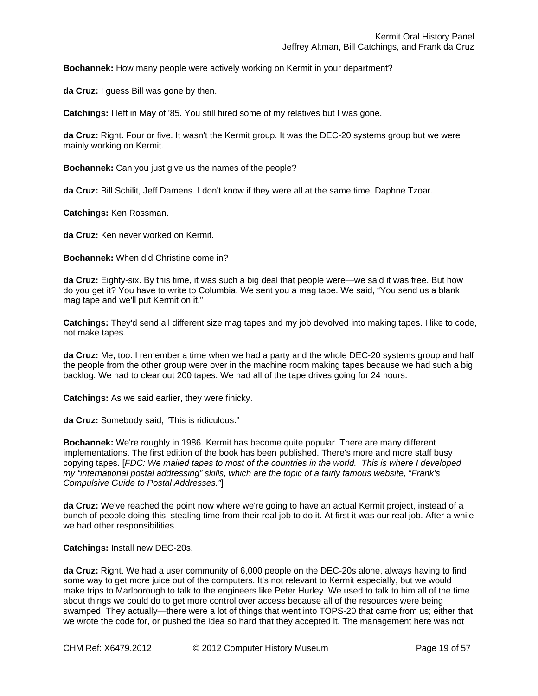**Bochannek:** How many people were actively working on Kermit in your department?

**da Cruz:** I guess Bill was gone by then.

**Catchings:** I left in May of '85. You still hired some of my relatives but I was gone.

**da Cruz:** Right. Four or five. It wasn't the Kermit group. It was the DEC-20 systems group but we were mainly working on Kermit.

**Bochannek:** Can you just give us the names of the people?

**da Cruz:** Bill Schilit, Jeff Damens. I don't know if they were all at the same time. Daphne Tzoar.

**Catchings:** Ken Rossman.

**da Cruz:** Ken never worked on Kermit.

**Bochannek:** When did Christine come in?

**da Cruz:** Eighty-six. By this time, it was such a big deal that people were—we said it was free. But how do you get it? You have to write to Columbia. We sent you a mag tape. We said, "You send us a blank mag tape and we'll put Kermit on it."

**Catchings:** They'd send all different size mag tapes and my job devolved into making tapes. I like to code, not make tapes.

**da Cruz:** Me, too. I remember a time when we had a party and the whole DEC-20 systems group and half the people from the other group were over in the machine room making tapes because we had such a big backlog. We had to clear out 200 tapes. We had all of the tape drives going for 24 hours.

**Catchings:** As we said earlier, they were finicky.

**da Cruz:** Somebody said, "This is ridiculous."

**Bochannek:** We're roughly in 1986. Kermit has become quite popular. There are many different implementations. The first edition of the book has been published. There's more and more staff busy copying tapes. [*FDC: We mailed tapes to most of the countries in the world. This is where I developed my "international postal addressing" skills, which are the topic of a fairly famous website, "Frank's Compulsive Guide to Postal Addresses."*]

**da Cruz:** We've reached the point now where we're going to have an actual Kermit project, instead of a bunch of people doing this, stealing time from their real job to do it. At first it was our real job. After a while we had other responsibilities.

**Catchings:** Install new DEC-20s.

**da Cruz:** Right. We had a user community of 6,000 people on the DEC-20s alone, always having to find some way to get more juice out of the computers. It's not relevant to Kermit especially, but we would make trips to Marlborough to talk to the engineers like Peter Hurley. We used to talk to him all of the time about things we could do to get more control over access because all of the resources were being swamped. They actually—there were a lot of things that went into TOPS-20 that came from us; either that we wrote the code for, or pushed the idea so hard that they accepted it. The management here was not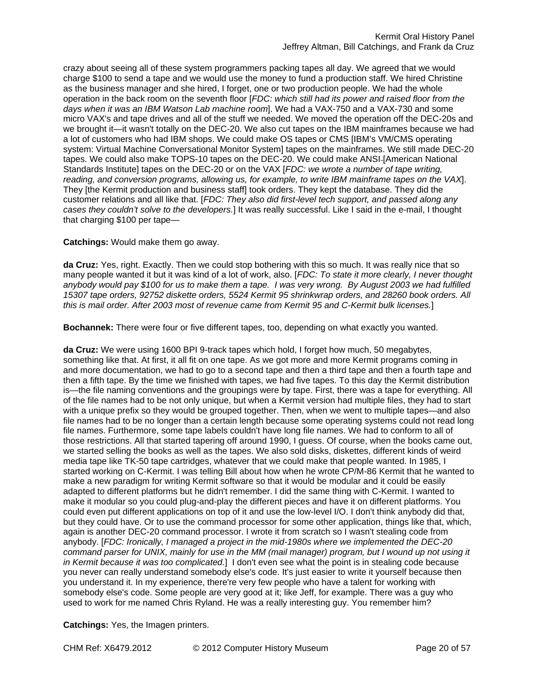crazy about seeing all of these system programmers packing tapes all day. We agreed that we would charge \$100 to send a tape and we would use the money to fund a production staff. We hired Christine as the business manager and she hired, I forget, one or two production people. We had the whole operation in the back room on the seventh floor [*FDC: which still had its power and raised floor from the days when it was an IBM Watson Lab machine room*]. We had a VAX-750 and a VAX-730 and some micro VAX's and tape drives and all of the stuff we needed. We moved the operation off the DEC-20s and we brought it—it wasn't totally on the DEC-20. We also cut tapes on the IBM mainframes because we had a lot of customers who had IBM shops. We could make OS tapes or CMS [IBM's VM/CMS operating system: Virtual Machine Conversational Monitor System] tapes on the mainframes. We still made DEC-20 tapes. We could also make TOPS-10 tapes on the DEC-20. We could make ANSI-[American National Standards Institute] tapes on the DEC-20 or on the VAX [*FDC: we wrote a number of tape writing, reading, and conversion programs, allowing us, for example, to write IBM mainframe tapes on the VAX*]. They [the Kermit production and business staff] took orders. They kept the database. They did the customer relations and all like that. [*FDC: They also did first-level tech support, and passed along any cases they couldn't solve to the developers.*] It was really successful. Like I said in the e-mail, I thought that charging \$100 per tape—

**Catchings:** Would make them go away.

**da Cruz:** Yes, right. Exactly. Then we could stop bothering with this so much. It was really nice that so many people wanted it but it was kind of a lot of work, also. [*FDC: To state it more clearly, I never thought anybody would pay \$100 for us to make them a tape. I was very wrong. By August 2003 we had fulfilled 15307 tape orders, 92752 diskette orders, 5524 Kermit 95 shrinkwrap orders, and 28260 book orders. All this is mail order. After 2003 most of revenue came from Kermit 95 and C-Kermit bulk licenses.*]

**Bochannek:** There were four or five different tapes, too, depending on what exactly you wanted.

**da Cruz:** We were using 1600 BPI 9-track tapes which hold, I forget how much, 50 megabytes, something like that. At first, it all fit on one tape. As we got more and more Kermit programs coming in and more documentation, we had to go to a second tape and then a third tape and then a fourth tape and then a fifth tape. By the time we finished with tapes, we had five tapes. To this day the Kermit distribution is—the file naming conventions and the groupings were by tape. First, there was a tape for everything. All of the file names had to be not only unique, but when a Kermit version had multiple files, they had to start with a unique prefix so they would be grouped together. Then, when we went to multiple tapes—and also file names had to be no longer than a certain length because some operating systems could not read long file names. Furthermore, some tape labels couldn't have long file names. We had to conform to all of those restrictions. All that started tapering off around 1990, I guess. Of course, when the books came out, we started selling the books as well as the tapes. We also sold disks, diskettes, different kinds of weird media tape like TK-50 tape cartridges, whatever that we could make that people wanted. In 1985, I started working on C-Kermit. I was telling Bill about how when he wrote CP/M-86 Kermit that he wanted to make a new paradigm for writing Kermit software so that it would be modular and it could be easily adapted to different platforms but he didn't remember. I did the same thing with C-Kermit. I wanted to make it modular so you could plug-and-play the different pieces and have it on different platforms. You could even put different applications on top of it and use the low-level I/O. I don't think anybody did that, but they could have. Or to use the command processor for some other application, things like that, which, again is another DEC-20 command processor. I wrote it from scratch so I wasn't stealing code from anybody. [*FDC: Ironically, I managed a project in the mid-1980s where we implemented the DEC-20 command parser for UNIX, mainly for use in the MM (mail manager) program, but I wound up not using it in Kermit because it was too complicated.*] I don't even see what the point is in stealing code because you never can really understand somebody else's code. It's just easier to write it yourself because then you understand it. In my experience, there're very few people who have a talent for working with somebody else's code. Some people are very good at it; like Jeff, for example. There was a guy who used to work for me named Chris Ryland. He was a really interesting guy. You remember him?

**Catchings:** Yes, the Imagen printers.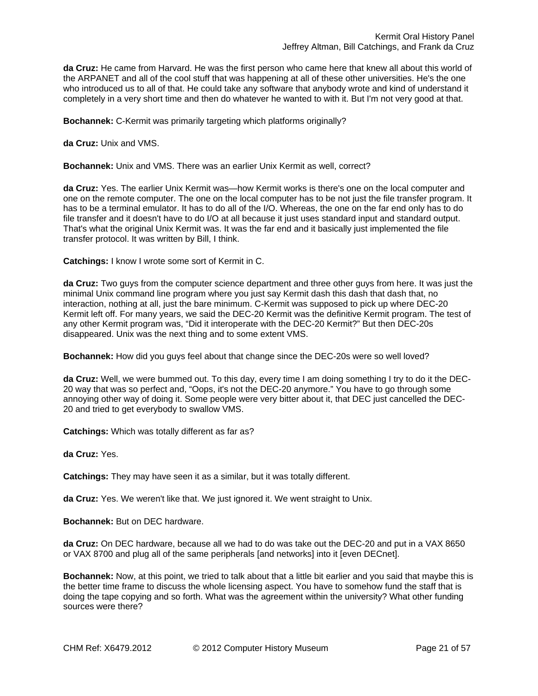**da Cruz:** He came from Harvard. He was the first person who came here that knew all about this world of the ARPANET and all of the cool stuff that was happening at all of these other universities. He's the one who introduced us to all of that. He could take any software that anybody wrote and kind of understand it completely in a very short time and then do whatever he wanted to with it. But I'm not very good at that.

**Bochannek:** C-Kermit was primarily targeting which platforms originally?

**da Cruz:** Unix and VMS.

**Bochannek:** Unix and VMS. There was an earlier Unix Kermit as well, correct?

**da Cruz:** Yes. The earlier Unix Kermit was—how Kermit works is there's one on the local computer and one on the remote computer. The one on the local computer has to be not just the file transfer program. It has to be a terminal emulator. It has to do all of the I/O. Whereas, the one on the far end only has to do file transfer and it doesn't have to do I/O at all because it just uses standard input and standard output. That's what the original Unix Kermit was. It was the far end and it basically just implemented the file transfer protocol. It was written by Bill, I think.

**Catchings:** I know I wrote some sort of Kermit in C.

**da Cruz:** Two guys from the computer science department and three other guys from here. It was just the minimal Unix command line program where you just say Kermit dash this dash that dash that, no interaction, nothing at all, just the bare minimum. C-Kermit was supposed to pick up where DEC-20 Kermit left off. For many years, we said the DEC-20 Kermit was the definitive Kermit program. The test of any other Kermit program was, "Did it interoperate with the DEC-20 Kermit?" But then DEC-20s disappeared. Unix was the next thing and to some extent VMS.

**Bochannek:** How did you guys feel about that change since the DEC-20s were so well loved?

**da Cruz:** Well, we were bummed out. To this day, every time I am doing something I try to do it the DEC-20 way that was so perfect and, "Oops, it's not the DEC-20 anymore." You have to go through some annoying other way of doing it. Some people were very bitter about it, that DEC just cancelled the DEC-20 and tried to get everybody to swallow VMS.

**Catchings:** Which was totally different as far as?

**da Cruz:** Yes.

**Catchings:** They may have seen it as a similar, but it was totally different.

**da Cruz:** Yes. We weren't like that. We just ignored it. We went straight to Unix.

**Bochannek:** But on DEC hardware.

**da Cruz:** On DEC hardware, because all we had to do was take out the DEC-20 and put in a VAX 8650 or VAX 8700 and plug all of the same peripherals [and networks] into it [even DECnet].

**Bochannek:** Now, at this point, we tried to talk about that a little bit earlier and you said that maybe this is the better time frame to discuss the whole licensing aspect. You have to somehow fund the staff that is doing the tape copying and so forth. What was the agreement within the university? What other funding sources were there?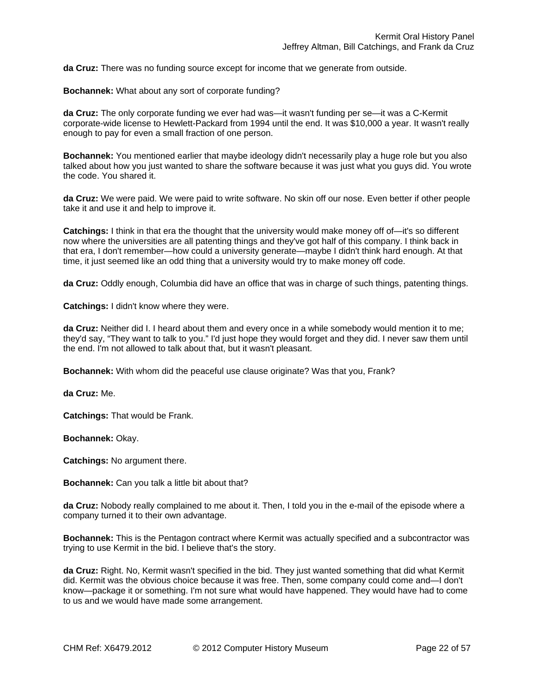**da Cruz:** There was no funding source except for income that we generate from outside.

**Bochannek:** What about any sort of corporate funding?

**da Cruz:** The only corporate funding we ever had was—it wasn't funding per se—it was a C-Kermit corporate-wide license to Hewlett-Packard from 1994 until the end. It was \$10,000 a year. It wasn't really enough to pay for even a small fraction of one person.

**Bochannek:** You mentioned earlier that maybe ideology didn't necessarily play a huge role but you also talked about how you just wanted to share the software because it was just what you guys did. You wrote the code. You shared it.

**da Cruz:** We were paid. We were paid to write software. No skin off our nose. Even better if other people take it and use it and help to improve it.

**Catchings:** I think in that era the thought that the university would make money off of—it's so different now where the universities are all patenting things and they've got half of this company. I think back in that era, I don't remember—how could a university generate—maybe I didn't think hard enough. At that time, it just seemed like an odd thing that a university would try to make money off code.

**da Cruz:** Oddly enough, Columbia did have an office that was in charge of such things, patenting things.

**Catchings:** I didn't know where they were.

**da Cruz:** Neither did I. I heard about them and every once in a while somebody would mention it to me; they'd say, "They want to talk to you." I'd just hope they would forget and they did. I never saw them until the end. I'm not allowed to talk about that, but it wasn't pleasant.

**Bochannek:** With whom did the peaceful use clause originate? Was that you, Frank?

**da Cruz:** Me.

**Catchings:** That would be Frank.

**Bochannek:** Okay.

**Catchings:** No argument there.

**Bochannek:** Can you talk a little bit about that?

**da Cruz:** Nobody really complained to me about it. Then, I told you in the e-mail of the episode where a company turned it to their own advantage.

**Bochannek:** This is the Pentagon contract where Kermit was actually specified and a subcontractor was trying to use Kermit in the bid. I believe that's the story.

**da Cruz:** Right. No, Kermit wasn't specified in the bid. They just wanted something that did what Kermit did. Kermit was the obvious choice because it was free. Then, some company could come and—I don't know—package it or something. I'm not sure what would have happened. They would have had to come to us and we would have made some arrangement.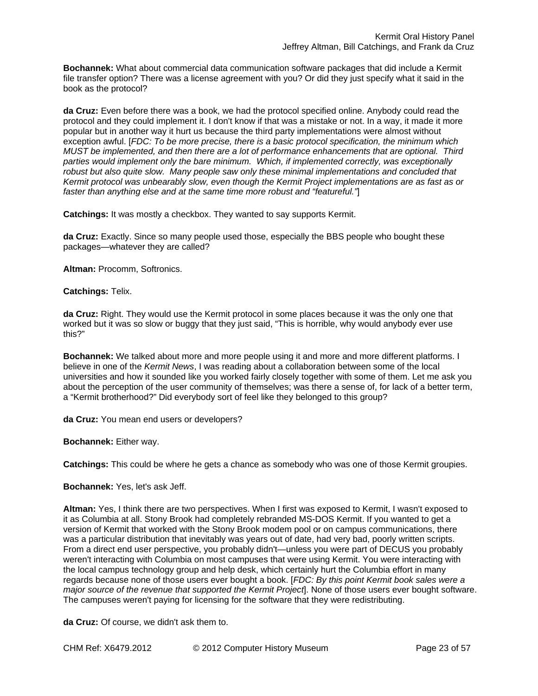**Bochannek:** What about commercial data communication software packages that did include a Kermit file transfer option? There was a license agreement with you? Or did they just specify what it said in the book as the protocol?

**da Cruz:** Even before there was a book, we had the protocol specified online. Anybody could read the protocol and they could implement it. I don't know if that was a mistake or not. In a way, it made it more popular but in another way it hurt us because the third party implementations were almost without exception awful. [*FDC: To be more precise, there is a basic protocol specification, the minimum which MUST be implemented, and then there are a lot of performance enhancements that are optional. Third parties would implement only the bare minimum. Which, if implemented correctly, was exceptionally robust but also quite slow. Many people saw only these minimal implementations and concluded that Kermit protocol was unbearably slow, even though the Kermit Project implementations are as fast as or faster than anything else and at the same time more robust and "featureful."*]

**Catchings:** It was mostly a checkbox. They wanted to say supports Kermit.

**da Cruz:** Exactly. Since so many people used those, especially the BBS people who bought these packages—whatever they are called?

**Altman:** Procomm, Softronics.

**Catchings:** Telix.

**da Cruz:** Right. They would use the Kermit protocol in some places because it was the only one that worked but it was so slow or buggy that they just said, "This is horrible, why would anybody ever use this?"

**Bochannek:** We talked about more and more people using it and more and more different platforms. I believe in one of the *Kermit News*, I was reading about a collaboration between some of the local universities and how it sounded like you worked fairly closely together with some of them. Let me ask you about the perception of the user community of themselves; was there a sense of, for lack of a better term, a "Kermit brotherhood?" Did everybody sort of feel like they belonged to this group?

**da Cruz:** You mean end users or developers?

**Bochannek:** Either way.

**Catchings:** This could be where he gets a chance as somebody who was one of those Kermit groupies.

**Bochannek:** Yes, let's ask Jeff.

**Altman:** Yes, I think there are two perspectives. When I first was exposed to Kermit, I wasn't exposed to it as Columbia at all. Stony Brook had completely rebranded MS-DOS Kermit. If you wanted to get a version of Kermit that worked with the Stony Brook modem pool or on campus communications, there was a particular distribution that inevitably was years out of date, had very bad, poorly written scripts. From a direct end user perspective, you probably didn't—unless you were part of DECUS you probably weren't interacting with Columbia on most campuses that were using Kermit. You were interacting with the local campus technology group and help desk, which certainly hurt the Columbia effort in many regards because none of those users ever bought a book. [*FDC: By this point Kermit book sales were a major source of the revenue that supported the Kermit Project*]. None of those users ever bought software. The campuses weren't paying for licensing for the software that they were redistributing.

**da Cruz:** Of course, we didn't ask them to.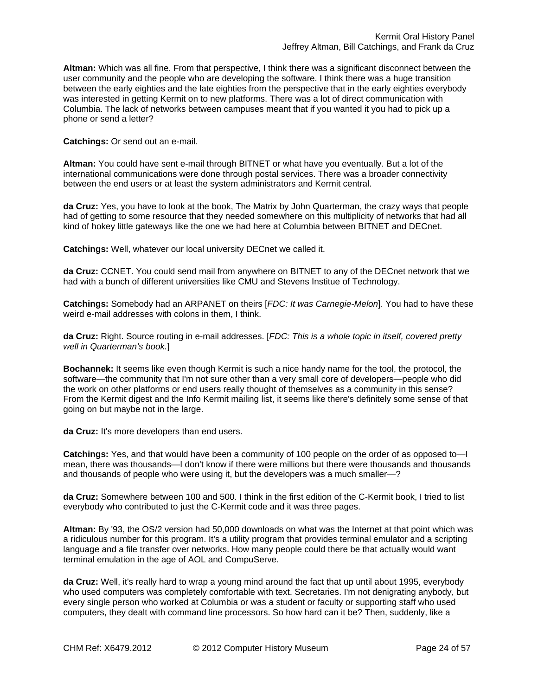**Altman:** Which was all fine. From that perspective, I think there was a significant disconnect between the user community and the people who are developing the software. I think there was a huge transition between the early eighties and the late eighties from the perspective that in the early eighties everybody was interested in getting Kermit on to new platforms. There was a lot of direct communication with Columbia. The lack of networks between campuses meant that if you wanted it you had to pick up a phone or send a letter?

**Catchings:** Or send out an e-mail.

**Altman:** You could have sent e-mail through BITNET or what have you eventually. But a lot of the international communications were done through postal services. There was a broader connectivity between the end users or at least the system administrators and Kermit central.

**da Cruz:** Yes, you have to look at the book, The Matrix by John Quarterman, the crazy ways that people had of getting to some resource that they needed somewhere on this multiplicity of networks that had all kind of hokey little gateways like the one we had here at Columbia between BITNET and DECnet.

**Catchings:** Well, whatever our local university DECnet we called it.

**da Cruz:** CCNET. You could send mail from anywhere on BITNET to any of the DECnet network that we had with a bunch of different universities like CMU and Stevens Institue of Technology.

**Catchings:** Somebody had an ARPANET on theirs [*FDC: It was Carnegie-Melon*]. You had to have these weird e-mail addresses with colons in them, I think.

**da Cruz:** Right. Source routing in e-mail addresses. [*FDC: This is a whole topic in itself, covered pretty well in Quarterman's book.*]

**Bochannek:** It seems like even though Kermit is such a nice handy name for the tool, the protocol, the software—the community that I'm not sure other than a very small core of developers—people who did the work on other platforms or end users really thought of themselves as a community in this sense? From the Kermit digest and the Info Kermit mailing list, it seems like there's definitely some sense of that going on but maybe not in the large.

**da Cruz:** It's more developers than end users.

**Catchings:** Yes, and that would have been a community of 100 people on the order of as opposed to—I mean, there was thousands—I don't know if there were millions but there were thousands and thousands and thousands of people who were using it, but the developers was a much smaller—?

**da Cruz:** Somewhere between 100 and 500. I think in the first edition of the C-Kermit book, I tried to list everybody who contributed to just the C-Kermit code and it was three pages.

**Altman:** By '93, the OS/2 version had 50,000 downloads on what was the Internet at that point which was a ridiculous number for this program. It's a utility program that provides terminal emulator and a scripting language and a file transfer over networks. How many people could there be that actually would want terminal emulation in the age of AOL and CompuServe.

**da Cruz:** Well, it's really hard to wrap a young mind around the fact that up until about 1995, everybody who used computers was completely comfortable with text. Secretaries. I'm not denigrating anybody, but every single person who worked at Columbia or was a student or faculty or supporting staff who used computers, they dealt with command line processors. So how hard can it be? Then, suddenly, like a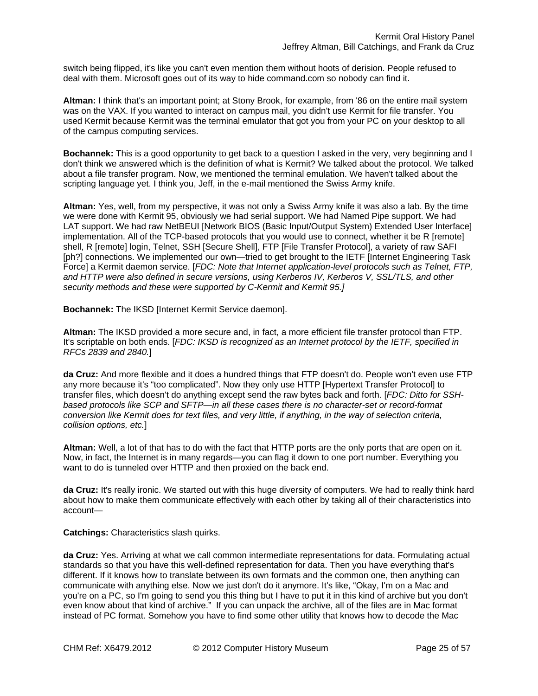switch being flipped, it's like you can't even mention them without hoots of derision. People refused to deal with them. Microsoft goes out of its way to hide command.com so nobody can find it.

**Altman:** I think that's an important point; at Stony Brook, for example, from '86 on the entire mail system was on the VAX. If you wanted to interact on campus mail, you didn't use Kermit for file transfer. You used Kermit because Kermit was the terminal emulator that got you from your PC on your desktop to all of the campus computing services.

**Bochannek:** This is a good opportunity to get back to a question I asked in the very, very beginning and I don't think we answered which is the definition of what is Kermit? We talked about the protocol. We talked about a file transfer program. Now, we mentioned the terminal emulation. We haven't talked about the scripting language yet. I think you, Jeff, in the e-mail mentioned the Swiss Army knife.

**Altman:** Yes, well, from my perspective, it was not only a Swiss Army knife it was also a lab. By the time we were done with Kermit 95, obviously we had serial support. We had Named Pipe support. We had LAT support. We had raw NetBEUI [Network BIOS (Basic Input/Output System) Extended User Interface] implementation. All of the TCP-based protocols that you would use to connect, whether it be R [remote] shell, R [remote] login, Telnet, SSH [Secure Shell], FTP [File Transfer Protocol], a variety of raw SAFI [ph?] connections. We implemented our own—tried to get brought to the IETF [Internet Engineering Task Force] a Kermit daemon service. [*FDC: Note that Internet application-level protocols such as Telnet, FTP, and HTTP were also defined in secure versions, using Kerberos IV, Kerberos V, SSL/TLS, and other security methods and these were supported by C-Kermit and Kermit 95.]*

**Bochannek:** The IKSD [Internet Kermit Service daemon].

**Altman:** The IKSD provided a more secure and, in fact, a more efficient file transfer protocol than FTP. It's scriptable on both ends. [*FDC: IKSD is recognized as an Internet protocol by the IETF, specified in RFCs 2839 and 2840.*]

**da Cruz:** And more flexible and it does a hundred things that FTP doesn't do. People won't even use FTP any more because it's "too complicated". Now they only use HTTP [Hypertext Transfer Protocol] to transfer files, which doesn't do anything except send the raw bytes back and forth. [*FDC: Ditto for SSHbased protocols like SCP and SFTP—in all these cases there is no character-set or record-format conversion like Kermit does for text files, and very little, if anything, in the way of selection criteria, collision options, etc.*]

**Altman:** Well, a lot of that has to do with the fact that HTTP ports are the only ports that are open on it. Now, in fact, the Internet is in many regards—you can flag it down to one port number. Everything you want to do is tunneled over HTTP and then proxied on the back end.

**da Cruz:** It's really ironic. We started out with this huge diversity of computers. We had to really think hard about how to make them communicate effectively with each other by taking all of their characteristics into account—

**Catchings:** Characteristics slash quirks.

**da Cruz:** Yes. Arriving at what we call common intermediate representations for data. Formulating actual standards so that you have this well-defined representation for data. Then you have everything that's different. If it knows how to translate between its own formats and the common one, then anything can communicate with anything else. Now we just don't do it anymore. It's like, "Okay, I'm on a Mac and you're on a PC, so I'm going to send you this thing but I have to put it in this kind of archive but you don't even know about that kind of archive." If you can unpack the archive, all of the files are in Mac format instead of PC format. Somehow you have to find some other utility that knows how to decode the Mac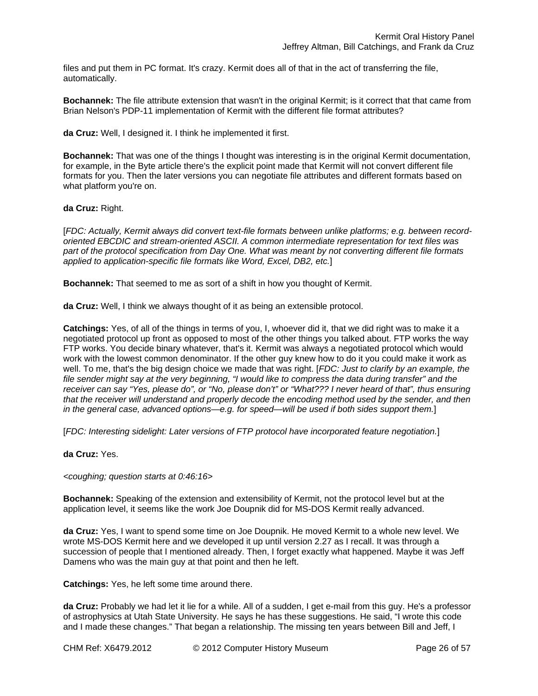files and put them in PC format. It's crazy. Kermit does all of that in the act of transferring the file, automatically.

**Bochannek:** The file attribute extension that wasn't in the original Kermit; is it correct that that came from Brian Nelson's PDP-11 implementation of Kermit with the different file format attributes?

**da Cruz:** Well, I designed it. I think he implemented it first.

**Bochannek:** That was one of the things I thought was interesting is in the original Kermit documentation, for example, in the Byte article there's the explicit point made that Kermit will not convert different file formats for you. Then the later versions you can negotiate file attributes and different formats based on what platform you're on.

**da Cruz:** Right.

[*FDC: Actually, Kermit always did convert text-file formats between unlike platforms; e.g. between recordoriented EBCDIC and stream-oriented ASCII. A common intermediate representation for text files was part of the protocol specification from Day One. What was meant by not converting different file formats applied to application-specific file formats like Word, Excel, DB2, etc.*]

**Bochannek:** That seemed to me as sort of a shift in how you thought of Kermit.

**da Cruz:** Well, I think we always thought of it as being an extensible protocol.

**Catchings:** Yes, of all of the things in terms of you, I, whoever did it, that we did right was to make it a negotiated protocol up front as opposed to most of the other things you talked about. FTP works the way FTP works. You decide binary whatever, that's it. Kermit was always a negotiated protocol which would work with the lowest common denominator. If the other guy knew how to do it you could make it work as well. To me, that's the big design choice we made that was right. [*FDC: Just to clarify by an example, the file sender might say at the very beginning, "I would like to compress the data during transfer" and the receiver can say "Yes, please do", or "No, please don't" or "What??? I never heard of that", thus ensuring that the receiver will understand and properly decode the encoding method used by the sender, and then in the general case, advanced options—e.g. for speed—will be used if both sides support them.*]

[*FDC: Interesting sidelight: Later versions of FTP protocol have incorporated feature negotiation.*]

**da Cruz:** Yes.

*<coughing; question starts at 0:46:16>* 

**Bochannek:** Speaking of the extension and extensibility of Kermit, not the protocol level but at the application level, it seems like the work Joe Doupnik did for MS-DOS Kermit really advanced.

**da Cruz:** Yes, I want to spend some time on Joe Doupnik. He moved Kermit to a whole new level. We wrote MS-DOS Kermit here and we developed it up until version 2.27 as I recall. It was through a succession of people that I mentioned already. Then, I forget exactly what happened. Maybe it was Jeff Damens who was the main guy at that point and then he left.

**Catchings:** Yes, he left some time around there.

**da Cruz:** Probably we had let it lie for a while. All of a sudden, I get e-mail from this guy. He's a professor of astrophysics at Utah State University. He says he has these suggestions. He said, "I wrote this code and I made these changes." That began a relationship. The missing ten years between Bill and Jeff, I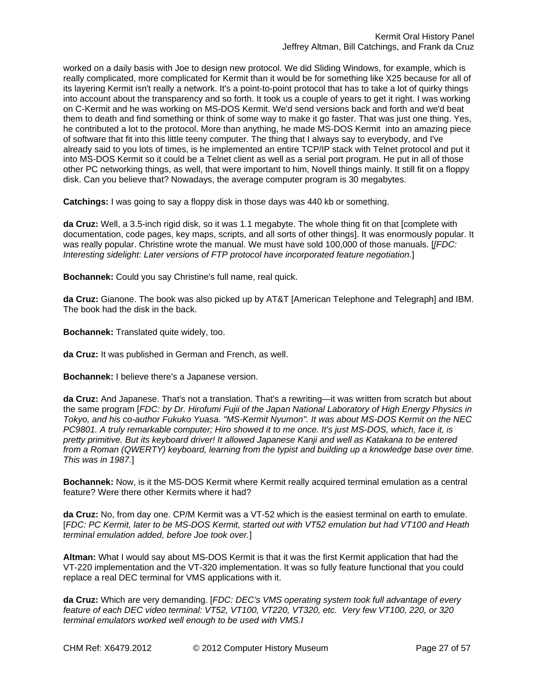worked on a daily basis with Joe to design new protocol. We did Sliding Windows, for example, which is really complicated, more complicated for Kermit than it would be for something like X25 because for all of its layering Kermit isn't really a network. It's a point-to-point protocol that has to take a lot of quirky things into account about the transparency and so forth. It took us a couple of years to get it right. I was working on C-Kermit and he was working on MS-DOS Kermit. We'd send versions back and forth and we'd beat them to death and find something or think of some way to make it go faster. That was just one thing. Yes, he contributed a lot to the protocol. More than anything, he made MS-DOS Kermit into an amazing piece of software that fit into this little teeny computer. The thing that I always say to everybody, and I've already said to you lots of times, is he implemented an entire TCP/IP stack with Telnet protocol and put it into MS-DOS Kermit so it could be a Telnet client as well as a serial port program. He put in all of those other PC networking things, as well, that were important to him, Novell things mainly. It still fit on a floppy disk. Can you believe that? Nowadays, the average computer program is 30 megabytes.

**Catchings:** I was going to say a floppy disk in those days was 440 kb or something.

**da Cruz:** Well, a 3.5-inch rigid disk, so it was 1.1 megabyte. The whole thing fit on that [complete with documentation, code pages, key maps, scripts, and all sorts of other things]. It was enormously popular. It was really popular. Christine wrote the manual. We must have sold 100,000 of those manuals. [*[FDC: Interesting sidelight: Later versions of FTP protocol have incorporated feature negotiation.*]

**Bochannek:** Could you say Christine's full name, real quick.

**da Cruz:** Gianone. The book was also picked up by AT&T [American Telephone and Telegraph] and IBM. The book had the disk in the back.

**Bochannek:** Translated quite widely, too.

**da Cruz:** It was published in German and French, as well.

**Bochannek:** I believe there's a Japanese version.

**da Cruz:** And Japanese. That's not a translation. That's a rewriting—it was written from scratch but about the same program [*FDC: by Dr. Hirofumi Fujii of the Japan National Laboratory of High Energy Physics in Tokyo, and his co-author Fukuko Yuasa. "MS-Kermit Nyumon". It was about MS-DOS Kermit on the NEC PC9801. A truly remarkable computer; Hiro showed it to me once. It's just MS-DOS, which, face it, is pretty primitive. But its keyboard driver! It allowed Japanese Kanji and well as Katakana to be entered from a Roman (QWERTY) keyboard, learning from the typist and building up a knowledge base over time. This was in 1987.*]

**Bochannek:** Now, is it the MS-DOS Kermit where Kermit really acquired terminal emulation as a central feature? Were there other Kermits where it had?

**da Cruz:** No, from day one. CP/M Kermit was a VT-52 which is the easiest terminal on earth to emulate. [*FDC: PC Kermit, later to be MS-DOS Kermit, started out with VT52 emulation but had VT100 and Heath terminal emulation added, before Joe took over.*]

**Altman:** What I would say about MS-DOS Kermit is that it was the first Kermit application that had the VT-220 implementation and the VT-320 implementation. It was so fully feature functional that you could replace a real DEC terminal for VMS applications with it.

**da Cruz:** Which are very demanding. [*FDC: DEC's VMS operating system took full advantage of every feature of each DEC video terminal: VT52, VT100, VT220, VT320, etc. Very few VT100, 220, or 320 terminal emulators worked well enough to be used with VMS.I*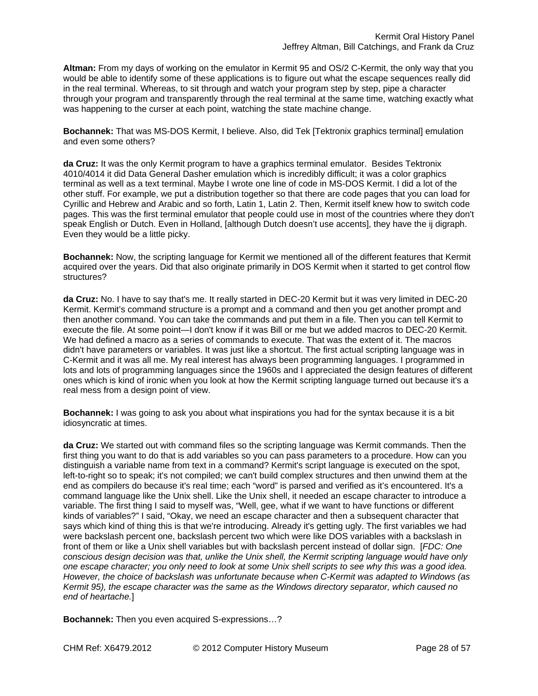**Altman:** From my days of working on the emulator in Kermit 95 and OS/2 C-Kermit, the only way that you would be able to identify some of these applications is to figure out what the escape sequences really did in the real terminal. Whereas, to sit through and watch your program step by step, pipe a character through your program and transparently through the real terminal at the same time, watching exactly what was happening to the curser at each point, watching the state machine change.

**Bochannek:** That was MS-DOS Kermit, I believe. Also, did Tek [Tektronix graphics terminal] emulation and even some others?

**da Cruz:** It was the only Kermit program to have a graphics terminal emulator. Besides Tektronix 4010/4014 it did Data General Dasher emulation which is incredibly difficult; it was a color graphics terminal as well as a text terminal. Maybe I wrote one line of code in MS-DOS Kermit. I did a lot of the other stuff. For example, we put a distribution together so that there are code pages that you can load for Cyrillic and Hebrew and Arabic and so forth, Latin 1, Latin 2. Then, Kermit itself knew how to switch code pages. This was the first terminal emulator that people could use in most of the countries where they don't speak English or Dutch. Even in Holland, [although Dutch doesn't use accents], they have the ij digraph. Even they would be a little picky.

**Bochannek:** Now, the scripting language for Kermit we mentioned all of the different features that Kermit acquired over the years. Did that also originate primarily in DOS Kermit when it started to get control flow structures?

**da Cruz:** No. I have to say that's me. It really started in DEC-20 Kermit but it was very limited in DEC-20 Kermit. Kermit's command structure is a prompt and a command and then you get another prompt and then another command. You can take the commands and put them in a file. Then you can tell Kermit to execute the file. At some point—I don't know if it was Bill or me but we added macros to DEC-20 Kermit. We had defined a macro as a series of commands to execute. That was the extent of it. The macros didn't have parameters or variables. It was just like a shortcut. The first actual scripting language was in C-Kermit and it was all me. My real interest has always been programming languages. I programmed in lots and lots of programming languages since the 1960s and I appreciated the design features of different ones which is kind of ironic when you look at how the Kermit scripting language turned out because it's a real mess from a design point of view.

**Bochannek:** I was going to ask you about what inspirations you had for the syntax because it is a bit idiosyncratic at times.

**da Cruz:** We started out with command files so the scripting language was Kermit commands. Then the first thing you want to do that is add variables so you can pass parameters to a procedure. How can you distinguish a variable name from text in a command? Kermit's script language is executed on the spot, left-to-right so to speak; it's not compiled; we can't build complex structures and then unwind them at the end as compilers do because it's real time; each "word" is parsed and verified as it's encountered. It's a command language like the Unix shell. Like the Unix shell, it needed an escape character to introduce a variable. The first thing I said to myself was, "Well, gee, what if we want to have functions or different kinds of variables?" I said, "Okay, we need an escape character and then a subsequent character that says which kind of thing this is that we're introducing. Already it's getting ugly. The first variables we had were backslash percent one, backslash percent two which were like DOS variables with a backslash in front of them or like a Unix shell variables but with backslash percent instead of dollar sign. [*FDC: One conscious design decision was that, unlike the Unix shell, the Kermit scripting language would have only one escape character; you only need to look at some Unix shell scripts to see why this was a good idea. However, the choice of backslash was unfortunate because when C-Kermit was adapted to Windows (as Kermit 95), the escape character was the same as the Windows directory separator, which caused no end of heartache.*]

**Bochannek:** Then you even acquired S-expressions…?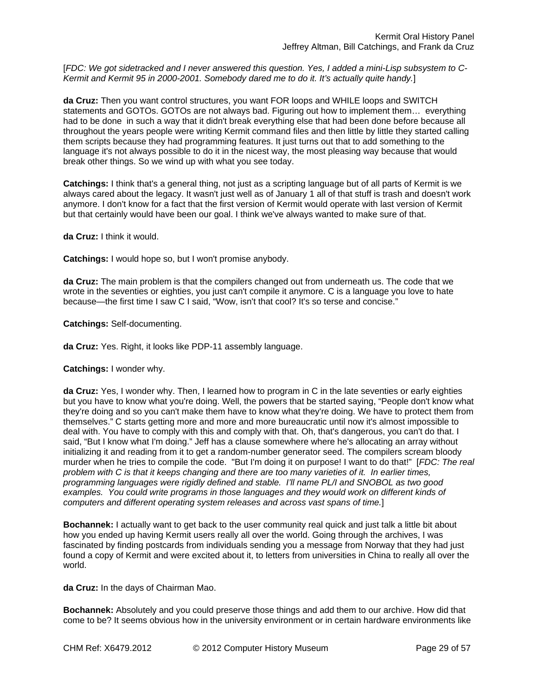[FDC: We got sidetracked and I never answered this question. Yes, I added a mini-Lisp subsystem to C-*Kermit and Kermit 95 in 2000-2001. Somebody dared me to do it. It's actually quite handy.*]

**da Cruz:** Then you want control structures, you want FOR loops and WHILE loops and SWITCH statements and GOTOs. GOTOs are not always bad. Figuring out how to implement them… everything had to be done in such a way that it didn't break everything else that had been done before because all throughout the years people were writing Kermit command files and then little by little they started calling them scripts because they had programming features. It just turns out that to add something to the language it's not always possible to do it in the nicest way, the most pleasing way because that would break other things. So we wind up with what you see today.

**Catchings:** I think that's a general thing, not just as a scripting language but of all parts of Kermit is we always cared about the legacy. It wasn't just well as of January 1 all of that stuff is trash and doesn't work anymore. I don't know for a fact that the first version of Kermit would operate with last version of Kermit but that certainly would have been our goal. I think we've always wanted to make sure of that.

**da Cruz:** I think it would.

**Catchings:** I would hope so, but I won't promise anybody.

**da Cruz:** The main problem is that the compilers changed out from underneath us. The code that we wrote in the seventies or eighties, you just can't compile it anymore. C is a language you love to hate because—the first time I saw C I said, "Wow, isn't that cool? It's so terse and concise."

**Catchings:** Self-documenting.

**da Cruz:** Yes. Right, it looks like PDP-11 assembly language.

**Catchings:** I wonder why.

**da Cruz:** Yes, I wonder why. Then, I learned how to program in C in the late seventies or early eighties but you have to know what you're doing. Well, the powers that be started saying, "People don't know what they're doing and so you can't make them have to know what they're doing. We have to protect them from themselves." C starts getting more and more and more bureaucratic until now it's almost impossible to deal with. You have to comply with this and comply with that. Oh, that's dangerous, you can't do that. I said, "But I know what I'm doing." Jeff has a clause somewhere where he's allocating an array without initializing it and reading from it to get a random-number generator seed. The compilers scream bloody murder when he tries to compile the code. "But I'm doing it on purpose! I want to do that!" [*FDC: The real problem with C is that it keeps changing and there are too many varieties of it. In earlier times, programming languages were rigidly defined and stable. I'll name PL/I and SNOBOL as two good examples. You could write programs in those languages and they would work on different kinds of computers and different operating system releases and across vast spans of time.*]

**Bochannek:** I actually want to get back to the user community real quick and just talk a little bit about how you ended up having Kermit users really all over the world. Going through the archives, I was fascinated by finding postcards from individuals sending you a message from Norway that they had just found a copy of Kermit and were excited about it, to letters from universities in China to really all over the world.

**da Cruz:** In the days of Chairman Mao.

**Bochannek:** Absolutely and you could preserve those things and add them to our archive. How did that come to be? It seems obvious how in the university environment or in certain hardware environments like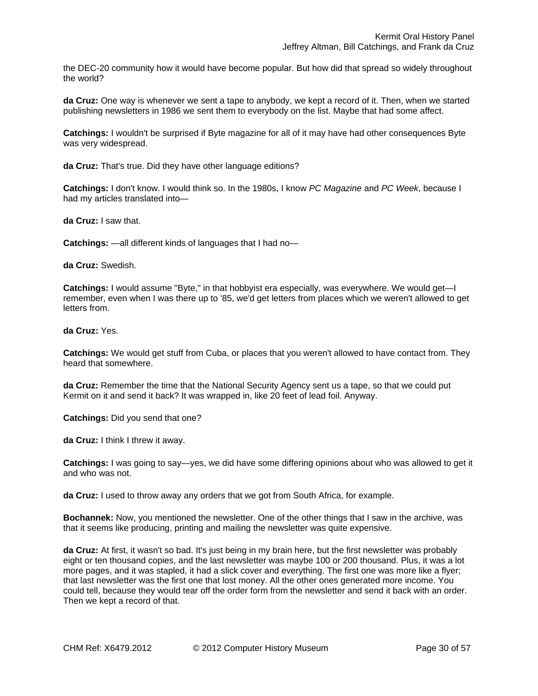the DEC-20 community how it would have become popular. But how did that spread so widely throughout the world?

**da Cruz:** One way is whenever we sent a tape to anybody, we kept a record of it. Then, when we started publishing newsletters in 1986 we sent them to everybody on the list. Maybe that had some affect.

**Catchings:** I wouldn't be surprised if Byte magazine for all of it may have had other consequences Byte was very widespread.

**da Cruz:** That's true. Did they have other language editions?

**Catchings:** I don't know. I would think so. In the 1980s, I know *PC Magazine* and *PC Week*, because I had my articles translated into—

**da Cruz:** I saw that.

**Catchings:** —all different kinds of languages that I had no—

**da Cruz:** Swedish.

**Catchings:** I would assume "Byte," in that hobbyist era especially, was everywhere. We would get—I remember, even when I was there up to '85, we'd get letters from places which we weren't allowed to get letters from.

**da Cruz:** Yes.

**Catchings:** We would get stuff from Cuba, or places that you weren't allowed to have contact from. They heard that somewhere.

**da Cruz:** Remember the time that the National Security Agency sent us a tape, so that we could put Kermit on it and send it back? It was wrapped in, like 20 feet of lead foil. Anyway.

**Catchings:** Did you send that one?

**da Cruz:** I think I threw it away.

**Catchings:** I was going to say—yes, we did have some differing opinions about who was allowed to get it and who was not.

**da Cruz:** I used to throw away any orders that we got from South Africa, for example.

**Bochannek:** Now, you mentioned the newsletter. One of the other things that I saw in the archive, was that it seems like producing, printing and mailing the newsletter was quite expensive.

**da Cruz:** At first, it wasn't so bad. It's just being in my brain here, but the first newsletter was probably eight or ten thousand copies, and the last newsletter was maybe 100 or 200 thousand. Plus, it was a lot more pages, and it was stapled, it had a slick cover and everything. The first one was more like a flyer; that last newsletter was the first one that lost money. All the other ones generated more income. You could tell, because they would tear off the order form from the newsletter and send it back with an order. Then we kept a record of that.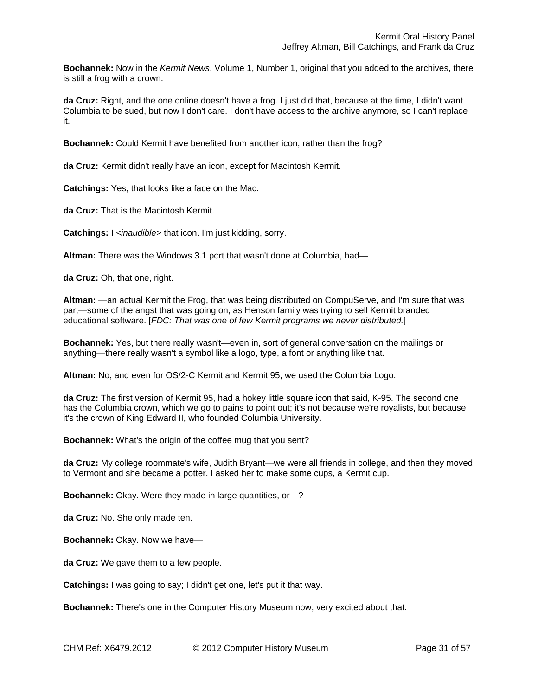**Bochannek:** Now in the *Kermit News*, Volume 1, Number 1, original that you added to the archives, there is still a frog with a crown.

**da Cruz:** Right, and the one online doesn't have a frog. I just did that, because at the time, I didn't want Columbia to be sued, but now I don't care. I don't have access to the archive anymore, so I can't replace it.

**Bochannek:** Could Kermit have benefited from another icon, rather than the frog?

**da Cruz:** Kermit didn't really have an icon, except for Macintosh Kermit.

**Catchings:** Yes, that looks like a face on the Mac.

**da Cruz:** That is the Macintosh Kermit.

**Catchings:** I *<inaudible>* that icon. I'm just kidding, sorry.

**Altman:** There was the Windows 3.1 port that wasn't done at Columbia, had—

**da Cruz:** Oh, that one, right.

**Altman:** —an actual Kermit the Frog, that was being distributed on CompuServe, and I'm sure that was part—some of the angst that was going on, as Henson family was trying to sell Kermit branded educational software. [*FDC: That was one of few Kermit programs we never distributed.*]

**Bochannek:** Yes, but there really wasn't—even in, sort of general conversation on the mailings or anything—there really wasn't a symbol like a logo, type, a font or anything like that.

**Altman:** No, and even for OS/2-C Kermit and Kermit 95, we used the Columbia Logo.

**da Cruz:** The first version of Kermit 95, had a hokey little square icon that said, K-95. The second one has the Columbia crown, which we go to pains to point out; it's not because we're royalists, but because it's the crown of King Edward II, who founded Columbia University.

**Bochannek:** What's the origin of the coffee mug that you sent?

**da Cruz:** My college roommate's wife, Judith Bryant—we were all friends in college, and then they moved to Vermont and she became a potter. I asked her to make some cups, a Kermit cup.

**Bochannek:** Okay. Were they made in large quantities, or—?

**da Cruz:** No. She only made ten.

**Bochannek:** Okay. Now we have—

**da Cruz:** We gave them to a few people.

**Catchings:** I was going to say; I didn't get one, let's put it that way.

**Bochannek:** There's one in the Computer History Museum now; very excited about that.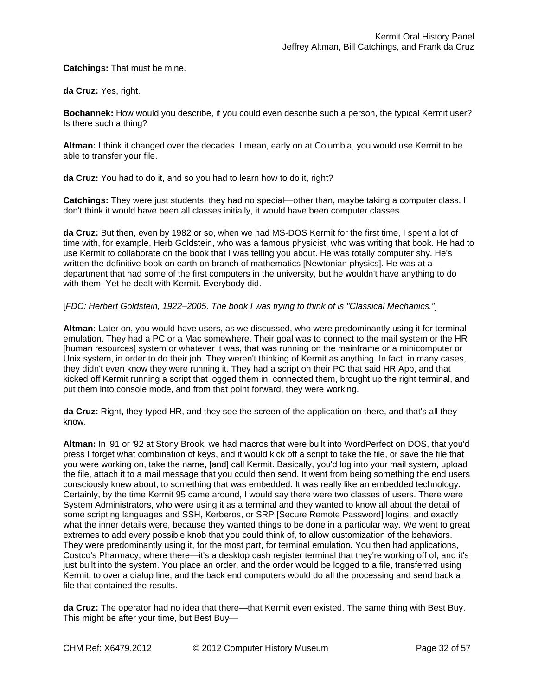**Catchings:** That must be mine.

**da Cruz:** Yes, right.

**Bochannek:** How would you describe, if you could even describe such a person, the typical Kermit user? Is there such a thing?

**Altman:** I think it changed over the decades. I mean, early on at Columbia, you would use Kermit to be able to transfer your file.

**da Cruz:** You had to do it, and so you had to learn how to do it, right?

**Catchings:** They were just students; they had no special—other than, maybe taking a computer class. I don't think it would have been all classes initially, it would have been computer classes.

**da Cruz:** But then, even by 1982 or so, when we had MS-DOS Kermit for the first time, I spent a lot of time with, for example, Herb Goldstein, who was a famous physicist, who was writing that book. He had to use Kermit to collaborate on the book that I was telling you about. He was totally computer shy. He's written the definitive book on earth on branch of mathematics [Newtonian physics]. He was at a department that had some of the first computers in the university, but he wouldn't have anything to do with them. Yet he dealt with Kermit. Everybody did.

# [*FDC: Herbert Goldstein, 1922–2005. The book I was trying to think of is "Classical Mechanics."*]

**Altman:** Later on, you would have users, as we discussed, who were predominantly using it for terminal emulation. They had a PC or a Mac somewhere. Their goal was to connect to the mail system or the HR [human resources] system or whatever it was, that was running on the mainframe or a minicomputer or Unix system, in order to do their job. They weren't thinking of Kermit as anything. In fact, in many cases, they didn't even know they were running it. They had a script on their PC that said HR App, and that kicked off Kermit running a script that logged them in, connected them, brought up the right terminal, and put them into console mode, and from that point forward, they were working.

**da Cruz:** Right, they typed HR, and they see the screen of the application on there, and that's all they know.

**Altman:** In '91 or '92 at Stony Brook, we had macros that were built into WordPerfect on DOS, that you'd press I forget what combination of keys, and it would kick off a script to take the file, or save the file that you were working on, take the name, [and] call Kermit. Basically, you'd log into your mail system, upload the file, attach it to a mail message that you could then send. It went from being something the end users consciously knew about, to something that was embedded. It was really like an embedded technology. Certainly, by the time Kermit 95 came around, I would say there were two classes of users. There were System Administrators, who were using it as a terminal and they wanted to know all about the detail of some scripting languages and SSH, Kerberos, or SRP [Secure Remote Password] logins, and exactly what the inner details were, because they wanted things to be done in a particular way. We went to great extremes to add every possible knob that you could think of, to allow customization of the behaviors. They were predominantly using it, for the most part, for terminal emulation. You then had applications, Costco's Pharmacy, where there—it's a desktop cash register terminal that they're working off of, and it's just built into the system. You place an order, and the order would be logged to a file, transferred using Kermit, to over a dialup line, and the back end computers would do all the processing and send back a file that contained the results.

**da Cruz:** The operator had no idea that there—that Kermit even existed. The same thing with Best Buy. This might be after your time, but Best Buy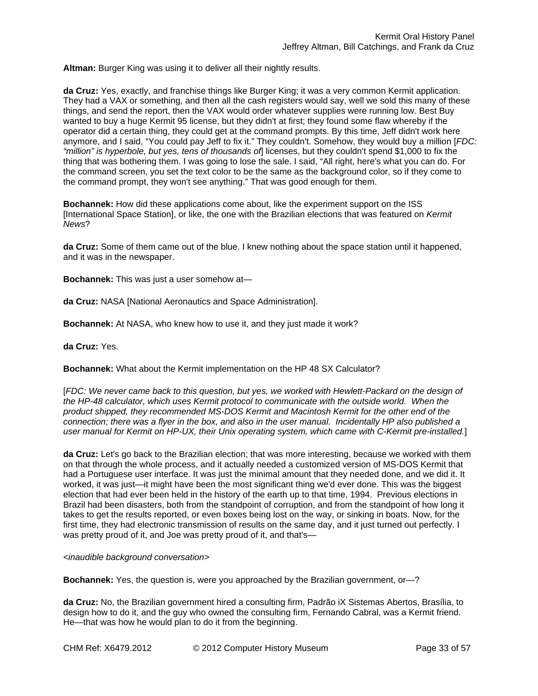**Altman:** Burger King was using it to deliver all their nightly results.

**da Cruz:** Yes, exactly, and franchise things like Burger King; it was a very common Kermit application. They had a VAX or something, and then all the cash registers would say, well we sold this many of these things, and send the report, then the VAX would order whatever supplies were running low. Best Buy wanted to buy a huge Kermit 95 license, but they didn't at first; they found some flaw whereby if the operator did a certain thing, they could get at the command prompts. By this time, Jeff didn't work here anymore, and I said, "You could pay Jeff to fix it." They couldn't. Somehow, they would buy a million [*FDC: "million" is hyperbole, but yes, tens of thousands of*] licenses, but they couldn't spend \$1,000 to fix the thing that was bothering them. I was going to lose the sale. I said, "All right, here's what you can do. For the command screen, you set the text color to be the same as the background color, so if they come to the command prompt, they won't see anything." That was good enough for them.

**Bochannek:** How did these applications come about, like the experiment support on the ISS [International Space Station], or like, the one with the Brazilian elections that was featured on *Kermit News*?

**da Cruz:** Some of them came out of the blue. I knew nothing about the space station until it happened, and it was in the newspaper.

**Bochannek:** This was just a user somehow at—

**da Cruz:** NASA [National Aeronautics and Space Administration].

**Bochannek:** At NASA, who knew how to use it, and they just made it work?

**da Cruz:** Yes.

**Bochannek:** What about the Kermit implementation on the HP 48 SX Calculator?

[*FDC: We never came back to this question, but yes, we worked with Hewlett-Packard on the design of*  the HP-48 calculator, which uses Kermit protocol to communicate with the outside world. When the *product shipped, they recommended MS-DOS Kermit and Macintosh Kermit for the other end of the connection; there was a flyer in the box, and also in the user manual. Incidentally HP also published a user manual for Kermit on HP-UX, their Unix operating system, which came with C-Kermit pre-installed.*]

**da Cruz:** Let's go back to the Brazilian election; that was more interesting, because we worked with them on that through the whole process, and it actually needed a customized version of MS-DOS Kermit that had a Portuguese user interface. It was just the minimal amount that they needed done, and we did it. It worked, it was just—it might have been the most significant thing we'd ever done. This was the biggest election that had ever been held in the history of the earth up to that time, 1994. Previous elections in Brazil had been disasters, both from the standpoint of corruption, and from the standpoint of how long it takes to get the results reported, or even boxes being lost on the way, or sinking in boats. Now, for the first time, they had electronic transmission of results on the same day, and it just turned out perfectly. I was pretty proud of it, and Joe was pretty proud of it, and that's—

*<inaudible background conversation>* 

**Bochannek:** Yes, the question is, were you approached by the Brazilian government, or—?

**da Cruz:** No, the Brazilian government hired a consulting firm, Padrão iX Sistemas Abertos, Brasília, to design how to do it, and the guy who owned the consulting firm, Fernando Cabral, was a Kermit friend. He—that was how he would plan to do it from the beginning.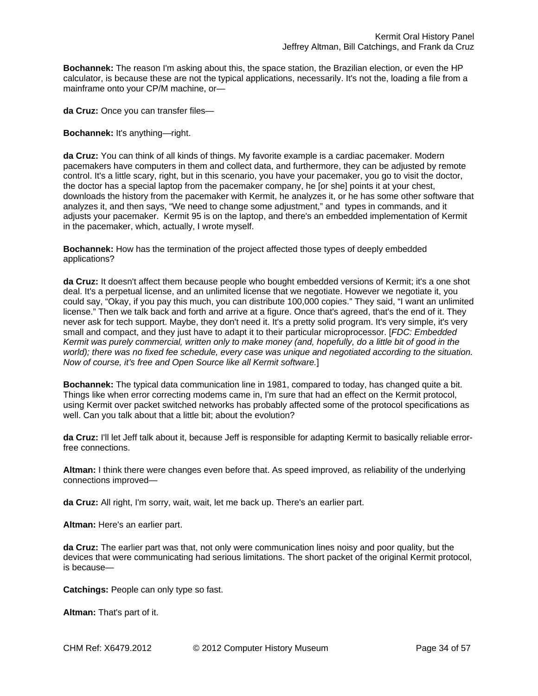**Bochannek:** The reason I'm asking about this, the space station, the Brazilian election, or even the HP calculator, is because these are not the typical applications, necessarily. It's not the, loading a file from a mainframe onto your CP/M machine, or—

**da Cruz:** Once you can transfer files—

**Bochannek:** It's anything—right.

**da Cruz:** You can think of all kinds of things. My favorite example is a cardiac pacemaker. Modern pacemakers have computers in them and collect data, and furthermore, they can be adjusted by remote control. It's a little scary, right, but in this scenario, you have your pacemaker, you go to visit the doctor, the doctor has a special laptop from the pacemaker company, he [or she] points it at your chest, downloads the history from the pacemaker with Kermit, he analyzes it, or he has some other software that analyzes it, and then says, "We need to change some adjustment," and types in commands, and it adjusts your pacemaker. Kermit 95 is on the laptop, and there's an embedded implementation of Kermit in the pacemaker, which, actually, I wrote myself.

**Bochannek:** How has the termination of the project affected those types of deeply embedded applications?

**da Cruz:** It doesn't affect them because people who bought embedded versions of Kermit; it's a one shot deal. It's a perpetual license, and an unlimited license that we negotiate. However we negotiate it, you could say, "Okay, if you pay this much, you can distribute 100,000 copies." They said, "I want an unlimited license." Then we talk back and forth and arrive at a figure. Once that's agreed, that's the end of it. They never ask for tech support. Maybe, they don't need it. It's a pretty solid program. It's very simple, it's very small and compact, and they just have to adapt it to their particular microprocessor. [*FDC: Embedded Kermit was purely commercial, written only to make money (and, hopefully, do a little bit of good in the world); there was no fixed fee schedule, every case was unique and negotiated according to the situation. Now of course, it's free and Open Source like all Kermit software.*]

**Bochannek:** The typical data communication line in 1981, compared to today, has changed quite a bit. Things like when error correcting modems came in, I'm sure that had an effect on the Kermit protocol, using Kermit over packet switched networks has probably affected some of the protocol specifications as well. Can you talk about that a little bit; about the evolution?

**da Cruz:** I'll let Jeff talk about it, because Jeff is responsible for adapting Kermit to basically reliable errorfree connections.

**Altman:** I think there were changes even before that. As speed improved, as reliability of the underlying connections improved—

**da Cruz:** All right, I'm sorry, wait, wait, let me back up. There's an earlier part.

**Altman:** Here's an earlier part.

**da Cruz:** The earlier part was that, not only were communication lines noisy and poor quality, but the devices that were communicating had serious limitations. The short packet of the original Kermit protocol, is because—

**Catchings:** People can only type so fast.

**Altman:** That's part of it.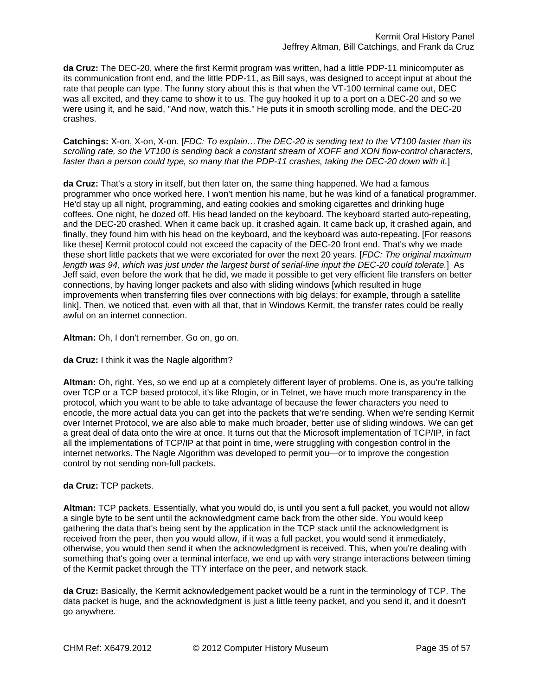**da Cruz:** The DEC-20, where the first Kermit program was written, had a little PDP-11 minicomputer as its communication front end, and the little PDP-11, as Bill says, was designed to accept input at about the rate that people can type. The funny story about this is that when the VT-100 terminal came out, DEC was all excited, and they came to show it to us. The guy hooked it up to a port on a DEC-20 and so we were using it, and he said, "And now, watch this." He puts it in smooth scrolling mode, and the DEC-20 crashes.

**Catchings:** X-on, X-on, X-on. [*FDC: To explain…The DEC-20 is sending text to the VT100 faster than its scrolling rate, so the VT100 is sending back a constant stream of XOFF and XON flow-control characters, faster than a person could type, so many that the PDP-11 crashes, taking the DEC-20 down with it.*]

**da Cruz:** That's a story in itself, but then later on, the same thing happened. We had a famous programmer who once worked here. I won't mention his name, but he was kind of a fanatical programmer. He'd stay up all night, programming, and eating cookies and smoking cigarettes and drinking huge coffees. One night, he dozed off. His head landed on the keyboard. The keyboard started auto-repeating, and the DEC-20 crashed. When it came back up, it crashed again. It came back up, it crashed again, and finally, they found him with his head on the keyboard, and the keyboard was auto-repeating. [For reasons like these] Kermit protocol could not exceed the capacity of the DEC-20 front end. That's why we made these short little packets that we were excoriated for over the next 20 years. [*FDC: The original maximum length was 94, which was just under the largest burst of serial-line input the DEC-20 could tolerate.*] As Jeff said, even before the work that he did, we made it possible to get very efficient file transfers on better connections, by having longer packets and also with sliding windows [which resulted in huge improvements when transferring files over connections with big delays; for example, through a satellite link]. Then, we noticed that, even with all that, that in Windows Kermit, the transfer rates could be really awful on an internet connection.

**Altman:** Oh, I don't remember. Go on, go on.

**da Cruz:** I think it was the Nagle algorithm?

**Altman:** Oh, right. Yes, so we end up at a completely different layer of problems. One is, as you're talking over TCP or a TCP based protocol, it's like Rlogin, or in Telnet, we have much more transparency in the protocol, which you want to be able to take advantage of because the fewer characters you need to encode, the more actual data you can get into the packets that we're sending. When we're sending Kermit over Internet Protocol, we are also able to make much broader, better use of sliding windows. We can get a great deal of data onto the wire at once. It turns out that the Microsoft implementation of TCP/IP, in fact all the implementations of TCP/IP at that point in time, were struggling with congestion control in the internet networks. The Nagle Algorithm was developed to permit you—or to improve the congestion control by not sending non-full packets.

## **da Cruz:** TCP packets.

**Altman:** TCP packets. Essentially, what you would do, is until you sent a full packet, you would not allow a single byte to be sent until the acknowledgment came back from the other side. You would keep gathering the data that's being sent by the application in the TCP stack until the acknowledgment is received from the peer, then you would allow, if it was a full packet, you would send it immediately, otherwise, you would then send it when the acknowledgment is received. This, when you're dealing with something that's going over a terminal interface, we end up with very strange interactions between timing of the Kermit packet through the TTY interface on the peer, and network stack.

**da Cruz:** Basically, the Kermit acknowledgement packet would be a runt in the terminology of TCP. The data packet is huge, and the acknowledgment is just a little teeny packet, and you send it, and it doesn't go anywhere.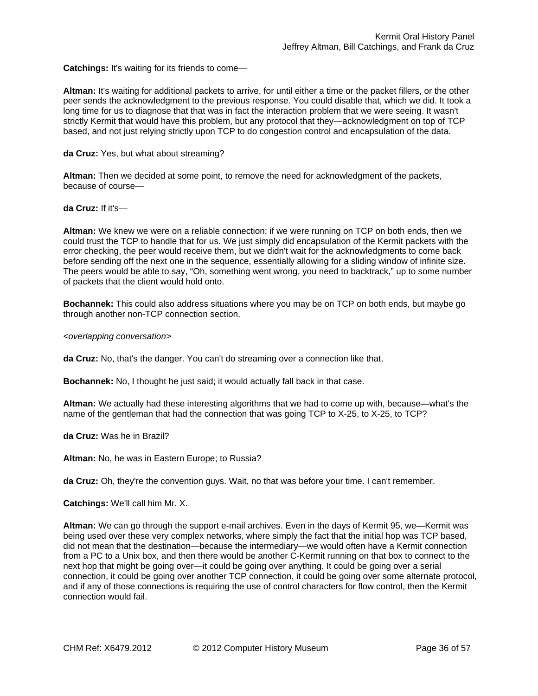**Catchings:** It's waiting for its friends to come—

**Altman:** It's waiting for additional packets to arrive, for until either a time or the packet fillers, or the other peer sends the acknowledgment to the previous response. You could disable that, which we did. It took a long time for us to diagnose that that was in fact the interaction problem that we were seeing. It wasn't strictly Kermit that would have this problem, but any protocol that they—acknowledgment on top of TCP based, and not just relying strictly upon TCP to do congestion control and encapsulation of the data.

**da Cruz:** Yes, but what about streaming?

**Altman:** Then we decided at some point, to remove the need for acknowledgment of the packets, because of course—

**da Cruz:** If it's—

**Altman:** We knew we were on a reliable connection; if we were running on TCP on both ends, then we could trust the TCP to handle that for us. We just simply did encapsulation of the Kermit packets with the error checking, the peer would receive them, but we didn't wait for the acknowledgments to come back before sending off the next one in the sequence, essentially allowing for a sliding window of infinite size. The peers would be able to say, "Oh, something went wrong, you need to backtrack," up to some number of packets that the client would hold onto.

**Bochannek:** This could also address situations where you may be on TCP on both ends, but maybe go through another non-TCP connection section.

*<overlapping conversation>* 

**da Cruz:** No, that's the danger. You can't do streaming over a connection like that.

**Bochannek:** No, I thought he just said; it would actually fall back in that case.

**Altman:** We actually had these interesting algorithms that we had to come up with, because—what's the name of the gentleman that had the connection that was going TCP to X-25, to X-25, to TCP?

**da Cruz:** Was he in Brazil?

**Altman:** No, he was in Eastern Europe; to Russia?

**da Cruz:** Oh, they're the convention guys. Wait, no that was before your time. I can't remember.

**Catchings:** We'll call him Mr. X.

**Altman:** We can go through the support e-mail archives. Even in the days of Kermit 95, we—Kermit was being used over these very complex networks, where simply the fact that the initial hop was TCP based, did not mean that the destination—because the intermediary—we would often have a Kermit connection from a PC to a Unix box, and then there would be another C-Kermit running on that box to connect to the next hop that might be going over—it could be going over anything. It could be going over a serial connection, it could be going over another TCP connection, it could be going over some alternate protocol, and if any of those connections is requiring the use of control characters for flow control, then the Kermit connection would fail.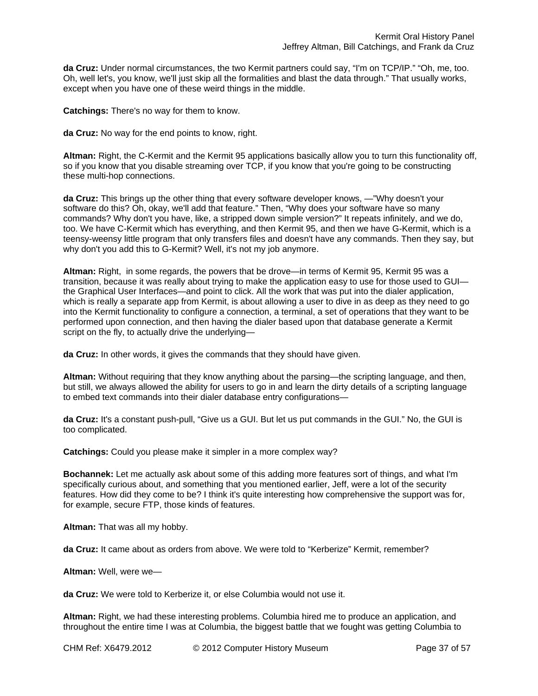**da Cruz:** Under normal circumstances, the two Kermit partners could say, "I'm on TCP/IP." "Oh, me, too. Oh, well let's, you know, we'll just skip all the formalities and blast the data through." That usually works, except when you have one of these weird things in the middle.

**Catchings:** There's no way for them to know.

**da Cruz:** No way for the end points to know, right.

**Altman:** Right, the C-Kermit and the Kermit 95 applications basically allow you to turn this functionality off, so if you know that you disable streaming over TCP, if you know that you're going to be constructing these multi-hop connections.

**da Cruz:** This brings up the other thing that every software developer knows, —"Why doesn't your software do this? Oh, okay, we'll add that feature." Then, "Why does your software have so many commands? Why don't you have, like, a stripped down simple version?" It repeats infinitely, and we do, too. We have C-Kermit which has everything, and then Kermit 95, and then we have G-Kermit, which is a teensy-weensy little program that only transfers files and doesn't have any commands. Then they say, but why don't you add this to G-Kermit? Well, it's not my job anymore.

**Altman:** Right, in some regards, the powers that be drove—in terms of Kermit 95, Kermit 95 was a transition, because it was really about trying to make the application easy to use for those used to GUI the Graphical User Interfaces—and point to click. All the work that was put into the dialer application, which is really a separate app from Kermit, is about allowing a user to dive in as deep as they need to go into the Kermit functionality to configure a connection, a terminal, a set of operations that they want to be performed upon connection, and then having the dialer based upon that database generate a Kermit script on the fly, to actually drive the underlying-

**da Cruz:** In other words, it gives the commands that they should have given.

**Altman:** Without requiring that they know anything about the parsing—the scripting language, and then, but still, we always allowed the ability for users to go in and learn the dirty details of a scripting language to embed text commands into their dialer database entry configurations—

**da Cruz:** It's a constant push-pull, "Give us a GUI. But let us put commands in the GUI." No, the GUI is too complicated.

**Catchings:** Could you please make it simpler in a more complex way?

**Bochannek:** Let me actually ask about some of this adding more features sort of things, and what I'm specifically curious about, and something that you mentioned earlier, Jeff, were a lot of the security features. How did they come to be? I think it's quite interesting how comprehensive the support was for, for example, secure FTP, those kinds of features.

**Altman:** That was all my hobby.

**da Cruz:** It came about as orders from above. We were told to "Kerberize" Kermit, remember?

**Altman:** Well, were we—

**da Cruz:** We were told to Kerberize it, or else Columbia would not use it.

**Altman:** Right, we had these interesting problems. Columbia hired me to produce an application, and throughout the entire time I was at Columbia, the biggest battle that we fought was getting Columbia to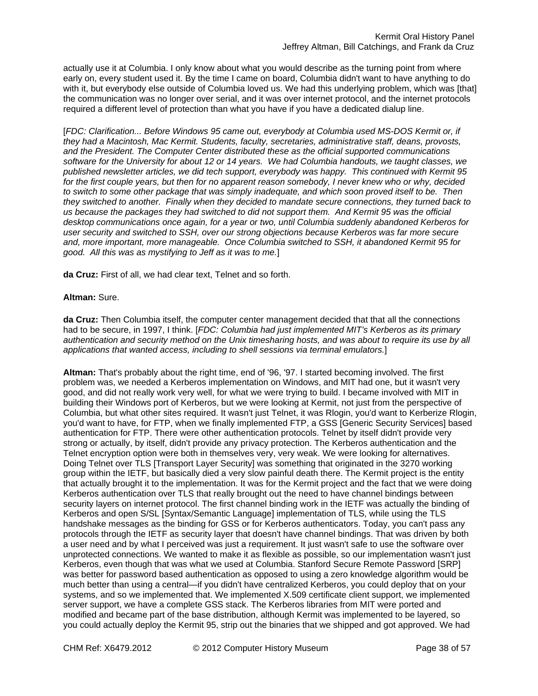actually use it at Columbia. I only know about what you would describe as the turning point from where early on, every student used it. By the time I came on board, Columbia didn't want to have anything to do with it, but everybody else outside of Columbia loved us. We had this underlying problem, which was [that] the communication was no longer over serial, and it was over internet protocol, and the internet protocols required a different level of protection than what you have if you have a dedicated dialup line.

[*FDC: Clarification... Before Windows 95 came out, everybody at Columbia used MS-DOS Kermit or, if they had a Macintosh, Mac Kermit. Students, faculty, secretaries, administrative staff, deans, provosts, and the President. The Computer Center distributed these as the official supported communications software for the University for about 12 or 14 years. We had Columbia handouts, we taught classes, we published newsletter articles, we did tech support, everybody was happy. This continued with Kermit 95 for the first couple years, but then for no apparent reason somebody, I never knew who or why, decided to switch to some other package that was simply inadequate, and which soon proved itself to be. Then they switched to another. Finally when they decided to mandate secure connections, they turned back to us because the packages they had switched to did not support them. And Kermit 95 was the official desktop communications once again, for a year or two, until Columbia suddenly abandoned Kerberos for user security and switched to SSH, over our strong objections because Kerberos was far more secure and, more important, more manageable. Once Columbia switched to SSH, it abandoned Kermit 95 for good. All this was as mystifying to Jeff as it was to me.*]

**da Cruz:** First of all, we had clear text, Telnet and so forth.

#### **Altman:** Sure.

**da Cruz:** Then Columbia itself, the computer center management decided that that all the connections had to be secure, in 1997, I think. [*FDC: Columbia had just implemented MIT's Kerberos as its primary authentication and security method on the Unix timesharing hosts, and was about to require its use by all applications that wanted access, including to shell sessions via terminal emulators.*]

**Altman:** That's probably about the right time, end of '96, '97. I started becoming involved. The first problem was, we needed a Kerberos implementation on Windows, and MIT had one, but it wasn't very good, and did not really work very well, for what we were trying to build. I became involved with MIT in building their Windows port of Kerberos, but we were looking at Kermit, not just from the perspective of Columbia, but what other sites required. It wasn't just Telnet, it was Rlogin, you'd want to Kerberize Rlogin, you'd want to have, for FTP, when we finally implemented FTP, a GSS [Generic Security Services] based authentication for FTP. There were other authentication protocols. Telnet by itself didn't provide very strong or actually, by itself, didn't provide any privacy protection. The Kerberos authentication and the Telnet encryption option were both in themselves very, very weak. We were looking for alternatives. Doing Telnet over TLS [Transport Layer Security] was something that originated in the 3270 working group within the IETF, but basically died a very slow painful death there. The Kermit project is the entity that actually brought it to the implementation. It was for the Kermit project and the fact that we were doing Kerberos authentication over TLS that really brought out the need to have channel bindings between security layers on internet protocol. The first channel binding work in the IETF was actually the binding of Kerberos and open S/SL [Syntax/Semantic Language] implementation of TLS, while using the TLS handshake messages as the binding for GSS or for Kerberos authenticators. Today, you can't pass any protocols through the IETF as security layer that doesn't have channel bindings. That was driven by both a user need and by what I perceived was just a requirement. It just wasn't safe to use the software over unprotected connections. We wanted to make it as flexible as possible, so our implementation wasn't just Kerberos, even though that was what we used at Columbia. Stanford Secure Remote Password [SRP] was better for password based authentication as opposed to using a zero knowledge algorithm would be much better than using a central—if you didn't have centralized Kerberos, you could deploy that on your systems, and so we implemented that. We implemented X.509 certificate client support, we implemented server support, we have a complete GSS stack. The Kerberos libraries from MIT were ported and modified and became part of the base distribution, although Kermit was implemented to be layered, so you could actually deploy the Kermit 95, strip out the binaries that we shipped and got approved. We had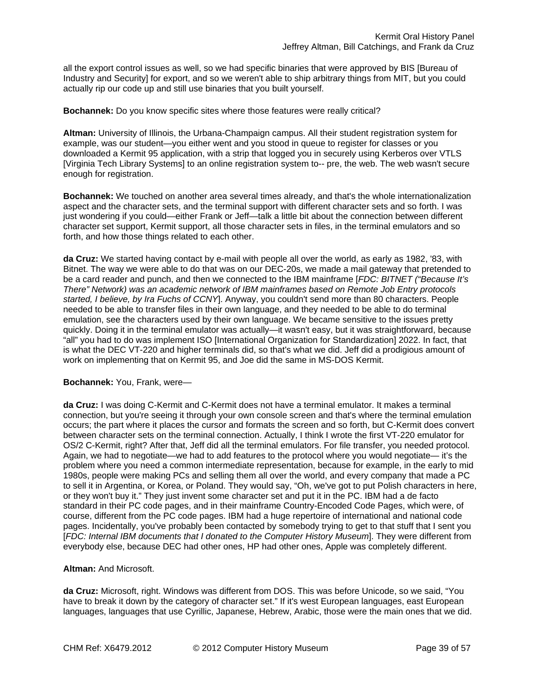all the export control issues as well, so we had specific binaries that were approved by BIS [Bureau of Industry and Security] for export, and so we weren't able to ship arbitrary things from MIT, but you could actually rip our code up and still use binaries that you built yourself.

#### **Bochannek:** Do you know specific sites where those features were really critical?

**Altman:** University of Illinois, the Urbana-Champaign campus. All their student registration system for example, was our student—you either went and you stood in queue to register for classes or you downloaded a Kermit 95 application, with a strip that logged you in securely using Kerberos over VTLS [Virginia Tech Library Systems] to an online registration system to-- pre, the web. The web wasn't secure enough for registration.

**Bochannek:** We touched on another area several times already, and that's the whole internationalization aspect and the character sets, and the terminal support with different character sets and so forth. I was just wondering if you could—either Frank or Jeff—talk a little bit about the connection between different character set support, Kermit support, all those character sets in files, in the terminal emulators and so forth, and how those things related to each other.

**da Cruz:** We started having contact by e-mail with people all over the world, as early as 1982, '83, with Bitnet. The way we were able to do that was on our DEC-20s, we made a mail gateway that pretended to be a card reader and punch, and then we connected to the IBM mainframe [*FDC: BITNET ("Because It's There" Network) was an academic network of IBM mainframes based on Remote Job Entry protocols started, I believe, by Ira Fuchs of CCNY*]. Anyway, you couldn't send more than 80 characters. People needed to be able to transfer files in their own language, and they needed to be able to do terminal emulation, see the characters used by their own language. We became sensitive to the issues pretty quickly. Doing it in the terminal emulator was actually—it wasn't easy, but it was straightforward, because "all" you had to do was implement ISO [International Organization for Standardization] 2022. In fact, that is what the DEC VT-220 and higher terminals did, so that's what we did. Jeff did a prodigious amount of work on implementing that on Kermit 95, and Joe did the same in MS-DOS Kermit.

#### **Bochannek:** You, Frank, were—

**da Cruz:** I was doing C-Kermit and C-Kermit does not have a terminal emulator. It makes a terminal connection, but you're seeing it through your own console screen and that's where the terminal emulation occurs; the part where it places the cursor and formats the screen and so forth, but C-Kermit does convert between character sets on the terminal connection. Actually, I think I wrote the first VT-220 emulator for OS/2 C-Kermit, right? After that, Jeff did all the terminal emulators. For file transfer, you needed protocol. Again, we had to negotiate—we had to add features to the protocol where you would negotiate— it's the problem where you need a common intermediate representation, because for example, in the early to mid 1980s, people were making PCs and selling them all over the world, and every company that made a PC to sell it in Argentina, or Korea, or Poland. They would say, "Oh, we've got to put Polish characters in here, or they won't buy it." They just invent some character set and put it in the PC. IBM had a de facto standard in their PC code pages, and in their mainframe Country-Encoded Code Pages, which were, of course, different from the PC code pages. IBM had a huge repertoire of international and national code pages. Incidentally, you've probably been contacted by somebody trying to get to that stuff that I sent you [*FDC: Internal IBM documents that I donated to the Computer History Museum*]. They were different from everybody else, because DEC had other ones, HP had other ones, Apple was completely different.

## **Altman:** And Microsoft.

**da Cruz:** Microsoft, right. Windows was different from DOS. This was before Unicode, so we said, "You have to break it down by the category of character set." If it's west European languages, east European languages, languages that use Cyrillic, Japanese, Hebrew, Arabic, those were the main ones that we did.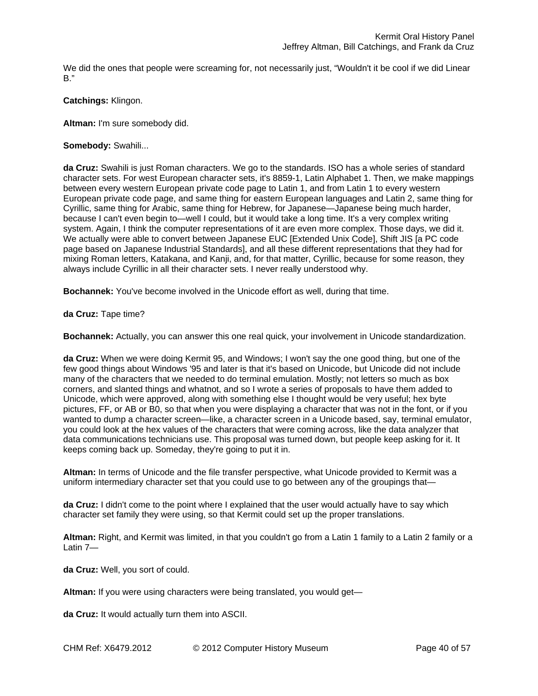We did the ones that people were screaming for, not necessarily just, "Wouldn't it be cool if we did Linear B."

## **Catchings:** Klingon.

**Altman:** I'm sure somebody did.

# **Somebody:** Swahili...

**da Cruz:** Swahili is just Roman characters. We go to the standards. ISO has a whole series of standard character sets. For west European character sets, it's 8859-1, Latin Alphabet 1. Then, we make mappings between every western European private code page to Latin 1, and from Latin 1 to every western European private code page, and same thing for eastern European languages and Latin 2, same thing for Cyrillic, same thing for Arabic, same thing for Hebrew, for Japanese—Japanese being much harder, because I can't even begin to—well I could, but it would take a long time. It's a very complex writing system. Again, I think the computer representations of it are even more complex. Those days, we did it. We actually were able to convert between Japanese EUC [Extended Unix Code], Shift JIS [a PC code page based on Japanese Industrial Standards], and all these different representations that they had for mixing Roman letters, Katakana, and Kanji, and, for that matter, Cyrillic, because for some reason, they always include Cyrillic in all their character sets. I never really understood why.

**Bochannek:** You've become involved in the Unicode effort as well, during that time.

**da Cruz:** Tape time?

**Bochannek:** Actually, you can answer this one real quick, your involvement in Unicode standardization.

**da Cruz:** When we were doing Kermit 95, and Windows; I won't say the one good thing, but one of the few good things about Windows '95 and later is that it's based on Unicode, but Unicode did not include many of the characters that we needed to do terminal emulation. Mostly; not letters so much as box corners, and slanted things and whatnot, and so I wrote a series of proposals to have them added to Unicode, which were approved, along with something else I thought would be very useful; hex byte pictures, FF, or AB or B0, so that when you were displaying a character that was not in the font, or if you wanted to dump a character screen—like, a character screen in a Unicode based, say, terminal emulator, you could look at the hex values of the characters that were coming across, like the data analyzer that data communications technicians use. This proposal was turned down, but people keep asking for it. It keeps coming back up. Someday, they're going to put it in.

**Altman:** In terms of Unicode and the file transfer perspective, what Unicode provided to Kermit was a uniform intermediary character set that you could use to go between any of the groupings that—

**da Cruz:** I didn't come to the point where I explained that the user would actually have to say which character set family they were using, so that Kermit could set up the proper translations.

**Altman:** Right, and Kermit was limited, in that you couldn't go from a Latin 1 family to a Latin 2 family or a Latin 7—

**da Cruz:** Well, you sort of could.

**Altman:** If you were using characters were being translated, you would get—

**da Cruz:** It would actually turn them into ASCII.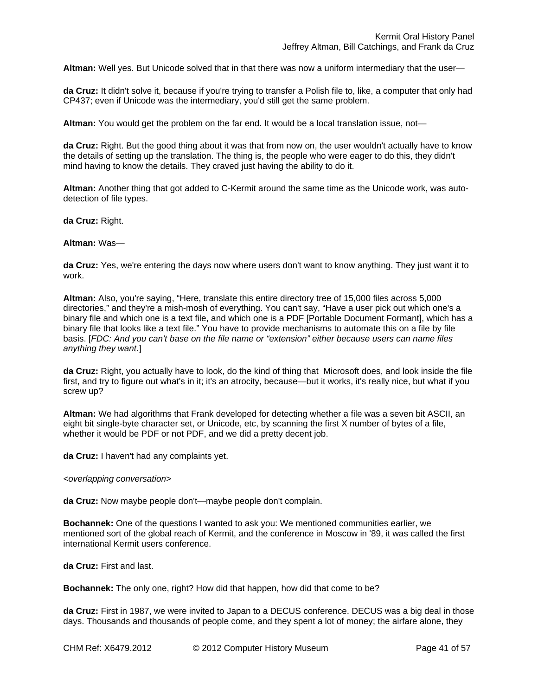**Altman:** Well yes. But Unicode solved that in that there was now a uniform intermediary that the user—

**da Cruz:** It didn't solve it, because if you're trying to transfer a Polish file to, like, a computer that only had CP437; even if Unicode was the intermediary, you'd still get the same problem.

**Altman:** You would get the problem on the far end. It would be a local translation issue, not—

**da Cruz:** Right. But the good thing about it was that from now on, the user wouldn't actually have to know the details of setting up the translation. The thing is, the people who were eager to do this, they didn't mind having to know the details. They craved just having the ability to do it.

**Altman:** Another thing that got added to C-Kermit around the same time as the Unicode work, was autodetection of file types.

**da Cruz:** Right.

#### **Altman:** Was—

**da Cruz:** Yes, we're entering the days now where users don't want to know anything. They just want it to work.

**Altman:** Also, you're saying, "Here, translate this entire directory tree of 15,000 files across 5,000 directories," and they're a mish-mosh of everything. You can't say, "Have a user pick out which one's a binary file and which one is a text file, and which one is a PDF [Portable Document Formant], which has a binary file that looks like a text file." You have to provide mechanisms to automate this on a file by file basis. [*FDC: And you can't base on the file name or "extension" either because users can name files anything they want.*]

**da Cruz:** Right, you actually have to look, do the kind of thing that Microsoft does, and look inside the file first, and try to figure out what's in it; it's an atrocity, because—but it works, it's really nice, but what if you screw up?

**Altman:** We had algorithms that Frank developed for detecting whether a file was a seven bit ASCII, an eight bit single-byte character set, or Unicode, etc, by scanning the first X number of bytes of a file, whether it would be PDF or not PDF, and we did a pretty decent job.

**da Cruz:** I haven't had any complaints yet.

#### *<overlapping conversation>*

**da Cruz:** Now maybe people don't—maybe people don't complain.

**Bochannek:** One of the questions I wanted to ask you: We mentioned communities earlier, we mentioned sort of the global reach of Kermit, and the conference in Moscow in '89, it was called the first international Kermit users conference.

**da Cruz:** First and last.

**Bochannek:** The only one, right? How did that happen, how did that come to be?

**da Cruz:** First in 1987, we were invited to Japan to a DECUS conference. DECUS was a big deal in those days. Thousands and thousands of people come, and they spent a lot of money; the airfare alone, they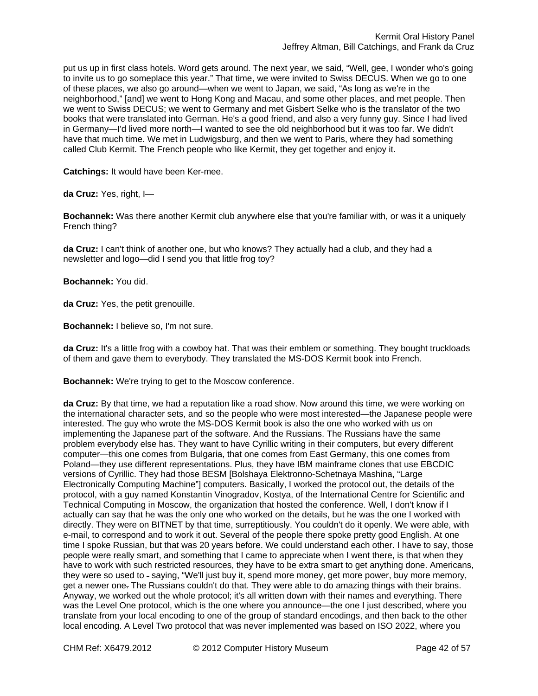put us up in first class hotels. Word gets around. The next year, we said, "Well, gee, I wonder who's going to invite us to go someplace this year." That time, we were invited to Swiss DECUS. When we go to one of these places, we also go around—when we went to Japan, we said, "As long as we're in the neighborhood," [and] we went to Hong Kong and Macau, and some other places, and met people. Then we went to Swiss DECUS; we went to Germany and met Gisbert Selke who is the translator of the two books that were translated into German. He's a good friend, and also a very funny guy. Since I had lived in Germany—I'd lived more north—I wanted to see the old neighborhood but it was too far. We didn't have that much time. We met in Ludwigsburg, and then we went to Paris, where they had something called Club Kermit. The French people who like Kermit, they get together and enjoy it.

**Catchings:** It would have been Ker-mee.

**da Cruz:** Yes, right, I—

**Bochannek:** Was there another Kermit club anywhere else that you're familiar with, or was it a uniquely French thing?

**da Cruz:** I can't think of another one, but who knows? They actually had a club, and they had a newsletter and logo—did I send you that little frog toy?

**Bochannek:** You did.

**da Cruz:** Yes, the petit grenouille.

**Bochannek:** I believe so, I'm not sure.

**da Cruz:** It's a little frog with a cowboy hat. That was their emblem or something. They bought truckloads of them and gave them to everybody. They translated the MS-DOS Kermit book into French.

**Bochannek:** We're trying to get to the Moscow conference.

**da Cruz:** By that time, we had a reputation like a road show. Now around this time, we were working on the international character sets, and so the people who were most interested—the Japanese people were interested. The guy who wrote the MS-DOS Kermit book is also the one who worked with us on implementing the Japanese part of the software. And the Russians. The Russians have the same problem everybody else has. They want to have Cyrillic writing in their computers, but every different computer—this one comes from Bulgaria, that one comes from East Germany, this one comes from Poland—they use different representations. Plus, they have IBM mainframe clones that use EBCDIC versions of Cyrillic. They had those BESM [Bolshaya Elektronno-Schetnaya Mashina, "Large Electronically Computing Machine"] computers. Basically, I worked the protocol out, the details of the protocol, with a guy named Konstantin Vinogradov, Kostya, of the International Centre for Scientific and Technical Computing in Moscow, the organization that hosted the conference. Well, I don't know if I actually can say that he was the only one who worked on the details, but he was the one I worked with directly. They were on BITNET by that time, surreptitiously. You couldn't do it openly. We were able, with e-mail, to correspond and to work it out. Several of the people there spoke pretty good English. At one time I spoke Russian, but that was 20 years before. We could understand each other. I have to say, those people were really smart, and something that I came to appreciate when I went there, is that when they have to work with such restricted resources, they have to be extra smart to get anything done. Americans, they were so used to - saying, "We'll just buy it, spend more money, get more power, buy more memory, get a newer one. The Russians couldn't do that. They were able to do amazing things with their brains. Anyway, we worked out the whole protocol; it's all written down with their names and everything. There was the Level One protocol, which is the one where you announce—the one I just described, where you translate from your local encoding to one of the group of standard encodings, and then back to the other local encoding. A Level Two protocol that was never implemented was based on ISO 2022, where you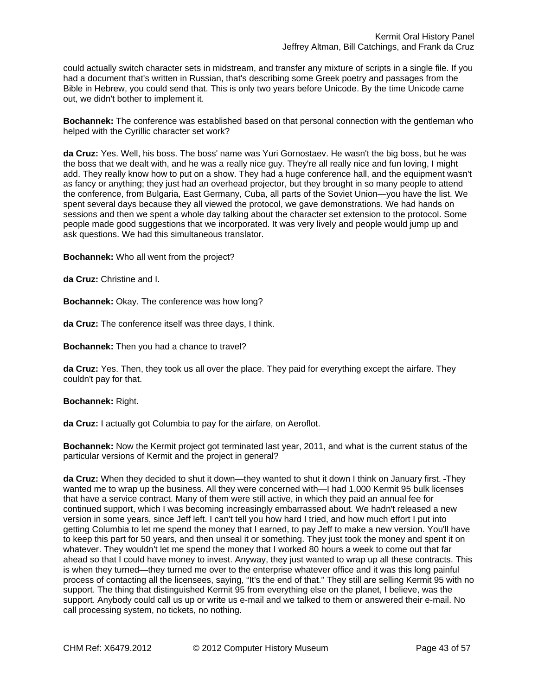could actually switch character sets in midstream, and transfer any mixture of scripts in a single file. If you had a document that's written in Russian, that's describing some Greek poetry and passages from the Bible in Hebrew, you could send that. This is only two years before Unicode. By the time Unicode came out, we didn't bother to implement it.

**Bochannek:** The conference was established based on that personal connection with the gentleman who helped with the Cyrillic character set work?

**da Cruz:** Yes. Well, his boss. The boss' name was Yuri Gornostaev. He wasn't the big boss, but he was the boss that we dealt with, and he was a really nice guy. They're all really nice and fun loving, I might add. They really know how to put on a show. They had a huge conference hall, and the equipment wasn't as fancy or anything; they just had an overhead projector, but they brought in so many people to attend the conference, from Bulgaria, East Germany, Cuba, all parts of the Soviet Union—you have the list. We spent several days because they all viewed the protocol, we gave demonstrations. We had hands on sessions and then we spent a whole day talking about the character set extension to the protocol. Some people made good suggestions that we incorporated. It was very lively and people would jump up and ask questions. We had this simultaneous translator.

**Bochannek:** Who all went from the project?

**da Cruz:** Christine and I.

**Bochannek:** Okay. The conference was how long?

**da Cruz:** The conference itself was three days, I think.

**Bochannek:** Then you had a chance to travel?

**da Cruz:** Yes. Then, they took us all over the place. They paid for everything except the airfare. They couldn't pay for that.

**Bochannek:** Right.

**da Cruz:** I actually got Columbia to pay for the airfare, on Aeroflot.

**Bochannek:** Now the Kermit project got terminated last year, 2011, and what is the current status of the particular versions of Kermit and the project in general?

**da Cruz:** When they decided to shut it down—they wanted to shut it down I think on January first. They wanted me to wrap up the business. All they were concerned with—I had 1,000 Kermit 95 bulk licenses that have a service contract. Many of them were still active, in which they paid an annual fee for continued support, which I was becoming increasingly embarrassed about. We hadn't released a new version in some years, since Jeff left. I can't tell you how hard I tried, and how much effort I put into getting Columbia to let me spend the money that I earned, to pay Jeff to make a new version. You'll have to keep this part for 50 years, and then unseal it or something. They just took the money and spent it on whatever. They wouldn't let me spend the money that I worked 80 hours a week to come out that far ahead so that I could have money to invest. Anyway, they just wanted to wrap up all these contracts. This is when they turned—they turned me over to the enterprise whatever office and it was this long painful process of contacting all the licensees, saying, "It's the end of that." They still are selling Kermit 95 with no support. The thing that distinguished Kermit 95 from everything else on the planet, I believe, was the support. Anybody could call us up or write us e-mail and we talked to them or answered their e-mail. No call processing system, no tickets, no nothing.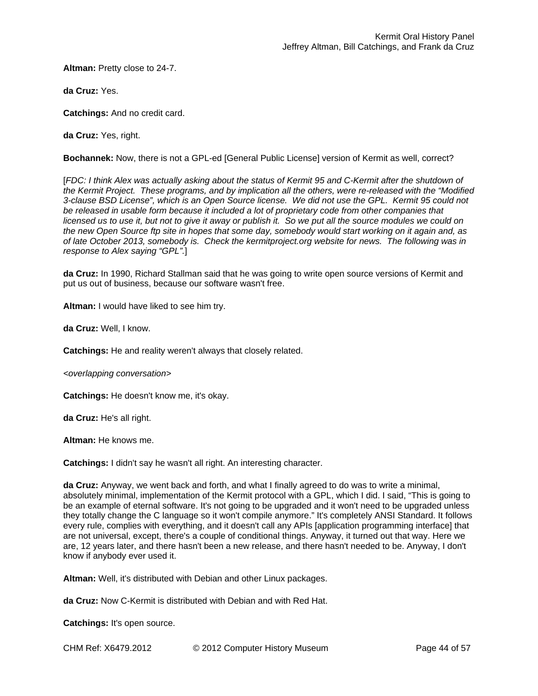**Altman:** Pretty close to 24-7.

**da Cruz:** Yes.

**Catchings:** And no credit card.

**da Cruz:** Yes, right.

**Bochannek:** Now, there is not a GPL-ed [General Public License] version of Kermit as well, correct?

[*FDC: I think Alex was actually asking about the status of Kermit 95 and C-Kermit after the shutdown of the Kermit Project. These programs, and by implication all the others, were re-released with the "Modified 3-clause BSD License", which is an Open Source license. We did not use the GPL. Kermit 95 could not*  be released in usable form because it included a lot of proprietary code from other companies that *licensed us to use it, but not to give it away or publish it. So we put all the source modules we could on the new Open Source ftp site in hopes that some day, somebody would start working on it again and, as of late October 2013, somebody is. Check the kermitproject.org website for news. The following was in response to Alex saying "GPL".*]

**da Cruz:** In 1990, Richard Stallman said that he was going to write open source versions of Kermit and put us out of business, because our software wasn't free.

**Altman:** I would have liked to see him try.

**da Cruz:** Well, I know.

**Catchings:** He and reality weren't always that closely related.

*<overlapping conversation>* 

**Catchings:** He doesn't know me, it's okay.

**da Cruz:** He's all right.

**Altman:** He knows me.

**Catchings:** I didn't say he wasn't all right. An interesting character.

**da Cruz:** Anyway, we went back and forth, and what I finally agreed to do was to write a minimal, absolutely minimal, implementation of the Kermit protocol with a GPL, which I did. I said, "This is going to be an example of eternal software. It's not going to be upgraded and it won't need to be upgraded unless they totally change the C language so it won't compile anymore." It's completely ANSI Standard. It follows every rule, complies with everything, and it doesn't call any APIs [application programming interface] that are not universal, except, there's a couple of conditional things. Anyway, it turned out that way. Here we are, 12 years later, and there hasn't been a new release, and there hasn't needed to be. Anyway, I don't know if anybody ever used it.

**Altman:** Well, it's distributed with Debian and other Linux packages.

**da Cruz:** Now C-Kermit is distributed with Debian and with Red Hat.

**Catchings:** It's open source.

CHM Ref: X6479.2012 © 2012 Computer History Museum Page 44 of 57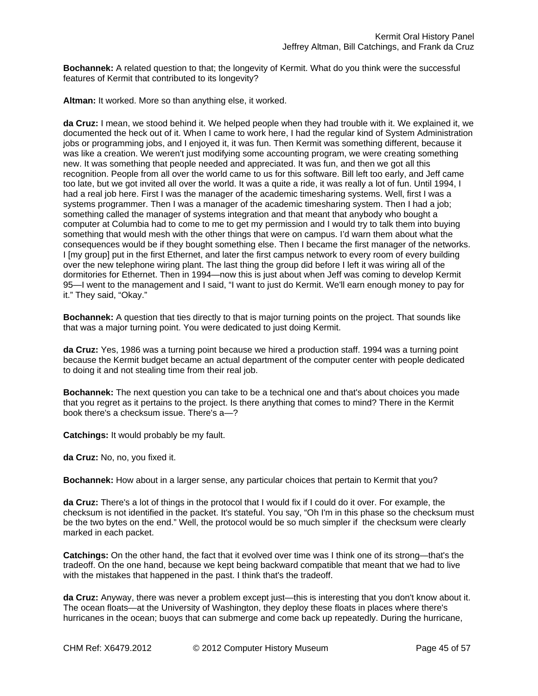**Bochannek:** A related question to that; the longevity of Kermit. What do you think were the successful features of Kermit that contributed to its longevity?

**Altman:** It worked. More so than anything else, it worked.

**da Cruz:** I mean, we stood behind it. We helped people when they had trouble with it. We explained it, we documented the heck out of it. When I came to work here, I had the regular kind of System Administration jobs or programming jobs, and I enjoyed it, it was fun. Then Kermit was something different, because it was like a creation. We weren't just modifying some accounting program, we were creating something new. It was something that people needed and appreciated. It was fun, and then we got all this recognition. People from all over the world came to us for this software. Bill left too early, and Jeff came too late, but we got invited all over the world. It was a quite a ride, it was really a lot of fun. Until 1994, I had a real job here. First I was the manager of the academic timesharing systems. Well, first I was a systems programmer. Then I was a manager of the academic timesharing system. Then I had a job; something called the manager of systems integration and that meant that anybody who bought a computer at Columbia had to come to me to get my permission and I would try to talk them into buying something that would mesh with the other things that were on campus. I'd warn them about what the consequences would be if they bought something else. Then I became the first manager of the networks. I [my group] put in the first Ethernet, and later the first campus network to every room of every building over the new telephone wiring plant. The last thing the group did before I left it was wiring all of the dormitories for Ethernet. Then in 1994—now this is just about when Jeff was coming to develop Kermit 95—I went to the management and I said, "I want to just do Kermit. We'll earn enough money to pay for it." They said, "Okay."

**Bochannek:** A question that ties directly to that is major turning points on the project. That sounds like that was a major turning point. You were dedicated to just doing Kermit.

**da Cruz:** Yes, 1986 was a turning point because we hired a production staff. 1994 was a turning point because the Kermit budget became an actual department of the computer center with people dedicated to doing it and not stealing time from their real job.

**Bochannek:** The next question you can take to be a technical one and that's about choices you made that you regret as it pertains to the project. Is there anything that comes to mind? There in the Kermit book there's a checksum issue. There's a—?

**Catchings:** It would probably be my fault.

**da Cruz:** No, no, you fixed it.

**Bochannek:** How about in a larger sense, any particular choices that pertain to Kermit that you?

**da Cruz:** There's a lot of things in the protocol that I would fix if I could do it over. For example, the checksum is not identified in the packet. It's stateful. You say, "Oh I'm in this phase so the checksum must be the two bytes on the end." Well, the protocol would be so much simpler if the checksum were clearly marked in each packet.

**Catchings:** On the other hand, the fact that it evolved over time was I think one of its strong—that's the tradeoff. On the one hand, because we kept being backward compatible that meant that we had to live with the mistakes that happened in the past. I think that's the tradeoff.

**da Cruz:** Anyway, there was never a problem except just—this is interesting that you don't know about it. The ocean floats—at the University of Washington, they deploy these floats in places where there's hurricanes in the ocean; buoys that can submerge and come back up repeatedly. During the hurricane,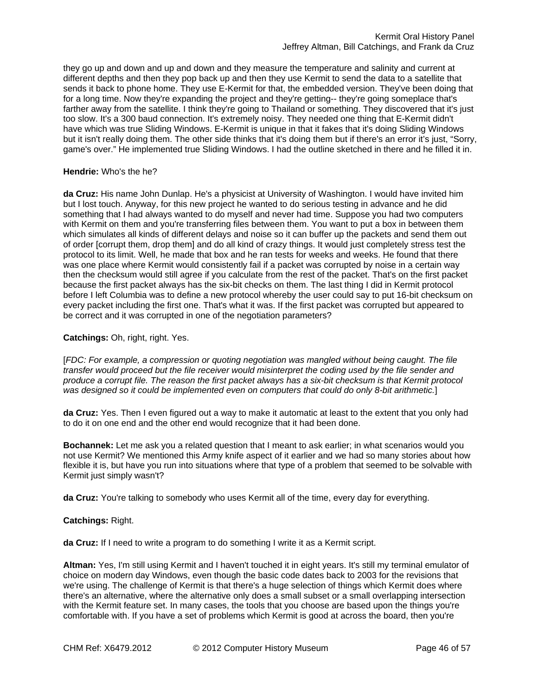they go up and down and up and down and they measure the temperature and salinity and current at different depths and then they pop back up and then they use Kermit to send the data to a satellite that sends it back to phone home. They use E-Kermit for that, the embedded version. They've been doing that for a long time. Now they're expanding the project and they're getting-- they're going someplace that's farther away from the satellite. I think they're going to Thailand or something. They discovered that it's just too slow. It's a 300 baud connection. It's extremely noisy. They needed one thing that E-Kermit didn't have which was true Sliding Windows. E-Kermit is unique in that it fakes that it's doing Sliding Windows but it isn't really doing them. The other side thinks that it's doing them but if there's an error it's just, "Sorry, game's over." He implemented true Sliding Windows. I had the outline sketched in there and he filled it in.

## **Hendrie:** Who's the he?

**da Cruz:** His name John Dunlap. He's a physicist at University of Washington. I would have invited him but I lost touch. Anyway, for this new project he wanted to do serious testing in advance and he did something that I had always wanted to do myself and never had time. Suppose you had two computers with Kermit on them and you're transferring files between them. You want to put a box in between them which simulates all kinds of different delays and noise so it can buffer up the packets and send them out of order [corrupt them, drop them] and do all kind of crazy things. It would just completely stress test the protocol to its limit. Well, he made that box and he ran tests for weeks and weeks. He found that there was one place where Kermit would consistently fail if a packet was corrupted by noise in a certain way then the checksum would still agree if you calculate from the rest of the packet. That's on the first packet because the first packet always has the six-bit checks on them. The last thing I did in Kermit protocol before I left Columbia was to define a new protocol whereby the user could say to put 16-bit checksum on every packet including the first one. That's what it was. If the first packet was corrupted but appeared to be correct and it was corrupted in one of the negotiation parameters?

## **Catchings:** Oh, right, right. Yes.

[*FDC: For example, a compression or quoting negotiation was mangled without being caught. The file transfer would proceed but the file receiver would misinterpret the coding used by the file sender and produce a corrupt file. The reason the first packet always has a six-bit checksum is that Kermit protocol was designed so it could be implemented even on computers that could do only 8-bit arithmetic.*]

**da Cruz:** Yes. Then I even figured out a way to make it automatic at least to the extent that you only had to do it on one end and the other end would recognize that it had been done.

**Bochannek:** Let me ask you a related question that I meant to ask earlier; in what scenarios would you not use Kermit? We mentioned this Army knife aspect of it earlier and we had so many stories about how flexible it is, but have you run into situations where that type of a problem that seemed to be solvable with Kermit just simply wasn't?

**da Cruz:** You're talking to somebody who uses Kermit all of the time, every day for everything.

#### **Catchings:** Right.

**da Cruz:** If I need to write a program to do something I write it as a Kermit script.

**Altman:** Yes, I'm still using Kermit and I haven't touched it in eight years. It's still my terminal emulator of choice on modern day Windows, even though the basic code dates back to 2003 for the revisions that we're using. The challenge of Kermit is that there's a huge selection of things which Kermit does where there's an alternative, where the alternative only does a small subset or a small overlapping intersection with the Kermit feature set. In many cases, the tools that you choose are based upon the things you're comfortable with. If you have a set of problems which Kermit is good at across the board, then you're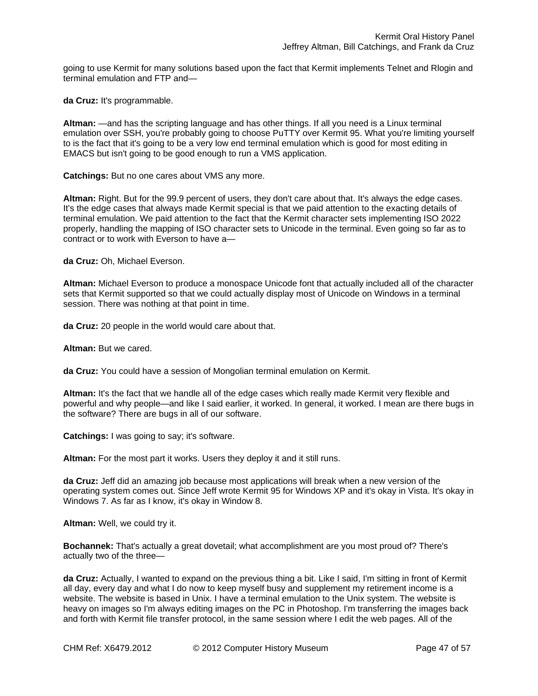going to use Kermit for many solutions based upon the fact that Kermit implements Telnet and Rlogin and terminal emulation and FTP and—

**da Cruz:** It's programmable.

**Altman:** —and has the scripting language and has other things. If all you need is a Linux terminal emulation over SSH, you're probably going to choose PuTTY over Kermit 95. What you're limiting yourself to is the fact that it's going to be a very low end terminal emulation which is good for most editing in EMACS but isn't going to be good enough to run a VMS application.

**Catchings:** But no one cares about VMS any more.

**Altman:** Right. But for the 99.9 percent of users, they don't care about that. It's always the edge cases. It's the edge cases that always made Kermit special is that we paid attention to the exacting details of terminal emulation. We paid attention to the fact that the Kermit character sets implementing ISO 2022 properly, handling the mapping of ISO character sets to Unicode in the terminal. Even going so far as to contract or to work with Everson to have a—

**da Cruz:** Oh, Michael Everson.

**Altman:** Michael Everson to produce a monospace Unicode font that actually included all of the character sets that Kermit supported so that we could actually display most of Unicode on Windows in a terminal session. There was nothing at that point in time.

**da Cruz:** 20 people in the world would care about that.

**Altman:** But we cared.

**da Cruz:** You could have a session of Mongolian terminal emulation on Kermit.

**Altman:** It's the fact that we handle all of the edge cases which really made Kermit very flexible and powerful and why people—and like I said earlier, it worked. In general, it worked. I mean are there bugs in the software? There are bugs in all of our software.

**Catchings:** I was going to say; it's software.

**Altman:** For the most part it works. Users they deploy it and it still runs.

**da Cruz:** Jeff did an amazing job because most applications will break when a new version of the operating system comes out. Since Jeff wrote Kermit 95 for Windows XP and it's okay in Vista. It's okay in Windows 7. As far as I know, it's okay in Window 8.

**Altman:** Well, we could try it.

**Bochannek:** That's actually a great dovetail; what accomplishment are you most proud of? There's actually two of the three—

**da Cruz:** Actually, I wanted to expand on the previous thing a bit. Like I said, I'm sitting in front of Kermit all day, every day and what I do now to keep myself busy and supplement my retirement income is a website. The website is based in Unix. I have a terminal emulation to the Unix system. The website is heavy on images so I'm always editing images on the PC in Photoshop. I'm transferring the images back and forth with Kermit file transfer protocol, in the same session where I edit the web pages. All of the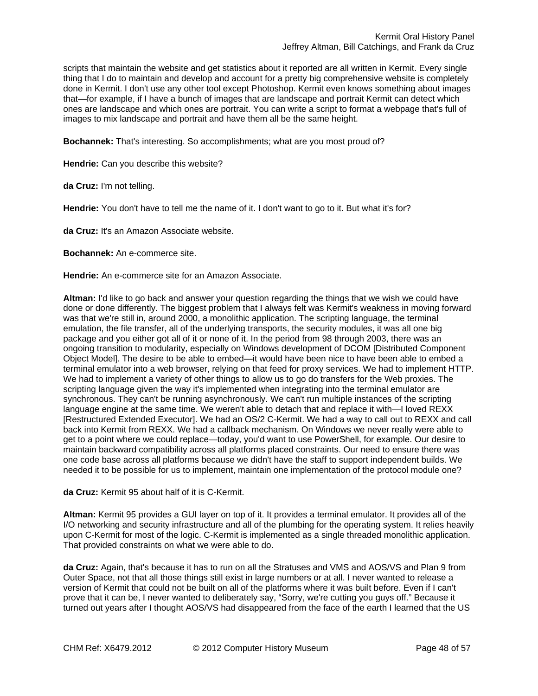scripts that maintain the website and get statistics about it reported are all written in Kermit. Every single thing that I do to maintain and develop and account for a pretty big comprehensive website is completely done in Kermit. I don't use any other tool except Photoshop. Kermit even knows something about images that—for example, if I have a bunch of images that are landscape and portrait Kermit can detect which ones are landscape and which ones are portrait. You can write a script to format a webpage that's full of images to mix landscape and portrait and have them all be the same height.

**Bochannek:** That's interesting. So accomplishments; what are you most proud of?

**Hendrie:** Can you describe this website?

**da Cruz:** I'm not telling.

**Hendrie:** You don't have to tell me the name of it. I don't want to go to it. But what it's for?

**da Cruz:** It's an Amazon Associate website.

**Bochannek:** An e-commerce site.

**Hendrie:** An e-commerce site for an Amazon Associate.

**Altman:** I'd like to go back and answer your question regarding the things that we wish we could have done or done differently. The biggest problem that I always felt was Kermit's weakness in moving forward was that we're still in, around 2000, a monolithic application. The scripting language, the terminal emulation, the file transfer, all of the underlying transports, the security modules, it was all one big package and you either got all of it or none of it. In the period from 98 through 2003, there was an ongoing transition to modularity, especially on Windows development of DCOM [Distributed Component Object Model]. The desire to be able to embed—it would have been nice to have been able to embed a terminal emulator into a web browser, relying on that feed for proxy services. We had to implement HTTP. We had to implement a variety of other things to allow us to go do transfers for the Web proxies. The scripting language given the way it's implemented when integrating into the terminal emulator are synchronous. They can't be running asynchronously. We can't run multiple instances of the scripting language engine at the same time. We weren't able to detach that and replace it with—I loved REXX [Restructured Extended Executor]. We had an OS/2 C-Kermit. We had a way to call out to REXX and call back into Kermit from REXX. We had a callback mechanism. On Windows we never really were able to get to a point where we could replace—today, you'd want to use PowerShell, for example. Our desire to maintain backward compatibility across all platforms placed constraints. Our need to ensure there was one code base across all platforms because we didn't have the staff to support independent builds. We needed it to be possible for us to implement, maintain one implementation of the protocol module one?

**da Cruz:** Kermit 95 about half of it is C-Kermit.

**Altman:** Kermit 95 provides a GUI layer on top of it. It provides a terminal emulator. It provides all of the I/O networking and security infrastructure and all of the plumbing for the operating system. It relies heavily upon C-Kermit for most of the logic. C-Kermit is implemented as a single threaded monolithic application. That provided constraints on what we were able to do.

**da Cruz:** Again, that's because it has to run on all the Stratuses and VMS and AOS/VS and Plan 9 from Outer Space, not that all those things still exist in large numbers or at all. I never wanted to release a version of Kermit that could not be built on all of the platforms where it was built before. Even if I can't prove that it can be, I never wanted to deliberately say, "Sorry, we're cutting you guys off." Because it turned out years after I thought AOS/VS had disappeared from the face of the earth I learned that the US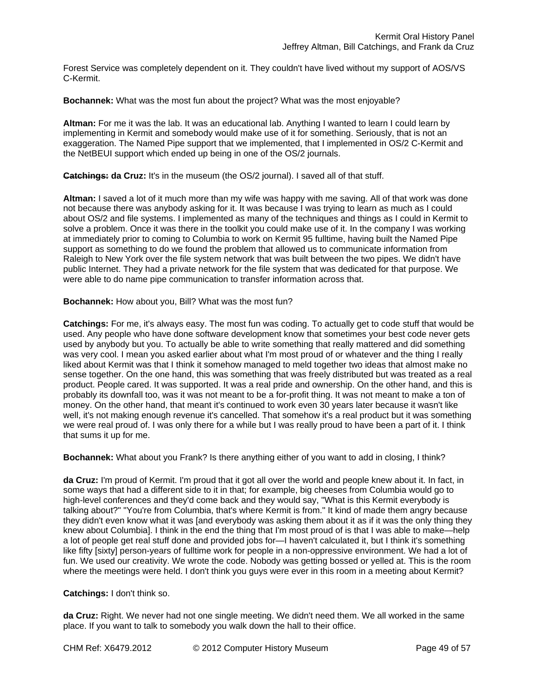Forest Service was completely dependent on it. They couldn't have lived without my support of AOS/VS C-Kermit.

**Bochannek:** What was the most fun about the project? What was the most enjoyable?

**Altman:** For me it was the lab. It was an educational lab. Anything I wanted to learn I could learn by implementing in Kermit and somebody would make use of it for something. Seriously, that is not an exaggeration. The Named Pipe support that we implemented, that I implemented in OS/2 C-Kermit and the NetBEUI support which ended up being in one of the OS/2 journals.

**Catchings: da Cruz:** It's in the museum (the OS/2 journal). I saved all of that stuff.

**Altman:** I saved a lot of it much more than my wife was happy with me saving. All of that work was done not because there was anybody asking for it. It was because I was trying to learn as much as I could about OS/2 and file systems. I implemented as many of the techniques and things as I could in Kermit to solve a problem. Once it was there in the toolkit you could make use of it. In the company I was working at immediately prior to coming to Columbia to work on Kermit 95 fulltime, having built the Named Pipe support as something to do we found the problem that allowed us to communicate information from Raleigh to New York over the file system network that was built between the two pipes. We didn't have public Internet. They had a private network for the file system that was dedicated for that purpose. We were able to do name pipe communication to transfer information across that.

**Bochannek:** How about you, Bill? What was the most fun?

**Catchings:** For me, it's always easy. The most fun was coding. To actually get to code stuff that would be used. Any people who have done software development know that sometimes your best code never gets used by anybody but you. To actually be able to write something that really mattered and did something was very cool. I mean you asked earlier about what I'm most proud of or whatever and the thing I really liked about Kermit was that I think it somehow managed to meld together two ideas that almost make no sense together. On the one hand, this was something that was freely distributed but was treated as a real product. People cared. It was supported. It was a real pride and ownership. On the other hand, and this is probably its downfall too, was it was not meant to be a for-profit thing. It was not meant to make a ton of money. On the other hand, that meant it's continued to work even 30 years later because it wasn't like well, it's not making enough revenue it's cancelled. That somehow it's a real product but it was something we were real proud of. I was only there for a while but I was really proud to have been a part of it. I think that sums it up for me.

**Bochannek:** What about you Frank? Is there anything either of you want to add in closing, I think?

**da Cruz:** I'm proud of Kermit. I'm proud that it got all over the world and people knew about it. In fact, in some ways that had a different side to it in that; for example, big cheeses from Columbia would go to high-level conferences and they'd come back and they would say, "What is this Kermit everybody is talking about?" "You're from Columbia, that's where Kermit is from." It kind of made them angry because they didn't even know what it was [and everybody was asking them about it as if it was the only thing they knew about Columbia]. I think in the end the thing that I'm most proud of is that I was able to make—help a lot of people get real stuff done and provided jobs for—I haven't calculated it, but I think it's something like fifty [sixty] person-years of fulltime work for people in a non-oppressive environment. We had a lot of fun. We used our creativity. We wrote the code. Nobody was getting bossed or yelled at. This is the room where the meetings were held. I don't think you guys were ever in this room in a meeting about Kermit?

## **Catchings:** I don't think so.

**da Cruz:** Right. We never had not one single meeting. We didn't need them. We all worked in the same place. If you want to talk to somebody you walk down the hall to their office.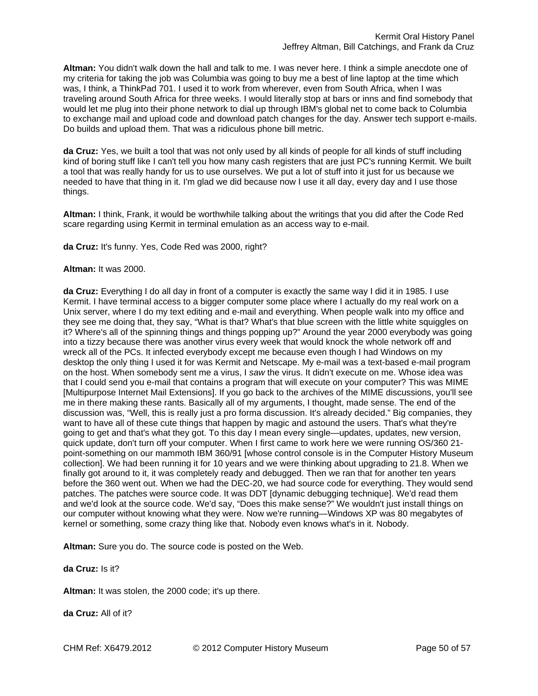**Altman:** You didn't walk down the hall and talk to me. I was never here. I think a simple anecdote one of my criteria for taking the job was Columbia was going to buy me a best of line laptop at the time which was, I think, a ThinkPad 701. I used it to work from wherever, even from South Africa, when I was traveling around South Africa for three weeks. I would literally stop at bars or inns and find somebody that would let me plug into their phone network to dial up through IBM's global net to come back to Columbia to exchange mail and upload code and download patch changes for the day. Answer tech support e-mails. Do builds and upload them. That was a ridiculous phone bill metric.

**da Cruz:** Yes, we built a tool that was not only used by all kinds of people for all kinds of stuff including kind of boring stuff like I can't tell you how many cash registers that are just PC's running Kermit. We built a tool that was really handy for us to use ourselves. We put a lot of stuff into it just for us because we needed to have that thing in it. I'm glad we did because now I use it all day, every day and I use those things.

**Altman:** I think, Frank, it would be worthwhile talking about the writings that you did after the Code Red scare regarding using Kermit in terminal emulation as an access way to e-mail.

**da Cruz:** It's funny. Yes, Code Red was 2000, right?

#### **Altman:** It was 2000.

**da Cruz:** Everything I do all day in front of a computer is exactly the same way I did it in 1985. I use Kermit. I have terminal access to a bigger computer some place where I actually do my real work on a Unix server, where I do my text editing and e-mail and everything. When people walk into my office and they see me doing that, they say, "What is that? What's that blue screen with the little white squiggles on it? Where's all of the spinning things and things popping up?" Around the year 2000 everybody was going into a tizzy because there was another virus every week that would knock the whole network off and wreck all of the PCs. It infected everybody except me because even though I had Windows on my desktop the only thing I used it for was Kermit and Netscape. My e-mail was a text-based e-mail program on the host. When somebody sent me a virus, I *saw* the virus. It didn't execute on me. Whose idea was that I could send you e-mail that contains a program that will execute on your computer? This was MIME [Multipurpose Internet Mail Extensions]. If you go back to the archives of the MIME discussions, you'll see me in there making these rants. Basically all of my arguments, I thought, made sense. The end of the discussion was, "Well, this is really just a pro forma discussion. It's already decided." Big companies, they want to have all of these cute things that happen by magic and astound the users. That's what they're going to get and that's what they got. To this day I mean every single—updates, updates, new version, quick update, don't turn off your computer. When I first came to work here we were running OS/360 21 point-something on our mammoth IBM 360/91 [whose control console is in the Computer History Museum collection]. We had been running it for 10 years and we were thinking about upgrading to 21.8. When we finally got around to it, it was completely ready and debugged. Then we ran that for another ten years before the 360 went out. When we had the DEC-20, we had source code for everything. They would send patches. The patches were source code. It was DDT [dynamic debugging technique]. We'd read them and we'd look at the source code. We'd say, "Does this make sense?" We wouldn't just install things on our computer without knowing what they were. Now we're running—Windows XP was 80 megabytes of kernel or something, some crazy thing like that. Nobody even knows what's in it. Nobody.

**Altman:** Sure you do. The source code is posted on the Web.

## **da Cruz:** Is it?

**Altman:** It was stolen, the 2000 code; it's up there.

**da Cruz:** All of it?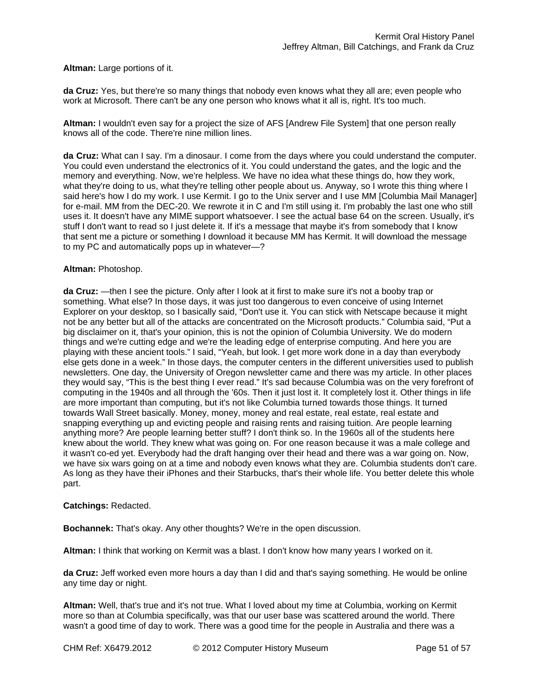**Altman:** Large portions of it.

**da Cruz:** Yes, but there're so many things that nobody even knows what they all are; even people who work at Microsoft. There can't be any one person who knows what it all is, right. It's too much.

**Altman:** I wouldn't even say for a project the size of AFS [Andrew File System] that one person really knows all of the code. There're nine million lines.

**da Cruz:** What can I say. I'm a dinosaur. I come from the days where you could understand the computer. You could even understand the electronics of it. You could understand the gates, and the logic and the memory and everything. Now, we're helpless. We have no idea what these things do, how they work, what they're doing to us, what they're telling other people about us. Anyway, so I wrote this thing where I said here's how I do my work. I use Kermit. I go to the Unix server and I use MM [Columbia Mail Manager] for e-mail. MM from the DEC-20. We rewrote it in C and I'm still using it. I'm probably the last one who still uses it. It doesn't have any MIME support whatsoever. I see the actual base 64 on the screen. Usually, it's stuff I don't want to read so I just delete it. If it's a message that maybe it's from somebody that I know that sent me a picture or something I download it because MM has Kermit. It will download the message to my PC and automatically pops up in whatever—?

#### **Altman:** Photoshop.

**da Cruz:** —then I see the picture. Only after I look at it first to make sure it's not a booby trap or something. What else? In those days, it was just too dangerous to even conceive of using Internet Explorer on your desktop, so I basically said, "Don't use it. You can stick with Netscape because it might not be any better but all of the attacks are concentrated on the Microsoft products." Columbia said, "Put a big disclaimer on it, that's your opinion, this is not the opinion of Columbia University. We do modern things and we're cutting edge and we're the leading edge of enterprise computing. And here you are playing with these ancient tools." I said, "Yeah, but look. I get more work done in a day than everybody else gets done in a week." In those days, the computer centers in the different universities used to publish newsletters. One day, the University of Oregon newsletter came and there was my article. In other places they would say, "This is the best thing I ever read." It's sad because Columbia was on the very forefront of computing in the 1940s and all through the '60s. Then it just lost it. It completely lost it. Other things in life are more important than computing, but it's not like Columbia turned towards those things. It turned towards Wall Street basically. Money, money, money and real estate, real estate, real estate and snapping everything up and evicting people and raising rents and raising tuition. Are people learning anything more? Are people learning better stuff? I don't think so. In the 1960s all of the students here knew about the world. They knew what was going on. For one reason because it was a male college and it wasn't co-ed yet. Everybody had the draft hanging over their head and there was a war going on. Now, we have six wars going on at a time and nobody even knows what they are. Columbia students don't care. As long as they have their iPhones and their Starbucks, that's their whole life. You better delete this whole part.

## **Catchings:** Redacted.

**Bochannek:** That's okay. Any other thoughts? We're in the open discussion.

**Altman:** I think that working on Kermit was a blast. I don't know how many years I worked on it.

**da Cruz:** Jeff worked even more hours a day than I did and that's saying something. He would be online any time day or night.

**Altman:** Well, that's true and it's not true. What I loved about my time at Columbia, working on Kermit more so than at Columbia specifically, was that our user base was scattered around the world. There wasn't a good time of day to work. There was a good time for the people in Australia and there was a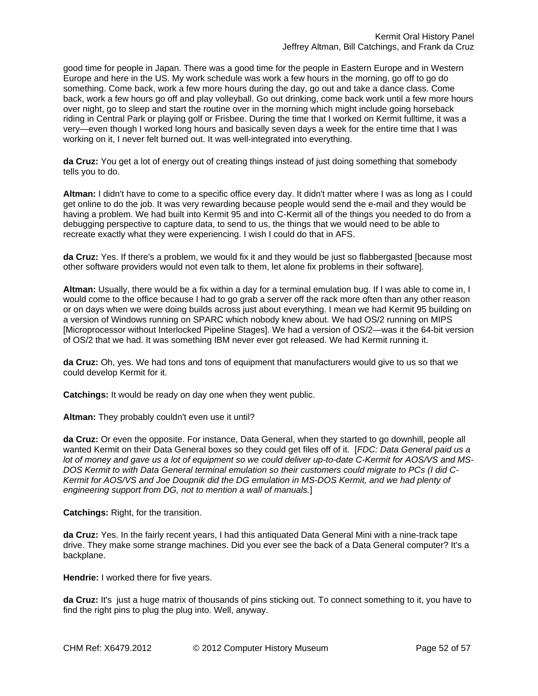good time for people in Japan. There was a good time for the people in Eastern Europe and in Western Europe and here in the US. My work schedule was work a few hours in the morning, go off to go do something. Come back, work a few more hours during the day, go out and take a dance class. Come back, work a few hours go off and play volleyball. Go out drinking, come back work until a few more hours over night, go to sleep and start the routine over in the morning which might include going horseback riding in Central Park or playing golf or Frisbee. During the time that I worked on Kermit fulltime, it was a very—even though I worked long hours and basically seven days a week for the entire time that I was working on it, I never felt burned out. It was well-integrated into everything.

**da Cruz:** You get a lot of energy out of creating things instead of just doing something that somebody tells you to do.

**Altman:** I didn't have to come to a specific office every day. It didn't matter where I was as long as I could get online to do the job. It was very rewarding because people would send the e-mail and they would be having a problem. We had built into Kermit 95 and into C-Kermit all of the things you needed to do from a debugging perspective to capture data, to send to us, the things that we would need to be able to recreate exactly what they were experiencing. I wish I could do that in AFS.

**da Cruz:** Yes. If there's a problem, we would fix it and they would be just so flabbergasted [because most other software providers would not even talk to them, let alone fix problems in their software].

**Altman:** Usually, there would be a fix within a day for a terminal emulation bug. If I was able to come in, I would come to the office because I had to go grab a server off the rack more often than any other reason or on days when we were doing builds across just about everything. I mean we had Kermit 95 building on a version of Windows running on SPARC which nobody knew about. We had OS/2 running on MIPS [Microprocessor without Interlocked Pipeline Stages]. We had a version of OS/2—was it the 64-bit version of OS/2 that we had. It was something IBM never ever got released. We had Kermit running it.

**da Cruz:** Oh, yes. We had tons and tons of equipment that manufacturers would give to us so that we could develop Kermit for it.

**Catchings:** It would be ready on day one when they went public.

**Altman:** They probably couldn't even use it until?

**da Cruz:** Or even the opposite. For instance, Data General, when they started to go downhill, people all wanted Kermit on their Data General boxes so they could get files off of it. [*FDC: Data General paid us a lot of money and gave us a lot of equipment so we could deliver up-to-date C-Kermit for AOS/VS and MS-DOS Kermit to with Data General terminal emulation so their customers could migrate to PCs (I did C-Kermit for AOS/VS and Joe Doupnik did the DG emulation in MS-DOS Kermit, and we had plenty of engineering support from DG, not to mention a wall of manuals.*]

**Catchings:** Right, for the transition.

**da Cruz:** Yes. In the fairly recent years, I had this antiquated Data General Mini with a nine-track tape drive. They make some strange machines. Did you ever see the back of a Data General computer? It's a backplane.

**Hendrie:** I worked there for five years.

**da Cruz:** It's just a huge matrix of thousands of pins sticking out. To connect something to it, you have to find the right pins to plug the plug into. Well, anyway.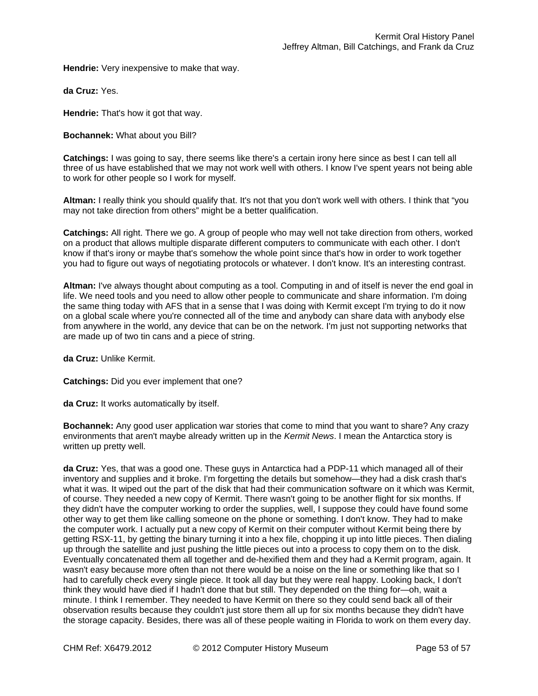**Hendrie:** Very inexpensive to make that way.

**da Cruz:** Yes.

**Hendrie:** That's how it got that way.

**Bochannek:** What about you Bill?

**Catchings:** I was going to say, there seems like there's a certain irony here since as best I can tell all three of us have established that we may not work well with others. I know I've spent years not being able to work for other people so I work for myself.

**Altman:** I really think you should qualify that. It's not that you don't work well with others. I think that "you may not take direction from others" might be a better qualification.

**Catchings:** All right. There we go. A group of people who may well not take direction from others, worked on a product that allows multiple disparate different computers to communicate with each other. I don't know if that's irony or maybe that's somehow the whole point since that's how in order to work together you had to figure out ways of negotiating protocols or whatever. I don't know. It's an interesting contrast.

**Altman:** I've always thought about computing as a tool. Computing in and of itself is never the end goal in life. We need tools and you need to allow other people to communicate and share information. I'm doing the same thing today with AFS that in a sense that I was doing with Kermit except I'm trying to do it now on a global scale where you're connected all of the time and anybody can share data with anybody else from anywhere in the world, any device that can be on the network. I'm just not supporting networks that are made up of two tin cans and a piece of string.

**da Cruz:** Unlike Kermit.

**Catchings:** Did you ever implement that one?

**da Cruz:** It works automatically by itself.

**Bochannek:** Any good user application war stories that come to mind that you want to share? Any crazy environments that aren't maybe already written up in the *Kermit News*. I mean the Antarctica story is written up pretty well.

**da Cruz:** Yes, that was a good one. These guys in Antarctica had a PDP-11 which managed all of their inventory and supplies and it broke. I'm forgetting the details but somehow—they had a disk crash that's what it was. It wiped out the part of the disk that had their communication software on it which was Kermit, of course. They needed a new copy of Kermit. There wasn't going to be another flight for six months. If they didn't have the computer working to order the supplies, well, I suppose they could have found some other way to get them like calling someone on the phone or something. I don't know. They had to make the computer work. I actually put a new copy of Kermit on their computer without Kermit being there by getting RSX-11, by getting the binary turning it into a hex file, chopping it up into little pieces. Then dialing up through the satellite and just pushing the little pieces out into a process to copy them on to the disk. Eventually concatenated them all together and de-hexified them and they had a Kermit program, again. It wasn't easy because more often than not there would be a noise on the line or something like that so I had to carefully check every single piece. It took all day but they were real happy. Looking back, I don't think they would have died if I hadn't done that but still. They depended on the thing for—oh, wait a minute. I think I remember. They needed to have Kermit on there so they could send back all of their observation results because they couldn't just store them all up for six months because they didn't have the storage capacity. Besides, there was all of these people waiting in Florida to work on them every day.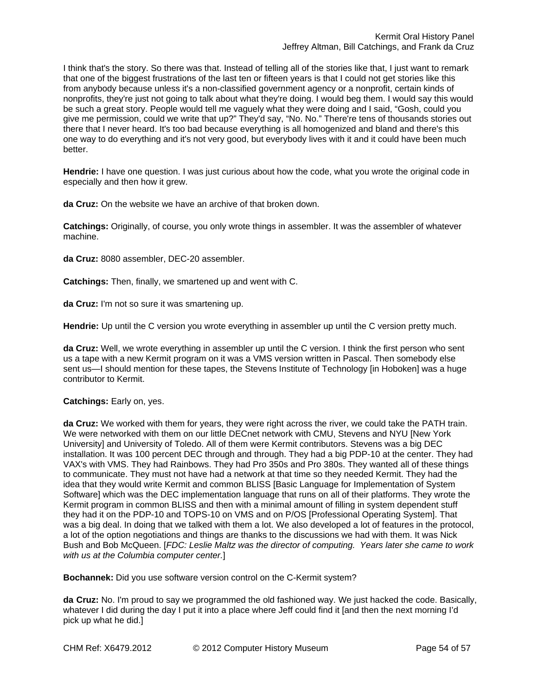I think that's the story. So there was that. Instead of telling all of the stories like that, I just want to remark that one of the biggest frustrations of the last ten or fifteen years is that I could not get stories like this from anybody because unless it's a non-classified government agency or a nonprofit, certain kinds of nonprofits, they're just not going to talk about what they're doing. I would beg them. I would say this would be such a great story. People would tell me vaguely what they were doing and I said, "Gosh, could you give me permission, could we write that up?" They'd say, "No. No." There're tens of thousands stories out there that I never heard. It's too bad because everything is all homogenized and bland and there's this one way to do everything and it's not very good, but everybody lives with it and it could have been much better.

**Hendrie:** I have one question. I was just curious about how the code, what you wrote the original code in especially and then how it grew.

**da Cruz:** On the website we have an archive of that broken down.

**Catchings:** Originally, of course, you only wrote things in assembler. It was the assembler of whatever machine.

**da Cruz:** 8080 assembler, DEC-20 assembler.

**Catchings:** Then, finally, we smartened up and went with C.

**da Cruz:** I'm not so sure it was smartening up.

**Hendrie:** Up until the C version you wrote everything in assembler up until the C version pretty much.

**da Cruz:** Well, we wrote everything in assembler up until the C version. I think the first person who sent us a tape with a new Kermit program on it was a VMS version written in Pascal. Then somebody else sent us—I should mention for these tapes, the Stevens Institute of Technology [in Hoboken] was a huge contributor to Kermit.

## **Catchings:** Early on, yes.

**da Cruz:** We worked with them for years, they were right across the river, we could take the PATH train. We were networked with them on our little DECnet network with CMU, Stevens and NYU [New York] University] and University of Toledo. All of them were Kermit contributors. Stevens was a big DEC installation. It was 100 percent DEC through and through. They had a big PDP-10 at the center. They had VAX's with VMS. They had Rainbows. They had Pro 350s and Pro 380s. They wanted all of these things to communicate. They must not have had a network at that time so they needed Kermit. They had the idea that they would write Kermit and common BLISS [Basic Language for Implementation of System Software] which was the DEC implementation language that runs on all of their platforms. They wrote the Kermit program in common BLISS and then with a minimal amount of filling in system dependent stuff they had it on the PDP-10 and TOPS-10 on VMS and on P/OS [Professional Operating System]. That was a big deal. In doing that we talked with them a lot. We also developed a lot of features in the protocol, a lot of the option negotiations and things are thanks to the discussions we had with them. It was Nick Bush and Bob McQueen. [*FDC: Leslie Maltz was the director of computing. Years later she came to work with us at the Columbia computer center.*]

**Bochannek:** Did you use software version control on the C-Kermit system?

**da Cruz:** No. I'm proud to say we programmed the old fashioned way. We just hacked the code. Basically, whatever I did during the day I put it into a place where Jeff could find it [and then the next morning I'd pick up what he did.]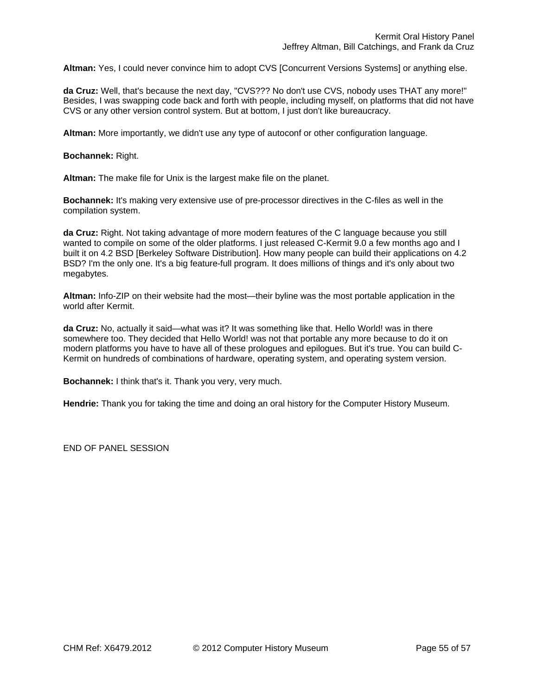**Altman:** Yes, I could never convince him to adopt CVS [Concurrent Versions Systems] or anything else.

**da Cruz:** Well, that's because the next day, "CVS??? No don't use CVS, nobody uses THAT any more!" Besides, I was swapping code back and forth with people, including myself, on platforms that did not have CVS or any other version control system. But at bottom, I just don't like bureaucracy.

**Altman:** More importantly, we didn't use any type of autoconf or other configuration language.

**Bochannek:** Right.

**Altman:** The make file for Unix is the largest make file on the planet.

**Bochannek:** It's making very extensive use of pre-processor directives in the C-files as well in the compilation system.

**da Cruz:** Right. Not taking advantage of more modern features of the C language because you still wanted to compile on some of the older platforms. I just released C-Kermit 9.0 a few months ago and I built it on 4.2 BSD [Berkeley Software Distribution]. How many people can build their applications on 4.2 BSD? I'm the only one. It's a big feature-full program. It does millions of things and it's only about two megabytes.

**Altman:** Info-ZIP on their website had the most—their byline was the most portable application in the world after Kermit.

**da Cruz:** No, actually it said—what was it? It was something like that. Hello World! was in there somewhere too. They decided that Hello World! was not that portable any more because to do it on modern platforms you have to have all of these prologues and epilogues. But it's true. You can build C-Kermit on hundreds of combinations of hardware, operating system, and operating system version.

**Bochannek:** I think that's it. Thank you very, very much.

**Hendrie:** Thank you for taking the time and doing an oral history for the Computer History Museum.

END OF PANEL SESSION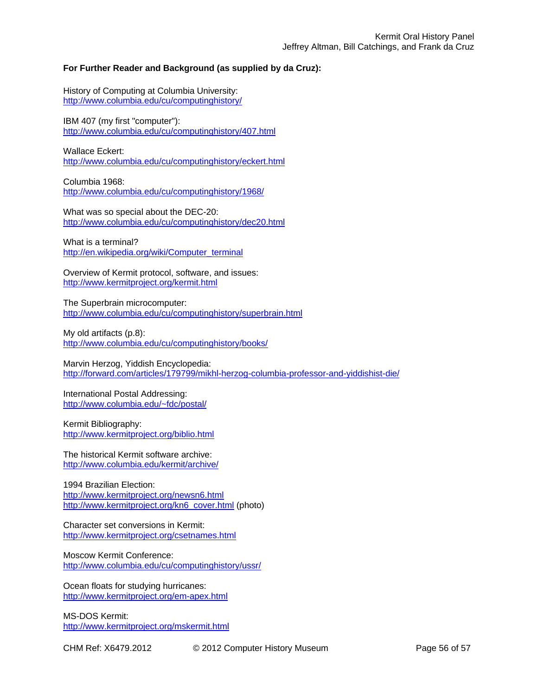# **For Further Reader and Background (as supplied by da Cruz):**

History of Computing at Columbia University: http://www.columbia.edu/cu/computinghistory/

IBM 407 (my first "computer"): http://www.columbia.edu/cu/computinghistory/407.html

Wallace Eckert:

http://www.columbia.edu/cu/computinghistory/eckert.html

Columbia 1968: http://www.columbia.edu/cu/computinghistory/1968/

What was so special about the DEC-20: http://www.columbia.edu/cu/computinghistory/dec20.html

What is a terminal? http://en.wikipedia.org/wiki/Computer\_terminal

Overview of Kermit protocol, software, and issues: http://www.kermitproject.org/kermit.html

The Superbrain microcomputer: http://www.columbia.edu/cu/computinghistory/superbrain.html

My old artifacts (p.8): http://www.columbia.edu/cu/computinghistory/books/

Marvin Herzog, Yiddish Encyclopedia: http://forward.com/articles/179799/mikhl-herzog-columbia-professor-and-yiddishist-die/

International Postal Addressing: http://www.columbia.edu/~fdc/postal/

Kermit Bibliography: http://www.kermitproject.org/biblio.html

The historical Kermit software archive: http://www.columbia.edu/kermit/archive/

1994 Brazilian Election: http://www.kermitproject.org/newsn6.html http://www.kermitproject.org/kn6\_cover.html (photo)

Character set conversions in Kermit: http://www.kermitproject.org/csetnames.html

Moscow Kermit Conference: http://www.columbia.edu/cu/computinghistory/ussr/

Ocean floats for studying hurricanes: http://www.kermitproject.org/em-apex.html

MS-DOS Kermit: http://www.kermitproject.org/mskermit.html